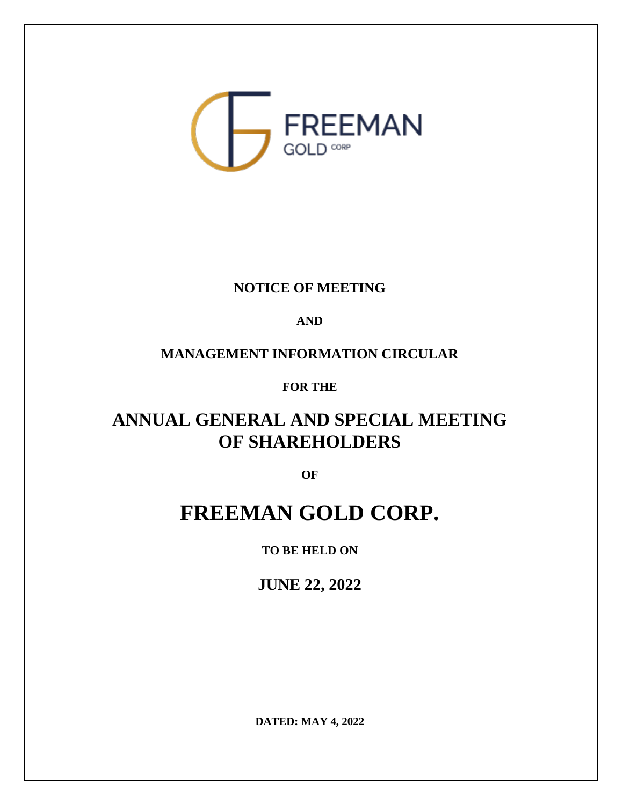

## **NOTICE OF MEETING**

## **AND**

# **MANAGEMENT INFORMATION CIRCULAR**

## **FOR THE**

# **ANNUAL GENERAL AND SPECIAL MEETING OF SHAREHOLDERS**

**OF**

# **FREEMAN GOLD CORP.**

**TO BE HELD ON**

**JUNE 22, 2022**

**DATED: MAY 4, 2022**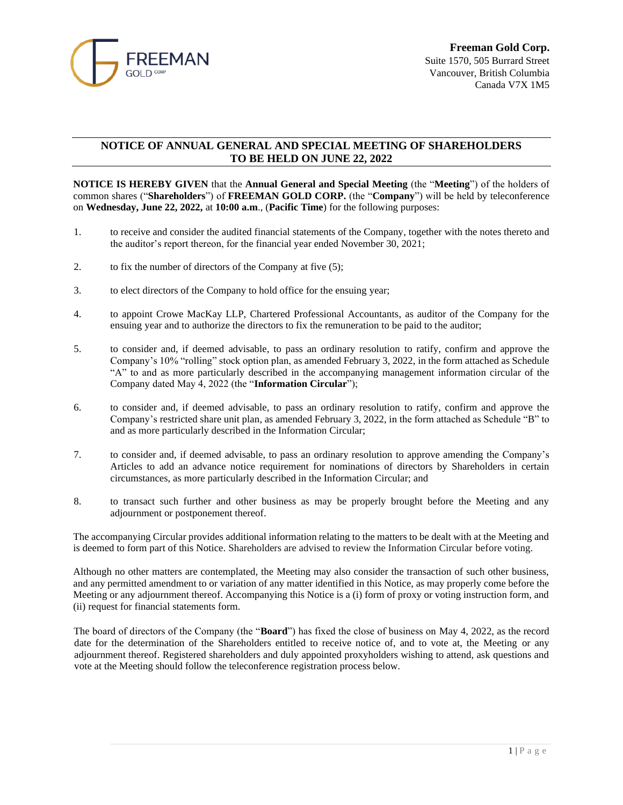

#### **NOTICE OF ANNUAL GENERAL AND SPECIAL MEETING OF SHAREHOLDERS TO BE HELD ON JUNE 22, 2022**

**NOTICE IS HEREBY GIVEN** that the **Annual General and Special Meeting** (the "**Meeting**") of the holders of common shares ("**Shareholders**") of **FREEMAN GOLD CORP.** (the "**Company**") will be held by teleconference on **Wednesday, June 22, 2022,** at **10:00 a.m**., (**Pacific Time**) for the following purposes:

- 1. to receive and consider the audited financial statements of the Company, together with the notes thereto and the auditor's report thereon, for the financial year ended November 30, 2021;
- 2. to fix the number of directors of the Company at five (5);
- 3. to elect directors of the Company to hold office for the ensuing year;
- 4. to appoint Crowe MacKay LLP, Chartered Professional Accountants, as auditor of the Company for the ensuing year and to authorize the directors to fix the remuneration to be paid to the auditor;
- 5. to consider and, if deemed advisable, to pass an ordinary resolution to ratify, confirm and approve the Company's 10% "rolling" stock option plan, as amended February 3, 2022, in the form attached as Schedule "A" to and as more particularly described in the accompanying management information circular of the Company dated May 4, 2022 (the "**Information Circular**");
- 6. to consider and, if deemed advisable, to pass an ordinary resolution to ratify, confirm and approve the Company's restricted share unit plan, as amended February 3, 2022, in the form attached as Schedule "B" to and as more particularly described in the Information Circular;
- 7. to consider and, if deemed advisable, to pass an ordinary resolution to approve amending the Company's Articles to add an advance notice requirement for nominations of directors by Shareholders in certain circumstances, as more particularly described in the Information Circular; and
- 8. to transact such further and other business as may be properly brought before the Meeting and any adjournment or postponement thereof.

The accompanying Circular provides additional information relating to the matters to be dealt with at the Meeting and is deemed to form part of this Notice. Shareholders are advised to review the Information Circular before voting.

Although no other matters are contemplated, the Meeting may also consider the transaction of such other business, and any permitted amendment to or variation of any matter identified in this Notice, as may properly come before the Meeting or any adjournment thereof. Accompanying this Notice is a (i) form of proxy or voting instruction form, and (ii) request for financial statements form.

The board of directors of the Company (the "**Board**") has fixed the close of business on May 4, 2022, as the record date for the determination of the Shareholders entitled to receive notice of, and to vote at, the Meeting or any adjournment thereof. Registered shareholders and duly appointed proxyholders wishing to attend, ask questions and vote at the Meeting should follow the teleconference registration process below.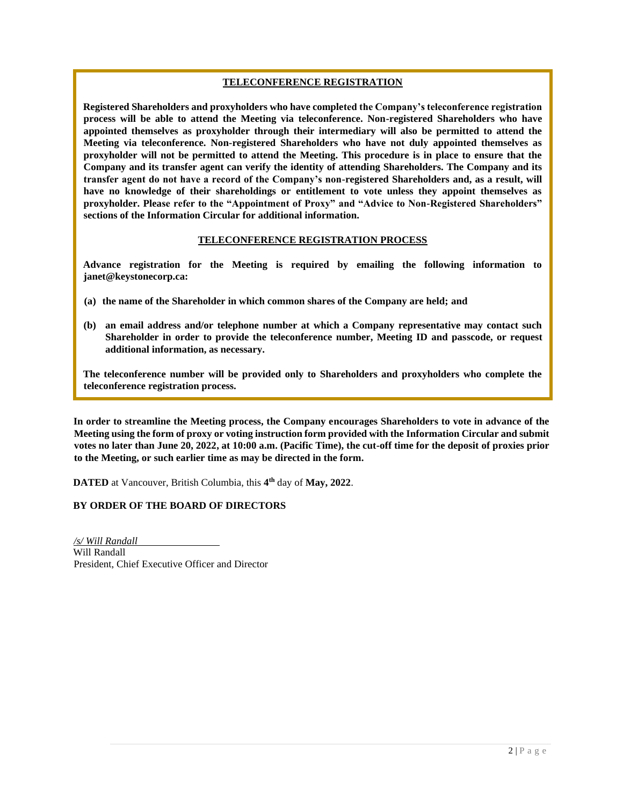#### **TELECONFERENCE REGISTRATION**

**Registered Shareholders and proxyholders who have completed the Company's teleconference registration process will be able to attend the Meeting via teleconference. Non-registered Shareholders who have appointed themselves as proxyholder through their intermediary will also be permitted to attend the Meeting via teleconference. Non-registered Shareholders who have not duly appointed themselves as proxyholder will not be permitted to attend the Meeting. This procedure is in place to ensure that the Company and its transfer agent can verify the identity of attending Shareholders. The Company and its transfer agent do not have a record of the Company's non-registered Shareholders and, as a result, will have no knowledge of their shareholdings or entitlement to vote unless they appoint themselves as proxyholder. Please refer to the "Appointment of Proxy" and "Advice to Non-Registered Shareholders" sections of the Information Circular for additional information.**

#### **TELECONFERENCE REGISTRATION PROCESS**

**Advance registration for the Meeting is required by emailing the following information to janet@keystonecorp.ca:** 

- **(a) the name of the Shareholder in which common shares of the Company are held; and**
- **(b) an email address and/or telephone number at which a Company representative may contact such Shareholder in order to provide the teleconference number, Meeting ID and passcode, or request additional information, as necessary.**

**The teleconference number will be provided only to Shareholders and proxyholders who complete the teleconference registration process.**

**In order to streamline the Meeting process, the Company encourages Shareholders to vote in advance of the Meeting using the form of proxy or voting instruction form provided with the Information Circular and submit votes no later than June 20, 2022, at 10:00 a.m. (Pacific Time), the cut-off time for the deposit of proxies prior to the Meeting, or such earlier time as may be directed in the form.**

**DATED** at Vancouver, British Columbia, this **4 th** day of **May, 2022**.

#### **BY ORDER OF THE BOARD OF DIRECTORS**

*/s/ Will Randall* Will Randall President, Chief Executive Officer and Director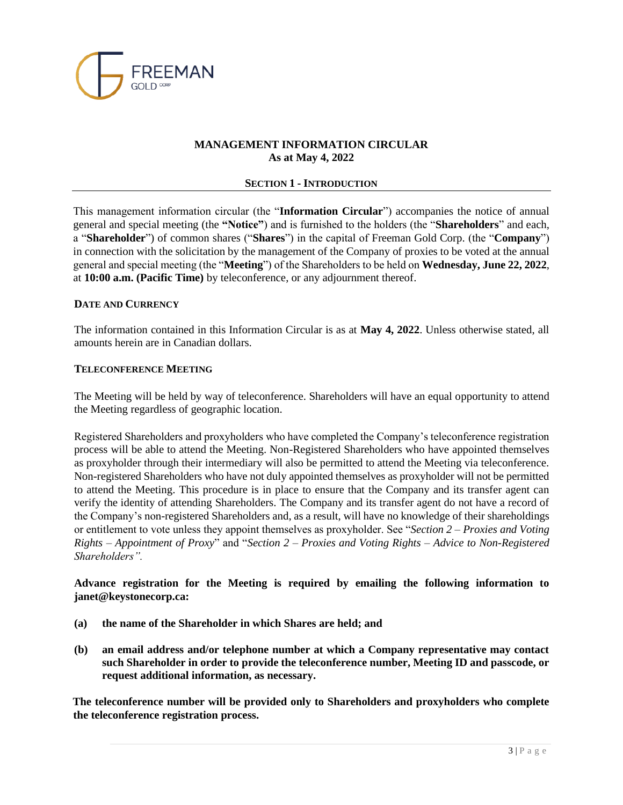

## **MANAGEMENT INFORMATION CIRCULAR As at May 4, 2022**

#### **SECTION 1 - INTRODUCTION**

This management information circular (the "**Information Circular**") accompanies the notice of annual general and special meeting (the **"Notice"**) and is furnished to the holders (the "**Shareholders**" and each, a "**Shareholder**") of common shares ("**Shares**") in the capital of Freeman Gold Corp. (the "**Company**") in connection with the solicitation by the management of the Company of proxies to be voted at the annual general and special meeting (the "**Meeting**") of the Shareholders to be held on **Wednesday, June 22, 2022**, at **10:00 a.m. (Pacific Time)** by teleconference, or any adjournment thereof.

#### **DATE AND CURRENCY**

The information contained in this Information Circular is as at **May 4, 2022**. Unless otherwise stated, all amounts herein are in Canadian dollars.

#### **TELECONFERENCE MEETING**

The Meeting will be held by way of teleconference. Shareholders will have an equal opportunity to attend the Meeting regardless of geographic location.

Registered Shareholders and proxyholders who have completed the Company's teleconference registration process will be able to attend the Meeting. Non-Registered Shareholders who have appointed themselves as proxyholder through their intermediary will also be permitted to attend the Meeting via teleconference. Non-registered Shareholders who have not duly appointed themselves as proxyholder will not be permitted to attend the Meeting. This procedure is in place to ensure that the Company and its transfer agent can verify the identity of attending Shareholders. The Company and its transfer agent do not have a record of the Company's non-registered Shareholders and, as a result, will have no knowledge of their shareholdings or entitlement to vote unless they appoint themselves as proxyholder. See "*Section 2 – Proxies and Voting Rights – Appointment of Proxy*" and "*Section 2 – Proxies and Voting Rights – Advice to Non-Registered Shareholders".*

#### **Advance registration for the Meeting is required by emailing the following information to janet@keystonecorp.ca:**

- **(a) the name of the Shareholder in which Shares are held; and**
- **(b) an email address and/or telephone number at which a Company representative may contact such Shareholder in order to provide the teleconference number, Meeting ID and passcode, or request additional information, as necessary.**

**The teleconference number will be provided only to Shareholders and proxyholders who complete the teleconference registration process.**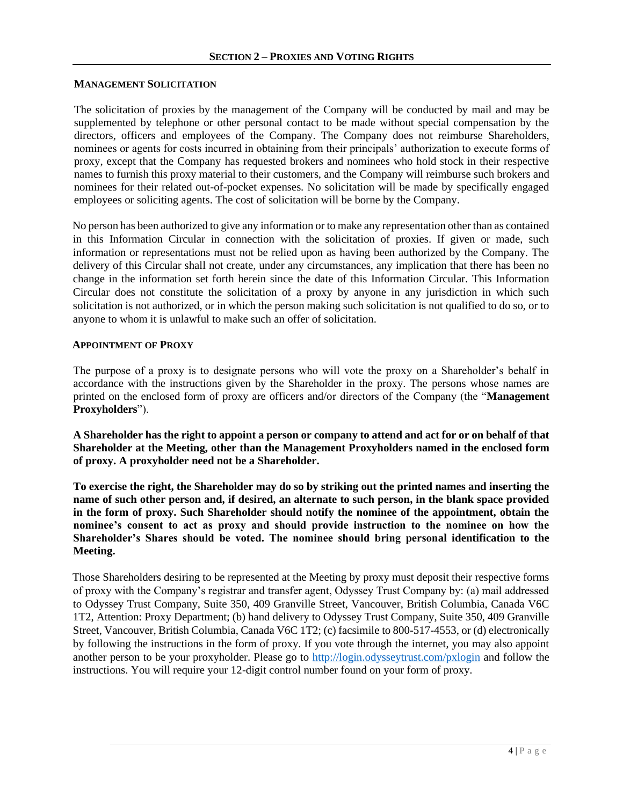#### **MANAGEMENT SOLICITATION**

The solicitation of proxies by the management of the Company will be conducted by mail and may be supplemented by telephone or other personal contact to be made without special compensation by the directors, officers and employees of the Company. The Company does not reimburse Shareholders, nominees or agents for costs incurred in obtaining from their principals' authorization to execute forms of proxy, except that the Company has requested brokers and nominees who hold stock in their respective names to furnish this proxy material to their customers, and the Company will reimburse such brokers and nominees for their related out-of-pocket expenses. No solicitation will be made by specifically engaged employees or soliciting agents. The cost of solicitation will be borne by the Company.

No person has been authorized to give any information or to make any representation other than as contained in this Information Circular in connection with the solicitation of proxies. If given or made, such information or representations must not be relied upon as having been authorized by the Company. The delivery of this Circular shall not create, under any circumstances, any implication that there has been no change in the information set forth herein since the date of this Information Circular. This Information Circular does not constitute the solicitation of a proxy by anyone in any jurisdiction in which such solicitation is not authorized, or in which the person making such solicitation is not qualified to do so, or to anyone to whom it is unlawful to make such an offer of solicitation.

#### **APPOINTMENT OF PROXY**

The purpose of a proxy is to designate persons who will vote the proxy on a Shareholder's behalf in accordance with the instructions given by the Shareholder in the proxy. The persons whose names are printed on the enclosed form of proxy are officers and/or directors of the Company (the "**Management Proxyholders**").

**A Shareholder has the right to appoint a person or company to attend and act for or on behalf of that Shareholder at the Meeting, other than the Management Proxyholders named in the enclosed form of proxy. A proxyholder need not be a Shareholder.**

**To exercise the right, the Shareholder may do so by striking out the printed names and inserting the name of such other person and, if desired, an alternate to such person, in the blank space provided in the form of proxy. Such Shareholder should notify the nominee of the appointment, obtain the nominee's consent to act as proxy and should provide instruction to the nominee on how the Shareholder's Shares should be voted. The nominee should bring personal identification to the Meeting.**

Those Shareholders desiring to be represented at the Meeting by proxy must deposit their respective forms of proxy with the Company's registrar and transfer agent, Odyssey Trust Company by: (a) mail addressed to Odyssey Trust Company, Suite 350, 409 Granville Street, Vancouver, British Columbia, Canada V6C 1T2, Attention: Proxy Department; (b) hand delivery to Odyssey Trust Company, Suite 350, 409 Granville Street, Vancouver, British Columbia, Canada V6C 1T2; (c) facsimile to 800-517-4553, or (d) electronically by following the instructions in the form of proxy. If you vote through the internet, you may also appoint another person to be your proxyholder. Please go to<http://login.odysseytrust.com/pxlogin> and follow the instructions. You will require your 12-digit control number found on your form of proxy.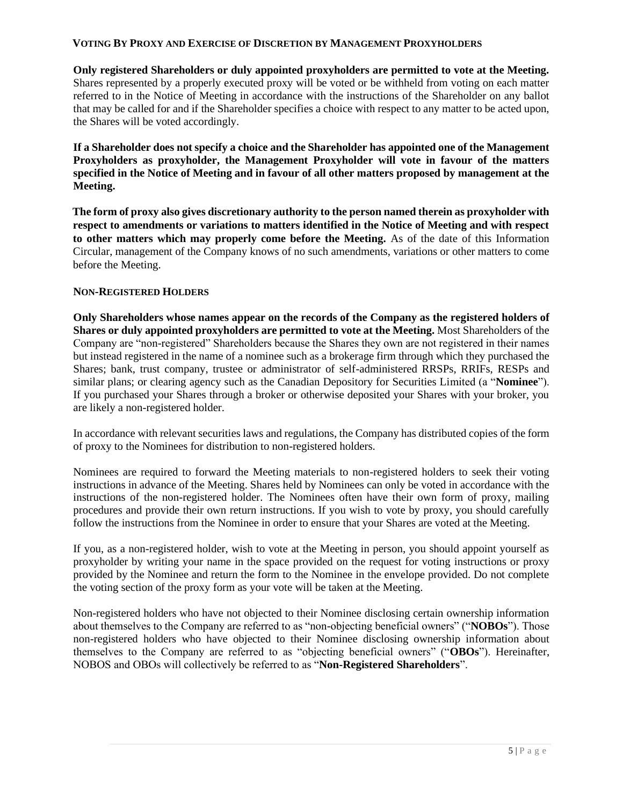#### **VOTING BY PROXY AND EXERCISE OF DISCRETION BY MANAGEMENT PROXYHOLDERS**

**Only registered Shareholders or duly appointed proxyholders are permitted to vote at the Meeting.**  Shares represented by a properly executed proxy will be voted or be withheld from voting on each matter referred to in the Notice of Meeting in accordance with the instructions of the Shareholder on any ballot that may be called for and if the Shareholder specifies a choice with respect to any matter to be acted upon, the Shares will be voted accordingly.

**If a Shareholder does not specify a choice and the Shareholder has appointed one of the Management Proxyholders as proxyholder, the Management Proxyholder will vote in favour of the matters specified in the Notice of Meeting and in favour of all other matters proposed by management at the Meeting.** 

**The form of proxy also gives discretionary authority to the person named therein as proxyholder with respect to amendments or variations to matters identified in the Notice of Meeting and with respect to other matters which may properly come before the Meeting.** As of the date of this Information Circular, management of the Company knows of no such amendments, variations or other matters to come before the Meeting.

#### **NON-REGISTERED HOLDERS**

**Only Shareholders whose names appear on the records of the Company as the registered holders of Shares or duly appointed proxyholders are permitted to vote at the Meeting.** Most Shareholders of the Company are "non-registered" Shareholders because the Shares they own are not registered in their names but instead registered in the name of a nominee such as a brokerage firm through which they purchased the Shares; bank, trust company, trustee or administrator of self-administered RRSPs, RRIFs, RESPs and similar plans; or clearing agency such as the Canadian Depository for Securities Limited (a "**Nominee**"). If you purchased your Shares through a broker or otherwise deposited your Shares with your broker, you are likely a non-registered holder.

In accordance with relevant securities laws and regulations, the Company has distributed copies of the form of proxy to the Nominees for distribution to non-registered holders.

Nominees are required to forward the Meeting materials to non-registered holders to seek their voting instructions in advance of the Meeting. Shares held by Nominees can only be voted in accordance with the instructions of the non-registered holder. The Nominees often have their own form of proxy, mailing procedures and provide their own return instructions. If you wish to vote by proxy, you should carefully follow the instructions from the Nominee in order to ensure that your Shares are voted at the Meeting.

If you, as a non-registered holder, wish to vote at the Meeting in person, you should appoint yourself as proxyholder by writing your name in the space provided on the request for voting instructions or proxy provided by the Nominee and return the form to the Nominee in the envelope provided. Do not complete the voting section of the proxy form as your vote will be taken at the Meeting.

Non-registered holders who have not objected to their Nominee disclosing certain ownership information about themselves to the Company are referred to as "non-objecting beneficial owners" ("**NOBOs**"). Those non-registered holders who have objected to their Nominee disclosing ownership information about themselves to the Company are referred to as "objecting beneficial owners" ("**OBOs**"). Hereinafter, NOBOS and OBOs will collectively be referred to as "**Non-Registered Shareholders**".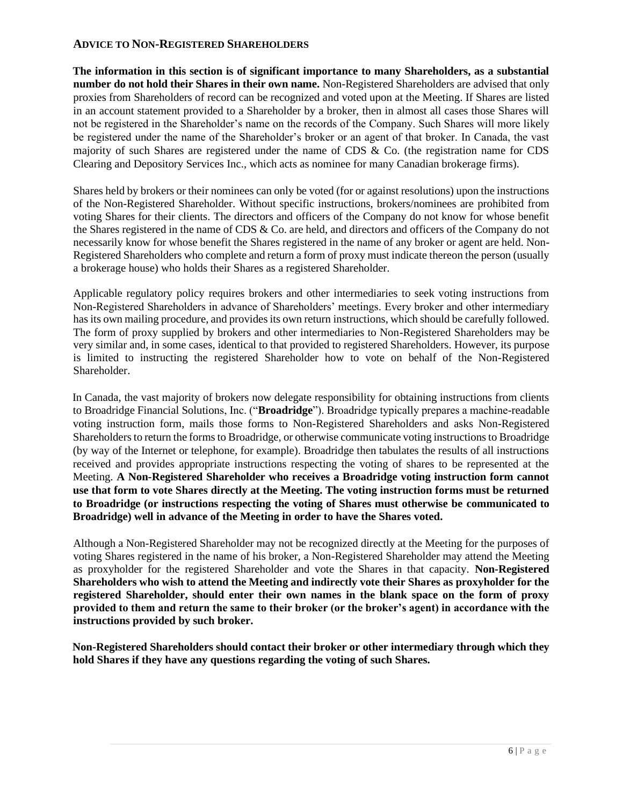## **ADVICE TO NON-REGISTERED SHAREHOLDERS**

**The information in this section is of significant importance to many Shareholders, as a substantial number do not hold their Shares in their own name.** Non-Registered Shareholders are advised that only proxies from Shareholders of record can be recognized and voted upon at the Meeting. If Shares are listed in an account statement provided to a Shareholder by a broker, then in almost all cases those Shares will not be registered in the Shareholder's name on the records of the Company. Such Shares will more likely be registered under the name of the Shareholder's broker or an agent of that broker. In Canada, the vast majority of such Shares are registered under the name of CDS & Co. (the registration name for CDS Clearing and Depository Services Inc., which acts as nominee for many Canadian brokerage firms).

Shares held by brokers or their nominees can only be voted (for or against resolutions) upon the instructions of the Non-Registered Shareholder. Without specific instructions, brokers/nominees are prohibited from voting Shares for their clients. The directors and officers of the Company do not know for whose benefit the Shares registered in the name of CDS & Co. are held, and directors and officers of the Company do not necessarily know for whose benefit the Shares registered in the name of any broker or agent are held. Non-Registered Shareholders who complete and return a form of proxy must indicate thereon the person (usually a brokerage house) who holds their Shares as a registered Shareholder.

Applicable regulatory policy requires brokers and other intermediaries to seek voting instructions from Non-Registered Shareholders in advance of Shareholders' meetings. Every broker and other intermediary has its own mailing procedure, and provides its own return instructions, which should be carefully followed. The form of proxy supplied by brokers and other intermediaries to Non-Registered Shareholders may be very similar and, in some cases, identical to that provided to registered Shareholders. However, its purpose is limited to instructing the registered Shareholder how to vote on behalf of the Non-Registered Shareholder.

In Canada, the vast majority of brokers now delegate responsibility for obtaining instructions from clients to Broadridge Financial Solutions, Inc. ("**Broadridge**"). Broadridge typically prepares a machine-readable voting instruction form, mails those forms to Non-Registered Shareholders and asks Non-Registered Shareholders to return the forms to Broadridge, or otherwise communicate voting instructions to Broadridge (by way of the Internet or telephone, for example). Broadridge then tabulates the results of all instructions received and provides appropriate instructions respecting the voting of shares to be represented at the Meeting. **A Non-Registered Shareholder who receives a Broadridge voting instruction form cannot use that form to vote Shares directly at the Meeting. The voting instruction forms must be returned to Broadridge (or instructions respecting the voting of Shares must otherwise be communicated to Broadridge) well in advance of the Meeting in order to have the Shares voted.**

Although a Non-Registered Shareholder may not be recognized directly at the Meeting for the purposes of voting Shares registered in the name of his broker, a Non-Registered Shareholder may attend the Meeting as proxyholder for the registered Shareholder and vote the Shares in that capacity. **Non-Registered Shareholders who wish to attend the Meeting and indirectly vote their Shares as proxyholder for the registered Shareholder, should enter their own names in the blank space on the form of proxy provided to them and return the same to their broker (or the broker's agent) in accordance with the instructions provided by such broker.** 

**Non-Registered Shareholders should contact their broker or other intermediary through which they hold Shares if they have any questions regarding the voting of such Shares.**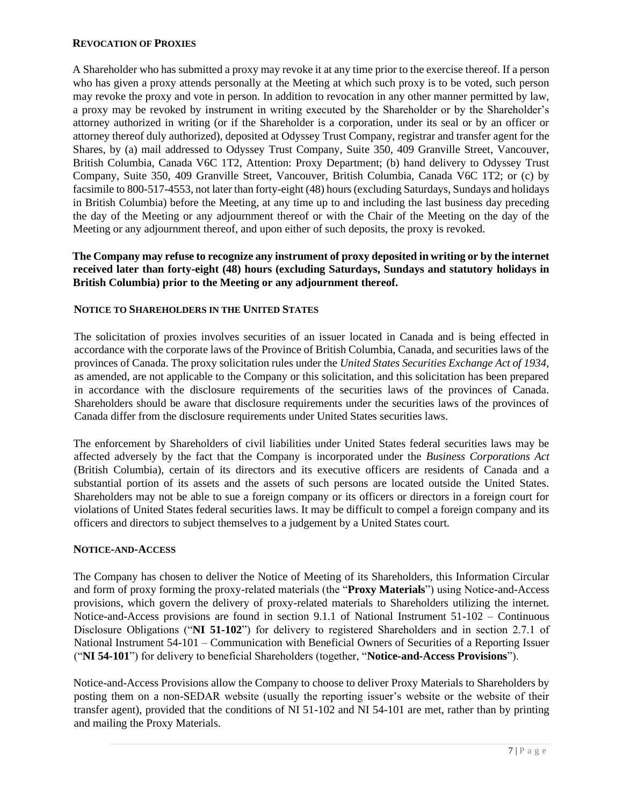#### **REVOCATION OF PROXIES**

A Shareholder who has submitted a proxy may revoke it at any time prior to the exercise thereof. If a person who has given a proxy attends personally at the Meeting at which such proxy is to be voted, such person may revoke the proxy and vote in person. In addition to revocation in any other manner permitted by law, a proxy may be revoked by instrument in writing executed by the Shareholder or by the Shareholder's attorney authorized in writing (or if the Shareholder is a corporation, under its seal or by an officer or attorney thereof duly authorized), deposited at Odyssey Trust Company, registrar and transfer agent for the Shares, by (a) mail addressed to Odyssey Trust Company, Suite 350, 409 Granville Street, Vancouver, British Columbia, Canada V6C 1T2, Attention: Proxy Department; (b) hand delivery to Odyssey Trust Company, Suite 350, 409 Granville Street, Vancouver, British Columbia, Canada V6C 1T2; or (c) by facsimile to 800-517-4553, not later than forty-eight (48) hours (excluding Saturdays, Sundays and holidays in British Columbia) before the Meeting, at any time up to and including the last business day preceding the day of the Meeting or any adjournment thereof or with the Chair of the Meeting on the day of the Meeting or any adjournment thereof, and upon either of such deposits, the proxy is revoked.

## **The Company may refuse to recognize any instrument of proxy deposited in writing or by the internet received later than forty-eight (48) hours (excluding Saturdays, Sundays and statutory holidays in British Columbia) prior to the Meeting or any adjournment thereof.**

## **NOTICE TO SHAREHOLDERS IN THE UNITED STATES**

The solicitation of proxies involves securities of an issuer located in Canada and is being effected in accordance with the corporate laws of the Province of British Columbia, Canada, and securities laws of the provinces of Canada. The proxy solicitation rules under the *United States Securities Exchange Act of 1934*, as amended, are not applicable to the Company or this solicitation, and this solicitation has been prepared in accordance with the disclosure requirements of the securities laws of the provinces of Canada. Shareholders should be aware that disclosure requirements under the securities laws of the provinces of Canada differ from the disclosure requirements under United States securities laws.

The enforcement by Shareholders of civil liabilities under United States federal securities laws may be affected adversely by the fact that the Company is incorporated under the *Business Corporations Act* (British Columbia), certain of its directors and its executive officers are residents of Canada and a substantial portion of its assets and the assets of such persons are located outside the United States. Shareholders may not be able to sue a foreign company or its officers or directors in a foreign court for violations of United States federal securities laws. It may be difficult to compel a foreign company and its officers and directors to subject themselves to a judgement by a United States court.

#### **NOTICE-AND-ACCESS**

The Company has chosen to deliver the Notice of Meeting of its Shareholders, this Information Circular and form of proxy forming the proxy-related materials (the "**Proxy Materials**") using Notice-and-Access provisions, which govern the delivery of proxy-related materials to Shareholders utilizing the internet. Notice-and-Access provisions are found in section 9.1.1 of National Instrument 51-102 – Continuous Disclosure Obligations ("**NI 51-102**") for delivery to registered Shareholders and in section 2.7.1 of National Instrument 54-101 – Communication with Beneficial Owners of Securities of a Reporting Issuer ("**NI 54-101**") for delivery to beneficial Shareholders (together, "**Notice-and-Access Provisions**").

Notice-and-Access Provisions allow the Company to choose to deliver Proxy Materials to Shareholders by posting them on a non-SEDAR website (usually the reporting issuer's website or the website of their transfer agent), provided that the conditions of NI 51-102 and NI 54-101 are met, rather than by printing and mailing the Proxy Materials.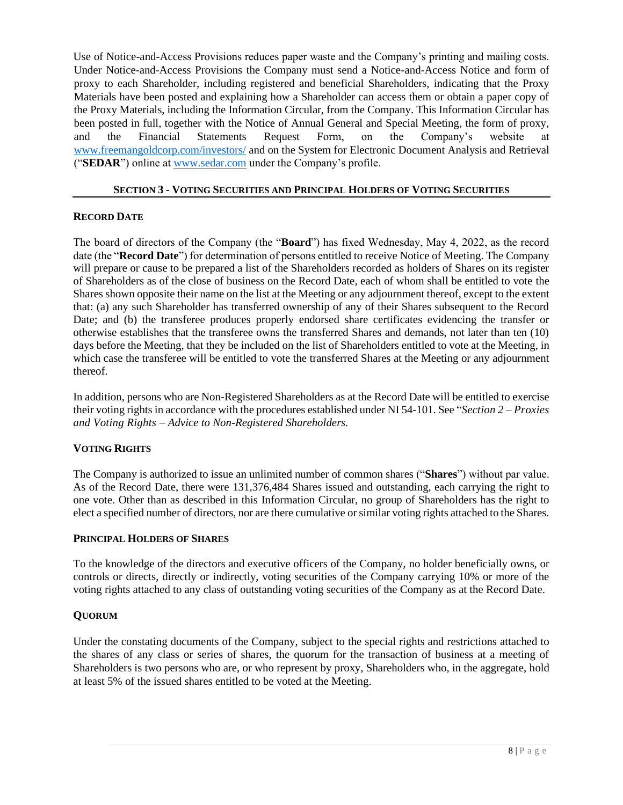Use of Notice-and-Access Provisions reduces paper waste and the Company's printing and mailing costs. Under Notice-and-Access Provisions the Company must send a Notice-and-Access Notice and form of proxy to each Shareholder, including registered and beneficial Shareholders, indicating that the Proxy Materials have been posted and explaining how a Shareholder can access them or obtain a paper copy of the Proxy Materials, including the Information Circular, from the Company. This Information Circular has been posted in full, together with the Notice of Annual General and Special Meeting, the form of proxy, and the Financial Statements Request Form, on the Company's website at [www.freemangoldcorp.com/investors/](http://www.freemangoldcorp.com/investors/) and on the System for Electronic Document Analysis and Retrieval ("**SEDAR**") online at [www.sedar.com](http://www.sedar.com/) under the Company's profile.

#### **SECTION 3 - VOTING SECURITIES AND PRINCIPAL HOLDERS OF VOTING SECURITIES**

## **RECORD DATE**

The board of directors of the Company (the "**Board**") has fixed Wednesday, May 4, 2022, as the record date (the "**Record Date**") for determination of persons entitled to receive Notice of Meeting. The Company will prepare or cause to be prepared a list of the Shareholders recorded as holders of Shares on its register of Shareholders as of the close of business on the Record Date, each of whom shall be entitled to vote the Shares shown opposite their name on the list at the Meeting or any adjournment thereof, except to the extent that: (a) any such Shareholder has transferred ownership of any of their Shares subsequent to the Record Date; and (b) the transferee produces properly endorsed share certificates evidencing the transfer or otherwise establishes that the transferee owns the transferred Shares and demands, not later than ten (10) days before the Meeting, that they be included on the list of Shareholders entitled to vote at the Meeting, in which case the transferee will be entitled to vote the transferred Shares at the Meeting or any adjournment thereof.

In addition, persons who are Non-Registered Shareholders as at the Record Date will be entitled to exercise their voting rights in accordance with the procedures established under NI 54-101. See "*Section 2 – Proxies and Voting Rights – Advice to Non-Registered Shareholders.*

## **VOTING RIGHTS**

The Company is authorized to issue an unlimited number of common shares ("**Shares**") without par value. As of the Record Date, there were 131,376,484 Shares issued and outstanding, each carrying the right to one vote. Other than as described in this Information Circular, no group of Shareholders has the right to elect a specified number of directors, nor are there cumulative or similar voting rights attached to the Shares.

#### **PRINCIPAL HOLDERS OF SHARES**

To the knowledge of the directors and executive officers of the Company, no holder beneficially owns, or controls or directs, directly or indirectly, voting securities of the Company carrying 10% or more of the voting rights attached to any class of outstanding voting securities of the Company as at the Record Date.

#### **QUORUM**

Under the constating documents of the Company, subject to the special rights and restrictions attached to the shares of any class or series of shares, the quorum for the transaction of business at a meeting of Shareholders is two persons who are, or who represent by proxy, Shareholders who, in the aggregate, hold at least 5% of the issued shares entitled to be voted at the Meeting.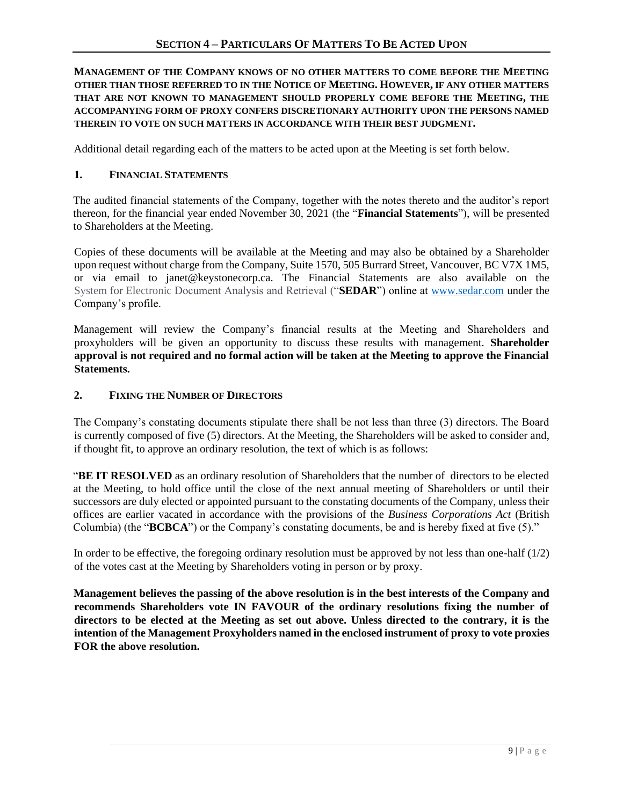## **MANAGEMENT OF THE COMPANY KNOWS OF NO OTHER MATTERS TO COME BEFORE THE MEETING OTHER THAN THOSE REFERRED TO IN THE NOTICE OF MEETING. HOWEVER, IF ANY OTHER MATTERS THAT ARE NOT KNOWN TO MANAGEMENT SHOULD PROPERLY COME BEFORE THE MEETING, THE ACCOMPANYING FORM OF PROXY CONFERS DISCRETIONARY AUTHORITY UPON THE PERSONS NAMED THEREIN TO VOTE ON SUCH MATTERS IN ACCORDANCE WITH THEIR BEST JUDGMENT.**

Additional detail regarding each of the matters to be acted upon at the Meeting is set forth below.

## **1. FINANCIAL STATEMENTS**

The audited financial statements of the Company, together with the notes thereto and the auditor's report thereon, for the financial year ended November 30, 2021 (the "**Financial Statements**"), will be presented to Shareholders at the Meeting.

Copies of these documents will be available at the Meeting and may also be obtained by a Shareholder upon request without charge from the Company, Suite 1570, 505 Burrard Street, Vancouver, BC V7X 1M5, or via email to janet@keystonecorp.ca. The Financial Statements are also available on the System for Electronic Document Analysis and Retrieval ("**SEDAR**") online at [www.sedar.com](http://www.sedar.com/) under the Company's profile.

Management will review the Company's financial results at the Meeting and Shareholders and proxyholders will be given an opportunity to discuss these results with management. **Shareholder approval is not required and no formal action will be taken at the Meeting to approve the Financial Statements.** 

## **2. FIXING THE NUMBER OF DIRECTORS**

The Company's constating documents stipulate there shall be not less than three (3) directors. The Board is currently composed of five (5) directors. At the Meeting, the Shareholders will be asked to consider and, if thought fit, to approve an ordinary resolution, the text of which is as follows:

"**BE IT RESOLVED** as an ordinary resolution of Shareholders that the number of directors to be elected at the Meeting, to hold office until the close of the next annual meeting of Shareholders or until their successors are duly elected or appointed pursuant to the constating documents of the Company, unless their offices are earlier vacated in accordance with the provisions of the *Business Corporations Act* (British Columbia) (the "**BCBCA**") or the Company's constating documents, be and is hereby fixed at five (5)."

In order to be effective, the foregoing ordinary resolution must be approved by not less than one-half  $(1/2)$ of the votes cast at the Meeting by Shareholders voting in person or by proxy.

**Management believes the passing of the above resolution is in the best interests of the Company and recommends Shareholders vote IN FAVOUR of the ordinary resolutions fixing the number of directors to be elected at the Meeting as set out above. Unless directed to the contrary, it is the intention of the Management Proxyholders named in the enclosed instrument of proxy to vote proxies FOR the above resolution.**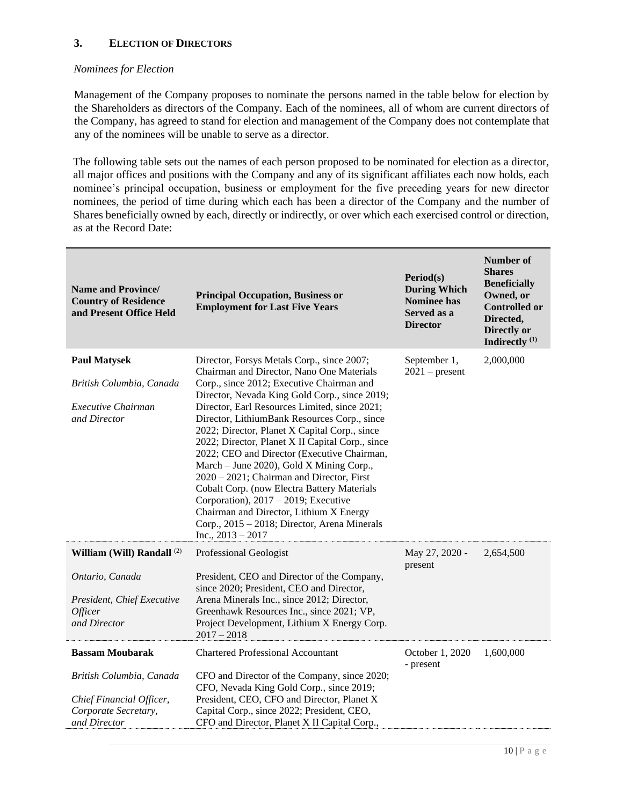## **3. ELECTION OF DIRECTORS**

## *Nominees for Election*

Management of the Company proposes to nominate the persons named in the table below for election by the Shareholders as directors of the Company. Each of the nominees, all of whom are current directors of the Company, has agreed to stand for election and management of the Company does not contemplate that any of the nominees will be unable to serve as a director.

The following table sets out the names of each person proposed to be nominated for election as a director, all major offices and positions with the Company and any of its significant affiliates each now holds, each nominee's principal occupation, business or employment for the five preceding years for new director nominees, the period of time during which each has been a director of the Company and the number of Shares beneficially owned by each, directly or indirectly, or over which each exercised control or direction, as at the Record Date:

| Name and Province/<br><b>Country of Residence</b><br>and Present Office Held                 | <b>Principal Occupation, Business or</b><br><b>Employment for Last Five Years</b>                                                                                                                                                                                                                                                                                                                                                                                                                                                                             | Period(s)<br><b>During Which</b><br><b>Nominee has</b><br>Served as a<br><b>Director</b> | Number of<br><b>Shares</b><br><b>Beneficially</b><br>Owned, or<br><b>Controlled or</b><br>Directed,<br>Directly or<br>Indirectly <sup>(1)</sup> |
|----------------------------------------------------------------------------------------------|---------------------------------------------------------------------------------------------------------------------------------------------------------------------------------------------------------------------------------------------------------------------------------------------------------------------------------------------------------------------------------------------------------------------------------------------------------------------------------------------------------------------------------------------------------------|------------------------------------------------------------------------------------------|-------------------------------------------------------------------------------------------------------------------------------------------------|
| <b>Paul Matysek</b>                                                                          | Director, Forsys Metals Corp., since 2007;<br>Chairman and Director, Nano One Materials                                                                                                                                                                                                                                                                                                                                                                                                                                                                       | September 1,<br>$2021$ – present                                                         | 2,000,000                                                                                                                                       |
| British Columbia, Canada                                                                     | Corp., since 2012; Executive Chairman and<br>Director, Nevada King Gold Corp., since 2019;                                                                                                                                                                                                                                                                                                                                                                                                                                                                    |                                                                                          |                                                                                                                                                 |
| Executive Chairman<br>and Director                                                           | Director, Earl Resources Limited, since 2021;<br>Director, LithiumBank Resources Corp., since<br>2022; Director, Planet X Capital Corp., since<br>2022; Director, Planet X II Capital Corp., since<br>2022; CEO and Director (Executive Chairman,<br>March – June 2020), Gold X Mining Corp.,<br>2020 - 2021; Chairman and Director, First<br><b>Cobalt Corp.</b> (now Electra Battery Materials<br>Corporation), $2017 - 2019$ ; Executive<br>Chairman and Director, Lithium X Energy<br>Corp., 2015 - 2018; Director, Arena Minerals<br>Inc., $2013 - 2017$ |                                                                                          |                                                                                                                                                 |
| William (Will) Randall <sup>(2)</sup>                                                        | Professional Geologist                                                                                                                                                                                                                                                                                                                                                                                                                                                                                                                                        | May 27, 2020 -                                                                           | 2,654,500                                                                                                                                       |
| Ontario, Canada<br>President, Chief Executive<br><i>Officer</i><br>and Director              | President, CEO and Director of the Company,<br>since 2020; President, CEO and Director,<br>Arena Minerals Inc., since 2012; Director,<br>Greenhawk Resources Inc., since 2021; VP,<br>Project Development, Lithium X Energy Corp.<br>$2017 - 2018$                                                                                                                                                                                                                                                                                                            | present                                                                                  |                                                                                                                                                 |
| <b>Bassam Moubarak</b>                                                                       | <b>Chartered Professional Accountant</b>                                                                                                                                                                                                                                                                                                                                                                                                                                                                                                                      | October 1, 2020<br>- present                                                             | 1,600,000                                                                                                                                       |
| British Columbia, Canada<br>Chief Financial Officer,<br>Corporate Secretary,<br>and Director | CFO and Director of the Company, since 2020;<br>CFO, Nevada King Gold Corp., since 2019;<br>President, CEO, CFO and Director, Planet X<br>Capital Corp., since 2022; President, CEO,<br>CFO and Director, Planet X II Capital Corp.,                                                                                                                                                                                                                                                                                                                          |                                                                                          |                                                                                                                                                 |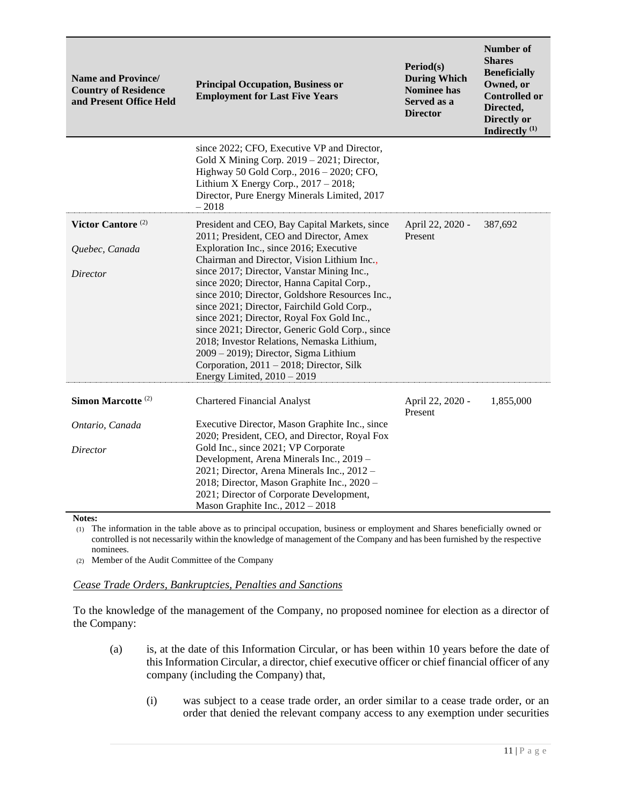| <b>Name and Province/</b><br><b>Country of Residence</b><br>and Present Office Held | <b>Principal Occupation, Business or</b><br><b>Employment for Last Five Years</b>                                                                                                                                                                                                                                                                                                                                                                               | Period(s)<br><b>During Which</b><br><b>Nominee has</b><br>Served as a<br><b>Director</b> | <b>Number of</b><br><b>Shares</b><br><b>Beneficially</b><br>Owned, or<br><b>Controlled or</b><br>Directed,<br>Directly or<br>Indirectly <sup>(1)</sup> |
|-------------------------------------------------------------------------------------|-----------------------------------------------------------------------------------------------------------------------------------------------------------------------------------------------------------------------------------------------------------------------------------------------------------------------------------------------------------------------------------------------------------------------------------------------------------------|------------------------------------------------------------------------------------------|--------------------------------------------------------------------------------------------------------------------------------------------------------|
|                                                                                     | since 2022; CFO, Executive VP and Director,<br>Gold X Mining Corp. 2019 - 2021; Director,<br>Highway 50 Gold Corp., 2016 - 2020; CFO,<br>Lithium X Energy Corp., $2017 - 2018$ ;<br>Director, Pure Energy Minerals Limited, 2017<br>$-2018$                                                                                                                                                                                                                     |                                                                                          |                                                                                                                                                        |
| Victor Cantore <sup>(2)</sup>                                                       | President and CEO, Bay Capital Markets, since                                                                                                                                                                                                                                                                                                                                                                                                                   | April 22, 2020 -                                                                         | 387,692                                                                                                                                                |
|                                                                                     | 2011; President, CEO and Director, Amex                                                                                                                                                                                                                                                                                                                                                                                                                         | Present                                                                                  |                                                                                                                                                        |
| Quebec, Canada                                                                      | Exploration Inc., since 2016; Executive<br>Chairman and Director, Vision Lithium Inc.,                                                                                                                                                                                                                                                                                                                                                                          |                                                                                          |                                                                                                                                                        |
| Director                                                                            | since 2017; Director, Vanstar Mining Inc.,<br>since 2020; Director, Hanna Capital Corp.,<br>since 2010; Director, Goldshore Resources Inc.,<br>since 2021; Director, Fairchild Gold Corp.,<br>since 2021; Director, Royal Fox Gold Inc.,<br>since 2021; Director, Generic Gold Corp., since<br>2018; Investor Relations, Nemaska Lithium,<br>2009 - 2019); Director, Sigma Lithium<br>Corporation, 2011 – 2018; Director, Silk<br>Energy Limited, $2010 - 2019$ |                                                                                          |                                                                                                                                                        |
|                                                                                     |                                                                                                                                                                                                                                                                                                                                                                                                                                                                 |                                                                                          |                                                                                                                                                        |
| Simon Marcotte <sup>(2)</sup>                                                       | <b>Chartered Financial Analyst</b>                                                                                                                                                                                                                                                                                                                                                                                                                              | April 22, 2020 -<br>Present                                                              | 1,855,000                                                                                                                                              |
| Ontario, Canada                                                                     | Executive Director, Mason Graphite Inc., since<br>2020; President, CEO, and Director, Royal Fox                                                                                                                                                                                                                                                                                                                                                                 |                                                                                          |                                                                                                                                                        |
| Director                                                                            | Gold Inc., since 2021; VP Corporate<br>Development, Arena Minerals Inc., 2019 -<br>2021; Director, Arena Minerals Inc., 2012 -<br>2018; Director, Mason Graphite Inc., 2020 -<br>2021; Director of Corporate Development,<br>Mason Graphite Inc., $2012 - 2018$                                                                                                                                                                                                 |                                                                                          |                                                                                                                                                        |

**Notes:**

(1) The information in the table above as to principal occupation, business or employment and Shares beneficially owned or controlled is not necessarily within the knowledge of management of the Company and has been furnished by the respective nominees.

(2) Member of the Audit Committee of the Company

#### *Cease Trade Orders, Bankruptcies, Penalties and Sanctions*

To the knowledge of the management of the Company, no proposed nominee for election as a director of the Company:

- (a) is, at the date of this Information Circular, or has been within 10 years before the date of this Information Circular, a director, chief executive officer or chief financial officer of any company (including the Company) that,
	- (i) was subject to a cease trade order, an order similar to a cease trade order, or an order that denied the relevant company access to any exemption under securities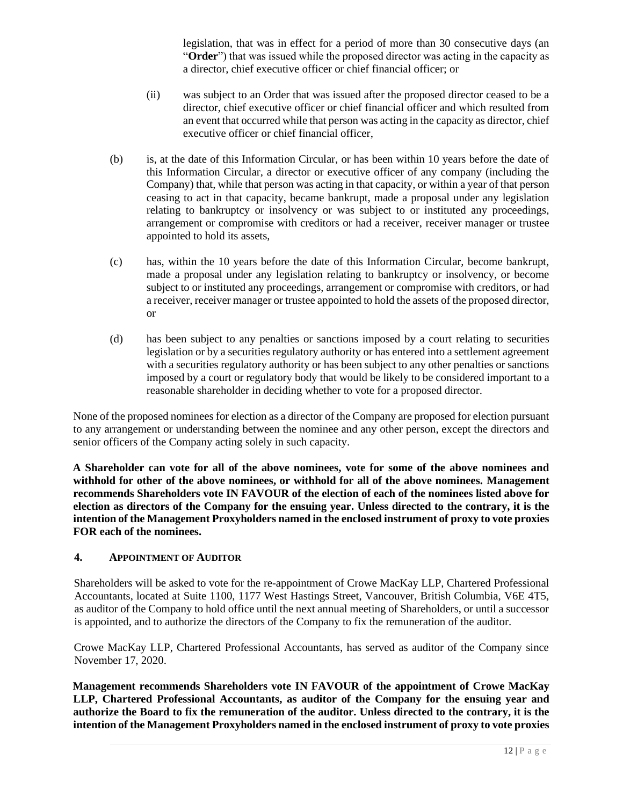legislation, that was in effect for a period of more than 30 consecutive days (an "**Order**") that was issued while the proposed director was acting in the capacity as a director, chief executive officer or chief financial officer; or

- (ii) was subject to an Order that was issued after the proposed director ceased to be a director, chief executive officer or chief financial officer and which resulted from an event that occurred while that person was acting in the capacity as director, chief executive officer or chief financial officer,
- (b) is, at the date of this Information Circular, or has been within 10 years before the date of this Information Circular, a director or executive officer of any company (including the Company) that, while that person was acting in that capacity, or within a year of that person ceasing to act in that capacity, became bankrupt, made a proposal under any legislation relating to bankruptcy or insolvency or was subject to or instituted any proceedings, arrangement or compromise with creditors or had a receiver, receiver manager or trustee appointed to hold its assets,
- (c) has, within the 10 years before the date of this Information Circular, become bankrupt, made a proposal under any legislation relating to bankruptcy or insolvency, or become subject to or instituted any proceedings, arrangement or compromise with creditors, or had a receiver, receiver manager or trustee appointed to hold the assets of the proposed director, or
- (d) has been subject to any penalties or sanctions imposed by a court relating to securities legislation or by a securities regulatory authority or has entered into a settlement agreement with a securities regulatory authority or has been subject to any other penalties or sanctions imposed by a court or regulatory body that would be likely to be considered important to a reasonable shareholder in deciding whether to vote for a proposed director.

None of the proposed nominees for election as a director of the Company are proposed for election pursuant to any arrangement or understanding between the nominee and any other person, except the directors and senior officers of the Company acting solely in such capacity.

**A Shareholder can vote for all of the above nominees, vote for some of the above nominees and withhold for other of the above nominees, or withhold for all of the above nominees. Management recommends Shareholders vote IN FAVOUR of the election of each of the nominees listed above for election as directors of the Company for the ensuing year. Unless directed to the contrary, it is the intention of the Management Proxyholders named in the enclosed instrument of proxy to vote proxies FOR each of the nominees.**

#### **4. APPOINTMENT OF AUDITOR**

Shareholders will be asked to vote for the re-appointment of Crowe MacKay LLP, Chartered Professional Accountants, located at Suite 1100, 1177 West Hastings Street, Vancouver, British Columbia, V6E 4T5, as auditor of the Company to hold office until the next annual meeting of Shareholders, or until a successor is appointed, and to authorize the directors of the Company to fix the remuneration of the auditor.

Crowe MacKay LLP, Chartered Professional Accountants, has served as auditor of the Company since November 17, 2020.

**Management recommends Shareholders vote IN FAVOUR of the appointment of Crowe MacKay LLP, Chartered Professional Accountants, as auditor of the Company for the ensuing year and authorize the Board to fix the remuneration of the auditor. Unless directed to the contrary, it is the intention of the Management Proxyholders named in the enclosed instrument of proxy to vote proxies**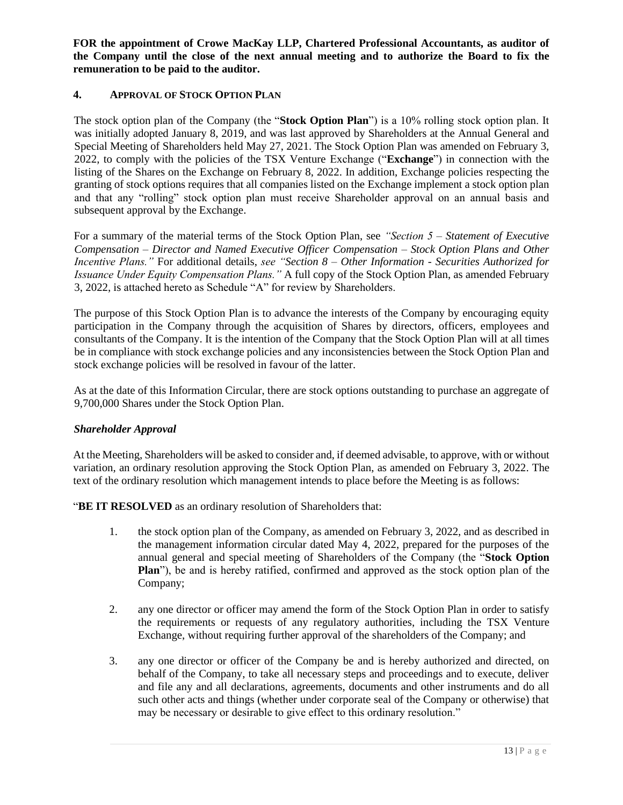**FOR the appointment of Crowe MacKay LLP, Chartered Professional Accountants, as auditor of the Company until the close of the next annual meeting and to authorize the Board to fix the remuneration to be paid to the auditor.**

## **4. APPROVAL OF STOCK OPTION PLAN**

The stock option plan of the Company (the "**Stock Option Plan**") is a 10% rolling stock option plan. It was initially adopted January 8, 2019, and was last approved by Shareholders at the Annual General and Special Meeting of Shareholders held May 27, 2021. The Stock Option Plan was amended on February 3, 2022, to comply with the policies of the TSX Venture Exchange ("**Exchange**") in connection with the listing of the Shares on the Exchange on February 8, 2022. In addition, Exchange policies respecting the granting of stock options requires that all companies listed on the Exchange implement a stock option plan and that any "rolling" stock option plan must receive Shareholder approval on an annual basis and subsequent approval by the Exchange.

For a summary of the material terms of the Stock Option Plan, see *"Section 5 – Statement of Executive Compensation – Director and Named Executive Officer Compensation – Stock Option Plans and Other Incentive Plans."* For additional details, *see "Section 8 – Other Information - Securities Authorized for Issuance Under Equity Compensation Plans."* A full copy of the Stock Option Plan, as amended February 3, 2022, is attached hereto as Schedule "A" for review by Shareholders.

The purpose of this Stock Option Plan is to advance the interests of the Company by encouraging equity participation in the Company through the acquisition of Shares by directors, officers, employees and consultants of the Company. It is the intention of the Company that the Stock Option Plan will at all times be in compliance with stock exchange policies and any inconsistencies between the Stock Option Plan and stock exchange policies will be resolved in favour of the latter.

As at the date of this Information Circular, there are stock options outstanding to purchase an aggregate of 9,700,000 Shares under the Stock Option Plan.

#### *Shareholder Approval*

At the Meeting, Shareholders will be asked to consider and, if deemed advisable, to approve, with or without variation, an ordinary resolution approving the Stock Option Plan, as amended on February 3, 2022. The text of the ordinary resolution which management intends to place before the Meeting is as follows:

"**BE IT RESOLVED** as an ordinary resolution of Shareholders that:

- 1. the stock option plan of the Company, as amended on February 3, 2022, and as described in the management information circular dated May 4, 2022, prepared for the purposes of the annual general and special meeting of Shareholders of the Company (the "**Stock Option Plan**"), be and is hereby ratified, confirmed and approved as the stock option plan of the Company;
- 2. any one director or officer may amend the form of the Stock Option Plan in order to satisfy the requirements or requests of any regulatory authorities, including the TSX Venture Exchange, without requiring further approval of the shareholders of the Company; and
- 3. any one director or officer of the Company be and is hereby authorized and directed, on behalf of the Company, to take all necessary steps and proceedings and to execute, deliver and file any and all declarations, agreements, documents and other instruments and do all such other acts and things (whether under corporate seal of the Company or otherwise) that may be necessary or desirable to give effect to this ordinary resolution."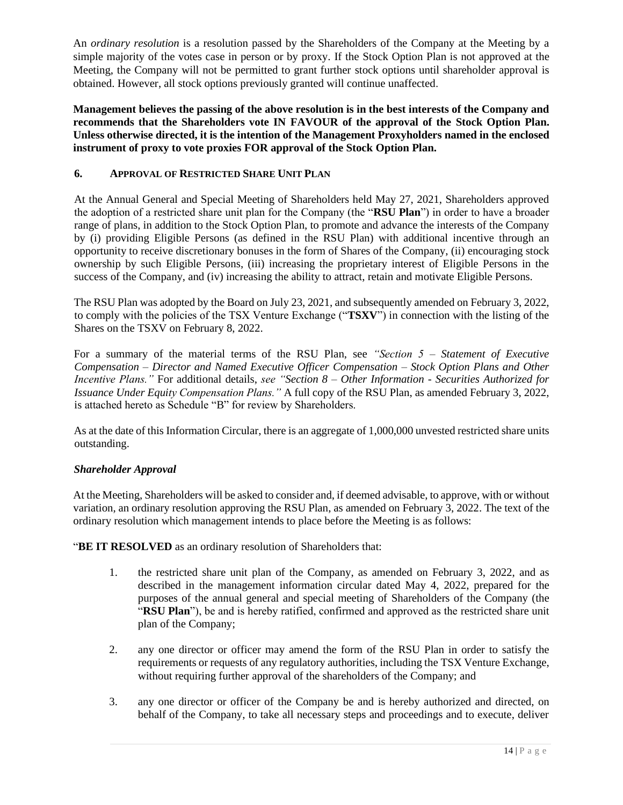An *ordinary resolution* is a resolution passed by the Shareholders of the Company at the Meeting by a simple majority of the votes case in person or by proxy. If the Stock Option Plan is not approved at the Meeting, the Company will not be permitted to grant further stock options until shareholder approval is obtained. However, all stock options previously granted will continue unaffected.

**Management believes the passing of the above resolution is in the best interests of the Company and recommends that the Shareholders vote IN FAVOUR of the approval of the Stock Option Plan. Unless otherwise directed, it is the intention of the Management Proxyholders named in the enclosed instrument of proxy to vote proxies FOR approval of the Stock Option Plan.**

## **6. APPROVAL OF RESTRICTED SHARE UNIT PLAN**

At the Annual General and Special Meeting of Shareholders held May 27, 2021, Shareholders approved the adoption of a restricted share unit plan for the Company (the "**RSU Plan**") in order to have a broader range of plans, in addition to the Stock Option Plan, to promote and advance the interests of the Company by (i) providing Eligible Persons (as defined in the RSU Plan) with additional incentive through an opportunity to receive discretionary bonuses in the form of Shares of the Company, (ii) encouraging stock ownership by such Eligible Persons, (iii) increasing the proprietary interest of Eligible Persons in the success of the Company, and (iv) increasing the ability to attract, retain and motivate Eligible Persons.

The RSU Plan was adopted by the Board on July 23, 2021, and subsequently amended on February 3, 2022, to comply with the policies of the TSX Venture Exchange ("**TSXV**") in connection with the listing of the Shares on the TSXV on February 8, 2022.

For a summary of the material terms of the RSU Plan, see *"Section 5 – Statement of Executive Compensation – Director and Named Executive Officer Compensation – Stock Option Plans and Other Incentive Plans."* For additional details, *see "Section 8 – Other Information - Securities Authorized for Issuance Under Equity Compensation Plans."* A full copy of the RSU Plan, as amended February 3, 2022, is attached hereto as Schedule "B" for review by Shareholders.

As at the date of this Information Circular, there is an aggregate of 1,000,000 unvested restricted share units outstanding.

#### *Shareholder Approval*

At the Meeting, Shareholders will be asked to consider and, if deemed advisable, to approve, with or without variation, an ordinary resolution approving the RSU Plan, as amended on February 3, 2022. The text of the ordinary resolution which management intends to place before the Meeting is as follows:

"**BE IT RESOLVED** as an ordinary resolution of Shareholders that:

- 1. the restricted share unit plan of the Company, as amended on February 3, 2022, and as described in the management information circular dated May 4, 2022, prepared for the purposes of the annual general and special meeting of Shareholders of the Company (the "**RSU Plan**"), be and is hereby ratified, confirmed and approved as the restricted share unit plan of the Company;
- 2. any one director or officer may amend the form of the RSU Plan in order to satisfy the requirements or requests of any regulatory authorities, including the TSX Venture Exchange, without requiring further approval of the shareholders of the Company; and
- 3. any one director or officer of the Company be and is hereby authorized and directed, on behalf of the Company, to take all necessary steps and proceedings and to execute, deliver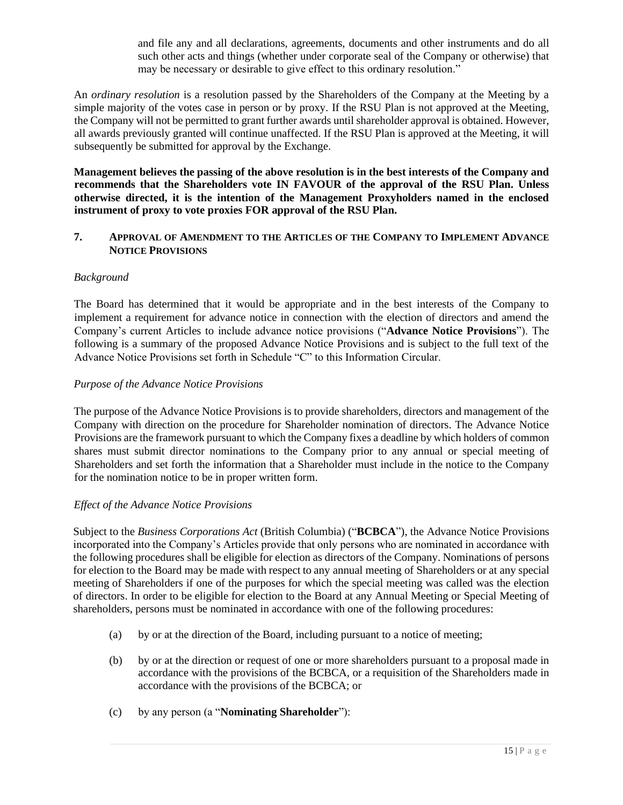and file any and all declarations, agreements, documents and other instruments and do all such other acts and things (whether under corporate seal of the Company or otherwise) that may be necessary or desirable to give effect to this ordinary resolution."

An *ordinary resolution* is a resolution passed by the Shareholders of the Company at the Meeting by a simple majority of the votes case in person or by proxy. If the RSU Plan is not approved at the Meeting, the Company will not be permitted to grant further awards until shareholder approval is obtained. However, all awards previously granted will continue unaffected. If the RSU Plan is approved at the Meeting, it will subsequently be submitted for approval by the Exchange.

**Management believes the passing of the above resolution is in the best interests of the Company and recommends that the Shareholders vote IN FAVOUR of the approval of the RSU Plan. Unless otherwise directed, it is the intention of the Management Proxyholders named in the enclosed instrument of proxy to vote proxies FOR approval of the RSU Plan.**

#### **7. APPROVAL OF AMENDMENT TO THE ARTICLES OF THE COMPANY TO IMPLEMENT ADVANCE NOTICE PROVISIONS**

## *Background*

The Board has determined that it would be appropriate and in the best interests of the Company to implement a requirement for advance notice in connection with the election of directors and amend the Company's current Articles to include advance notice provisions ("**Advance Notice Provisions**"). The following is a summary of the proposed Advance Notice Provisions and is subject to the full text of the Advance Notice Provisions set forth in Schedule "C" to this Information Circular.

#### *Purpose of the Advance Notice Provisions*

The purpose of the Advance Notice Provisions is to provide shareholders, directors and management of the Company with direction on the procedure for Shareholder nomination of directors. The Advance Notice Provisions are the framework pursuant to which the Company fixes a deadline by which holders of common shares must submit director nominations to the Company prior to any annual or special meeting of Shareholders and set forth the information that a Shareholder must include in the notice to the Company for the nomination notice to be in proper written form.

#### *Effect of the Advance Notice Provisions*

Subject to the *Business Corporations Act* (British Columbia) ("**BCBCA**"), the Advance Notice Provisions incorporated into the Company's Articles provide that only persons who are nominated in accordance with the following procedures shall be eligible for election as directors of the Company. Nominations of persons for election to the Board may be made with respect to any annual meeting of Shareholders or at any special meeting of Shareholders if one of the purposes for which the special meeting was called was the election of directors. In order to be eligible for election to the Board at any Annual Meeting or Special Meeting of shareholders, persons must be nominated in accordance with one of the following procedures:

- (a) by or at the direction of the Board, including pursuant to a notice of meeting;
- (b) by or at the direction or request of one or more shareholders pursuant to a proposal made in accordance with the provisions of the BCBCA, or a requisition of the Shareholders made in accordance with the provisions of the BCBCA; or
- (c) by any person (a "**Nominating Shareholder**"):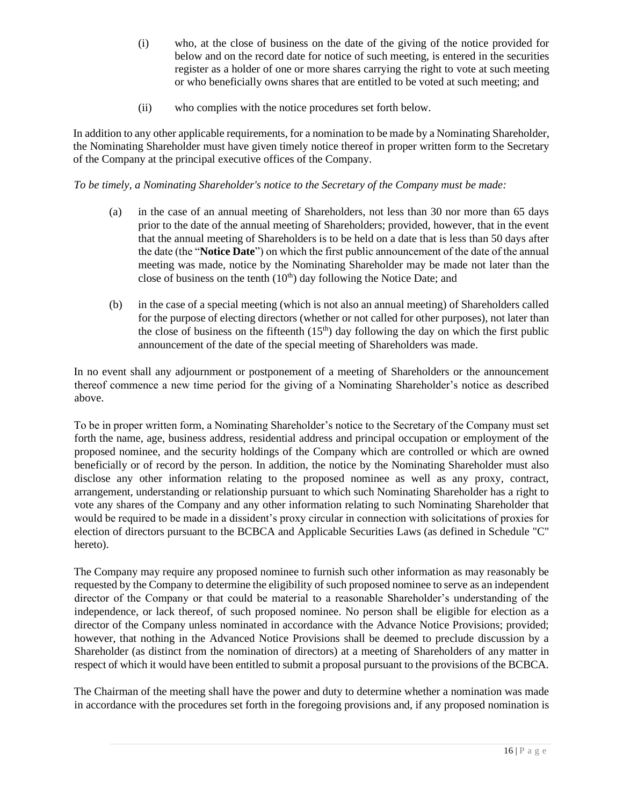- (i) who, at the close of business on the date of the giving of the notice provided for below and on the record date for notice of such meeting, is entered in the securities register as a holder of one or more shares carrying the right to vote at such meeting or who beneficially owns shares that are entitled to be voted at such meeting; and
- (ii) who complies with the notice procedures set forth below.

In addition to any other applicable requirements, for a nomination to be made by a Nominating Shareholder, the Nominating Shareholder must have given timely notice thereof in proper written form to the Secretary of the Company at the principal executive offices of the Company.

*To be timely, a Nominating Shareholder's notice to the Secretary of the Company must be made:*

- (a) in the case of an annual meeting of Shareholders, not less than 30 nor more than 65 days prior to the date of the annual meeting of Shareholders; provided, however, that in the event that the annual meeting of Shareholders is to be held on a date that is less than 50 days after the date (the "**Notice Date**") on which the first public announcement of the date of the annual meeting was made, notice by the Nominating Shareholder may be made not later than the close of business on the tenth  $(10<sup>th</sup>)$  day following the Notice Date; and
- (b) in the case of a special meeting (which is not also an annual meeting) of Shareholders called for the purpose of electing directors (whether or not called for other purposes), not later than the close of business on the fifteenth  $(15<sup>th</sup>)$  day following the day on which the first public announcement of the date of the special meeting of Shareholders was made.

In no event shall any adjournment or postponement of a meeting of Shareholders or the announcement thereof commence a new time period for the giving of a Nominating Shareholder's notice as described above.

To be in proper written form, a Nominating Shareholder's notice to the Secretary of the Company must set forth the name, age, business address, residential address and principal occupation or employment of the proposed nominee, and the security holdings of the Company which are controlled or which are owned beneficially or of record by the person. In addition, the notice by the Nominating Shareholder must also disclose any other information relating to the proposed nominee as well as any proxy, contract, arrangement, understanding or relationship pursuant to which such Nominating Shareholder has a right to vote any shares of the Company and any other information relating to such Nominating Shareholder that would be required to be made in a dissident's proxy circular in connection with solicitations of proxies for election of directors pursuant to the BCBCA and Applicable Securities Laws (as defined in Schedule "C" hereto).

The Company may require any proposed nominee to furnish such other information as may reasonably be requested by the Company to determine the eligibility of such proposed nominee to serve as an independent director of the Company or that could be material to a reasonable Shareholder's understanding of the independence, or lack thereof, of such proposed nominee. No person shall be eligible for election as a director of the Company unless nominated in accordance with the Advance Notice Provisions; provided; however, that nothing in the Advanced Notice Provisions shall be deemed to preclude discussion by a Shareholder (as distinct from the nomination of directors) at a meeting of Shareholders of any matter in respect of which it would have been entitled to submit a proposal pursuant to the provisions of the BCBCA.

The Chairman of the meeting shall have the power and duty to determine whether a nomination was made in accordance with the procedures set forth in the foregoing provisions and, if any proposed nomination is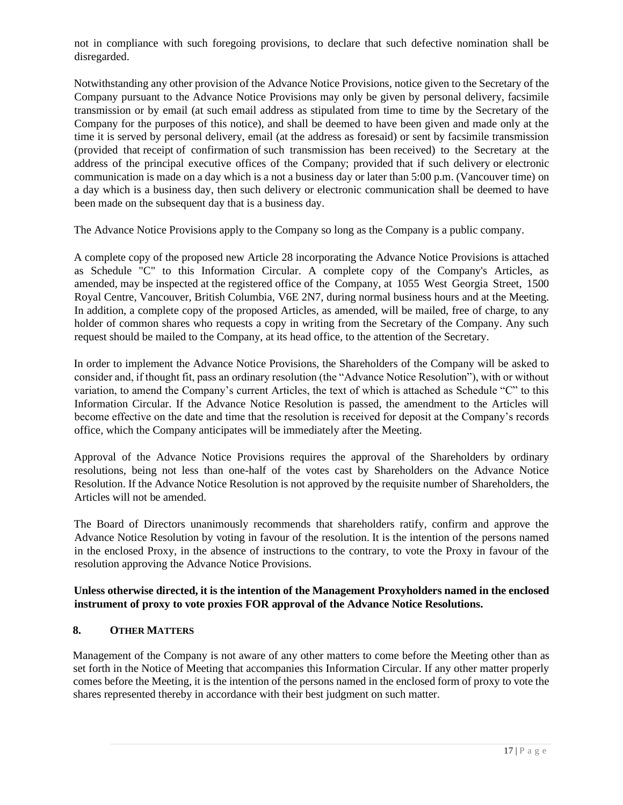not in compliance with such foregoing provisions, to declare that such defective nomination shall be disregarded.

Notwithstanding any other provision of the Advance Notice Provisions, notice given to the Secretary of the Company pursuant to the Advance Notice Provisions may only be given by personal delivery, facsimile transmission or by email (at such email address as stipulated from time to time by the Secretary of the Company for the purposes of this notice), and shall be deemed to have been given and made only at the time it is served by personal delivery, email (at the address as foresaid) or sent by facsimile transmission (provided that receipt of confirmation of such transmission has been received) to the Secretary at the address of the principal executive offices of the Company; provided that if such delivery or electronic communication is made on a day which is a not a business day or later than 5:00 p.m. (Vancouver time) on a day which is a business day, then such delivery or electronic communication shall be deemed to have been made on the subsequent day that is a business day.

The Advance Notice Provisions apply to the Company so long as the Company is a public company.

A complete copy of the proposed new Article 28 incorporating the Advance Notice Provisions is attached as Schedule "C" to this Information Circular. A complete copy of the Company's Articles, as amended, may be inspected at the registered office of the Company, at 1055 West Georgia Street, 1500 Royal Centre, Vancouver, British Columbia, V6E 2N7, during normal business hours and at the Meeting. In addition, a complete copy of the proposed Articles, as amended, will be mailed, free of charge, to any holder of common shares who requests a copy in writing from the Secretary of the Company. Any such request should be mailed to the Company, at its head office, to the attention of the Secretary.

In order to implement the Advance Notice Provisions, the Shareholders of the Company will be asked to consider and, if thought fit, pass an ordinary resolution (the "Advance Notice Resolution"), with or without variation, to amend the Company's current Articles, the text of which is attached as Schedule "C" to this Information Circular. If the Advance Notice Resolution is passed, the amendment to the Articles will become effective on the date and time that the resolution is received for deposit at the Company's records office, which the Company anticipates will be immediately after the Meeting.

Approval of the Advance Notice Provisions requires the approval of the Shareholders by ordinary resolutions, being not less than one-half of the votes cast by Shareholders on the Advance Notice Resolution. If the Advance Notice Resolution is not approved by the requisite number of Shareholders, the Articles will not be amended.

The Board of Directors unanimously recommends that shareholders ratify, confirm and approve the Advance Notice Resolution by voting in favour of the resolution. It is the intention of the persons named in the enclosed Proxy, in the absence of instructions to the contrary, to vote the Proxy in favour of the resolution approving the Advance Notice Provisions.

## **Unless otherwise directed, it is the intention of the Management Proxyholders named in the enclosed instrument of proxy to vote proxies FOR approval of the Advance Notice Resolutions.**

## **8. OTHER MATTERS**

Management of the Company is not aware of any other matters to come before the Meeting other than as set forth in the Notice of Meeting that accompanies this Information Circular. If any other matter properly comes before the Meeting, it is the intention of the persons named in the enclosed form of proxy to vote the shares represented thereby in accordance with their best judgment on such matter.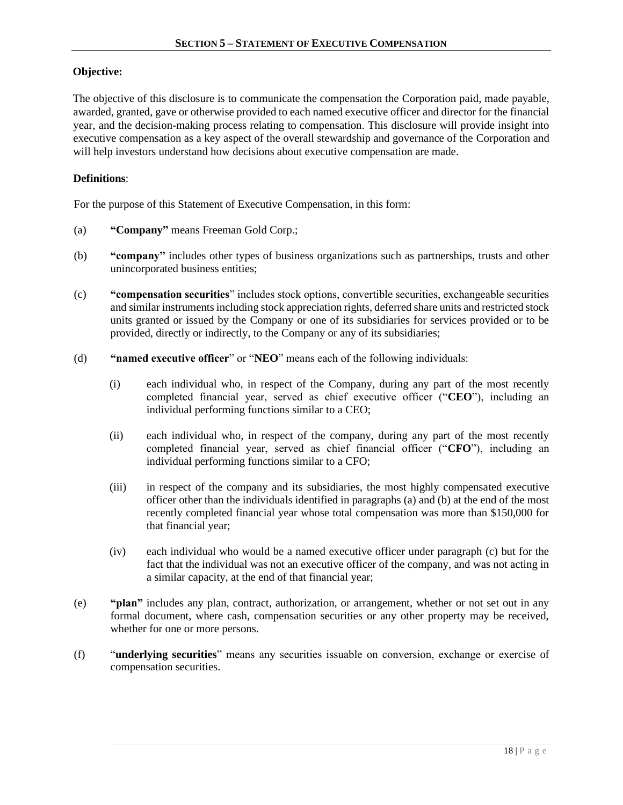## **Objective:**

The objective of this disclosure is to communicate the compensation the Corporation paid, made payable, awarded, granted, gave or otherwise provided to each named executive officer and director for the financial year, and the decision-making process relating to compensation. This disclosure will provide insight into executive compensation as a key aspect of the overall stewardship and governance of the Corporation and will help investors understand how decisions about executive compensation are made.

#### **Definitions**:

For the purpose of this Statement of Executive Compensation, in this form:

- (a) **"Company"** means Freeman Gold Corp.;
- (b) **"company"** includes other types of business organizations such as partnerships, trusts and other unincorporated business entities;
- (c) **"compensation securities**" includes stock options, convertible securities, exchangeable securities and similar instruments including stock appreciation rights, deferred share units and restricted stock units granted or issued by the Company or one of its subsidiaries for services provided or to be provided, directly or indirectly, to the Company or any of its subsidiaries;
- (d) **"named executive officer**" or "**NEO**" means each of the following individuals:
	- (i) each individual who, in respect of the Company, during any part of the most recently completed financial year, served as chief executive officer ("**CEO**"), including an individual performing functions similar to a CEO;
	- (ii) each individual who, in respect of the company, during any part of the most recently completed financial year, served as chief financial officer ("**CFO**"), including an individual performing functions similar to a CFO;
	- (iii) in respect of the company and its subsidiaries, the most highly compensated executive officer other than the individuals identified in paragraphs (a) and (b) at the end of the most recently completed financial year whose total compensation was more than \$150,000 for that financial year;
	- (iv) each individual who would be a named executive officer under paragraph (c) but for the fact that the individual was not an executive officer of the company, and was not acting in a similar capacity, at the end of that financial year;
- (e) **"plan"** includes any plan, contract, authorization, or arrangement, whether or not set out in any formal document, where cash, compensation securities or any other property may be received, whether for one or more persons.
- (f) "**underlying securities**" means any securities issuable on conversion, exchange or exercise of compensation securities.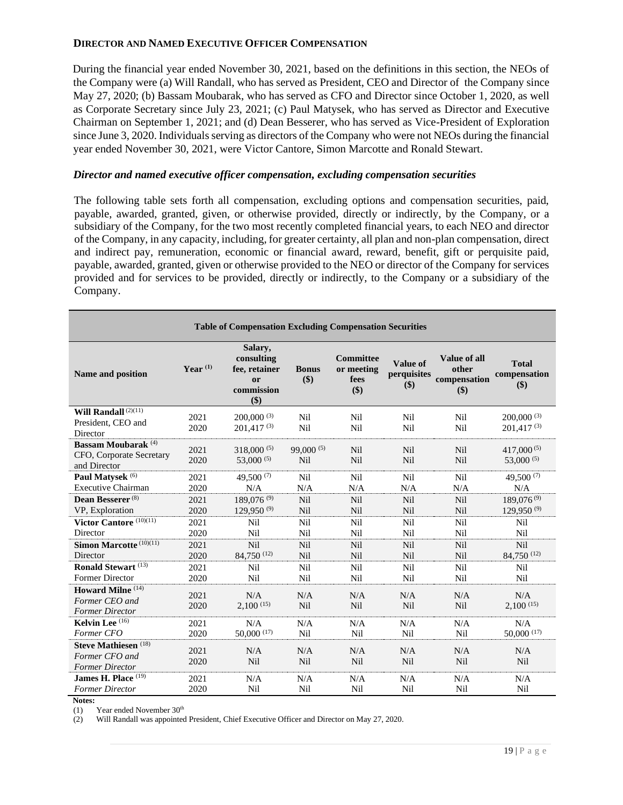#### **DIRECTOR AND NAMED EXECUTIVE OFFICER COMPENSATION**

During the financial year ended November 30, 2021, based on the definitions in this section, the NEOs of the Company were (a) Will Randall, who has served as President, CEO and Director of the Company since May 27, 2020; (b) Bassam Moubarak, who has served as CFO and Director since October 1, 2020, as well as Corporate Secretary since July 23, 2021; (c) Paul Matysek, who has served as Director and Executive Chairman on September 1, 2021; and (d) Dean Besserer, who has served as Vice-President of Exploration since June 3, 2020. Individuals serving as directors of the Company who were not NEOs during the financial year ended November 30, 2021, were Victor Cantore, Simon Marcotte and Ronald Stewart.

#### *Director and named executive officer compensation, excluding compensation securities*

The following table sets forth all compensation, excluding options and compensation securities, paid, payable, awarded, granted, given, or otherwise provided, directly or indirectly, by the Company, or a subsidiary of the Company, for the two most recently completed financial years, to each NEO and director of the Company, in any capacity, including, for greater certainty, all plan and non-plan compensation, direct and indirect pay, remuneration, economic or financial award, reward, benefit, gift or perquisite paid, payable, awarded, granted, given or otherwise provided to the NEO or director of the Company for services provided and for services to be provided, directly or indirectly, to the Company or a subsidiary of the Company.

| <b>Table of Compensation Excluding Compensation Securities</b> |            |                                                                              |                     |                                          |                                |                                              |                                     |
|----------------------------------------------------------------|------------|------------------------------------------------------------------------------|---------------------|------------------------------------------|--------------------------------|----------------------------------------------|-------------------------------------|
| Name and position                                              | Year $(1)$ | Salary,<br>consulting<br>fee, retainer<br><sub>or</sub><br>commission<br>\$) | <b>Bonus</b><br>\$) | Committee<br>or meeting<br>fees<br>$($)$ | Value of<br>perquisites<br>\$) | Value of all<br>other<br>compensation<br>\$) | <b>Total</b><br>compensation<br>\$) |
| Will Randall $\overline{^{(2)(11)}}$                           | 2021       | $200,000^{(3)}$                                                              | Nil                 | Nil                                      | Nil                            | Nil                                          | $200,000^{(3)}$                     |
| President, CEO and<br>Director                                 | 2020       | $201.417^{(3)}$                                                              | Nil                 | Nil                                      | Nil                            | Nil                                          | $201.417^{(3)}$                     |
| <b>Bassam Moubarak</b> (4)                                     | 2021       | $318,000^{(5)}$                                                              | $99,000^{(5)}$      | Nil                                      | <b>Nil</b>                     | Nil                                          | $417,000^{(5)}$                     |
| CFO, Corporate Secretary<br>and Director                       | 2020       | 53,000 $(5)$                                                                 | Nil                 | Nil                                      | Nil                            | Nil                                          | 53,000 $(5)$                        |
| Paul Matysek <sup>(6)</sup>                                    | 2021       | 49,500 $(7)$                                                                 | Nil                 | Nil                                      | Nil                            | Nil                                          | 49,500 $(7)$                        |
| <b>Executive Chairman</b>                                      | 2020       | N/A                                                                          | N/A                 | N/A                                      | N/A                            | N/A                                          | N/A                                 |
| Dean Besserer <sup>(8)</sup>                                   | 2021       | $189,076^{(9)}$                                                              | Nil                 | Nil                                      | <b>Nil</b>                     | Nil                                          | $189,076^{(9)}$                     |
| VP, Exploration                                                | 2020       | $129.950^{(9)}$                                                              | Nil                 | Nil                                      | Nil                            | Nil                                          | $129.950^{(9)}$                     |
| Victor Cantore <sup>(10)(11)</sup>                             | 2021       | Nil                                                                          | Nil                 | Nil                                      | Nil                            | Nil                                          | Nil                                 |
| Director                                                       | 2020       | Nil                                                                          | Nil                 | Nil                                      | Nil                            | Nil                                          | Nil                                 |
| Simon Marcotte (10)(11)                                        | 2021       | Nil                                                                          | Nil                 | Nil                                      | Nil                            | Nil                                          | Nil                                 |
| Director                                                       | 2020       | $84,750^{(12)}$                                                              | Nil                 | Nil                                      | Nil                            | Nil                                          | 84,750 (12)                         |
| Ronald Stewart <sup>(13)</sup>                                 | 2021       | Nil                                                                          | Nil                 | Nil                                      | Nil                            | Nil                                          | Nil                                 |
| Former Director                                                | 2020       | Nil                                                                          | Nil                 | Nil                                      | Nil                            | Nil                                          | Nil                                 |
| <b>Howard Milne</b> <sup>(14)</sup>                            | 2021       | N/A                                                                          | N/A                 | N/A                                      | N/A                            | N/A                                          | N/A                                 |
| Former CEO and                                                 | 2020       | $2,100^{(15)}$                                                               | Nil                 | Nil                                      | Nil                            | Nil                                          | $2,100^{(15)}$                      |
| <b>Former Director</b>                                         |            |                                                                              |                     |                                          |                                |                                              |                                     |
| Kelvin Lee (16)                                                | 2021       | N/A                                                                          | N/A                 | N/A                                      | N/A                            | N/A                                          | N/A                                 |
| Former CFO                                                     | 2020       | $50,000$ (17)                                                                | Nil                 | Nil                                      | Nil                            | Nil                                          | $50,000^{(17)}$                     |
| Steve Mathiesen <sup>(18)</sup>                                | 2021       | N/A                                                                          | N/A                 | N/A                                      | N/A                            | N/A                                          | N/A                                 |
| Former CFO and                                                 | 2020       | Nil                                                                          | Nil                 | Nil                                      | Nil                            | Nil                                          | Nil                                 |
| <b>Former Director</b>                                         |            |                                                                              |                     |                                          |                                |                                              |                                     |
| James H. Place $(19)$                                          | 2021       | N/A                                                                          | N/A                 | N/A                                      | N/A                            | N/A                                          | N/A                                 |
| <b>Former Director</b>                                         | 2020       | Nil                                                                          | Nil                 | Nil                                      | Nil                            | Nil                                          | Nil                                 |

**Notes:**

(1) Year ended November  $30<sup>th</sup>$ <br>(2) Will Randall was appointed

(2) Will Randall was appointed President, Chief Executive Officer and Director on May 27, 2020.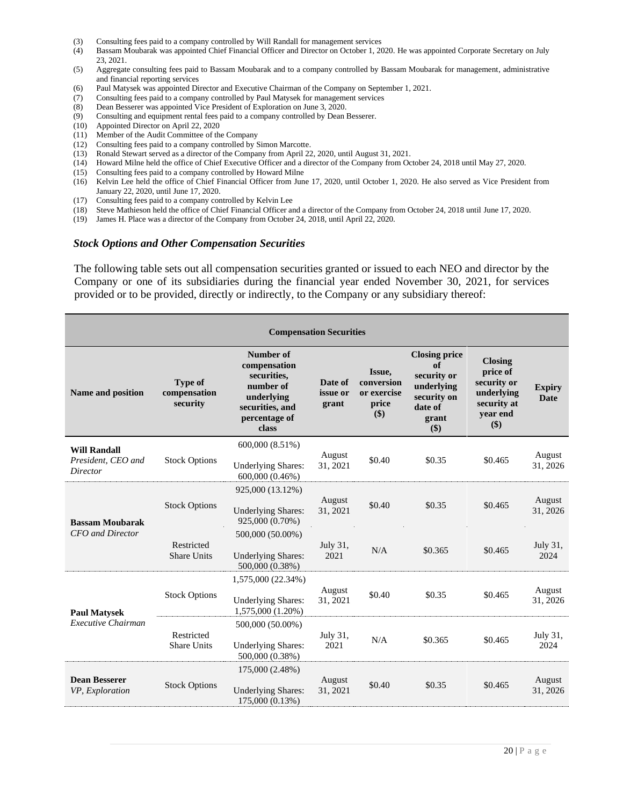- (3) Consulting fees paid to a company controlled by Will Randall for management services
- (4) Bassam Moubarak was appointed Chief Financial Officer and Director on October 1, 2020. He was appointed Corporate Secretary on July 23, 2021.
- (5) Aggregate consulting fees paid to Bassam Moubarak and to a company controlled by Bassam Moubarak for management, administrative and financial reporting services
- (6) Paul Matysek was appointed Director and Executive Chairman of the Company on September 1, 2021.
- (7) Consulting fees paid to a company controlled by Paul Matysek for management services
- (8) Dean Besserer was appointed Vice President of Exploration on June 3, 2020.
- (9) Consulting and equipment rental fees paid to a company controlled by Dean Besserer.
- (10) Appointed Director on April 22, 2020
- (11) Member of the Audit Committee of the Company
- (12) Consulting fees paid to a company controlled by Simon Marcotte.
- (13) Ronald Stewart served as a director of the Company from April 22, 2020, until August 31, 2021.
- (14) Howard Milne held the office of Chief Executive Officer and a director of the Company from October 24, 2018 until May 27, 2020.
- (15) Consulting fees paid to a company controlled by Howard Milne
- (16) Kelvin Lee held the office of Chief Financial Officer from June 17, 2020, until October 1, 2020. He also served as Vice President from January 22, 2020, until June 17, 2020.
- (17) Consulting fees paid to a company controlled by Kelvin Lee
- (18) Steve Mathieson held the office of Chief Financial Officer and a director of the Company from October 24, 2018 until June 17, 2020.
- (19) James H. Place was a director of the Company from October 24, 2018, until April 22, 2020.

#### *Stock Options and Other Compensation Securities*

The following table sets out all compensation securities granted or issued to each NEO and director by the Company or one of its subsidiaries during the financial year ended November 30, 2021, for services provided or to be provided, directly or indirectly, to the Company or any subsidiary thereof:

| <b>Compensation Securities</b>                        |                                            |                                                                                                                  |                              |                                                     |                                                                                                   |                                                                                           |                              |
|-------------------------------------------------------|--------------------------------------------|------------------------------------------------------------------------------------------------------------------|------------------------------|-----------------------------------------------------|---------------------------------------------------------------------------------------------------|-------------------------------------------------------------------------------------------|------------------------------|
| Name and position                                     | <b>Type of</b><br>compensation<br>security | Number of<br>compensation<br>securities,<br>number of<br>underlying<br>securities, and<br>percentage of<br>class | Date of<br>issue or<br>grant | Issue,<br>conversion<br>or exercise<br>price<br>\$) | <b>Closing price</b><br>of<br>security or<br>underlying<br>security on<br>date of<br>grant<br>\$) | <b>Closing</b><br>price of<br>security or<br>underlying<br>security at<br>vear end<br>\$) | <b>Expiry</b><br><b>Date</b> |
| <b>Will Randall</b><br>President, CEO and<br>Director | <b>Stock Options</b>                       | 600,000 (8.51%)<br><b>Underlying Shares:</b><br>600,000 (0.46%)                                                  | August<br>31, 2021           | \$0.40                                              | \$0.35                                                                                            | \$0.465                                                                                   | August<br>31, 2026           |
| <b>Bassam Moubarak</b><br><b>CFO</b> and Director     | <b>Stock Options</b>                       | 925,000 (13.12%)<br><b>Underlying Shares:</b><br>925,000 (0.70%)                                                 | August<br>31, 2021           | \$0.40                                              | \$0.35                                                                                            | \$0.465                                                                                   | August<br>31, 2026           |
|                                                       | Restricted<br><b>Share Units</b>           | 500,000 (50.00%)<br><b>Underlying Shares:</b><br>500,000 (0.38%)                                                 | July 31,<br>2021             | N/A                                                 | \$0.365                                                                                           | \$0.465                                                                                   | July 31,<br>2024             |
| <b>Paul Matysek</b><br>Executive Chairman             | <b>Stock Options</b>                       | 1,575,000 (22.34%)<br><b>Underlying Shares:</b><br>1,575,000 (1.20%)                                             | August<br>31, 2021           | \$0.40                                              | \$0.35                                                                                            | \$0.465                                                                                   | August<br>31, 2026           |
|                                                       | Restricted<br><b>Share Units</b>           | 500,000 (50.00%)<br><b>Underlying Shares:</b><br>500,000 (0.38%)                                                 | July 31,<br>2021             | N/A                                                 | \$0.365                                                                                           | \$0.465                                                                                   | July 31,<br>2024             |
| <b>Dean Besserer</b><br>VP, Exploration               | <b>Stock Options</b>                       | 175,000 (2.48%)<br><b>Underlying Shares:</b><br>175,000 (0.13%)                                                  | August<br>31, 2021           | \$0.40                                              | \$0.35                                                                                            | \$0.465                                                                                   | August<br>31, 2026           |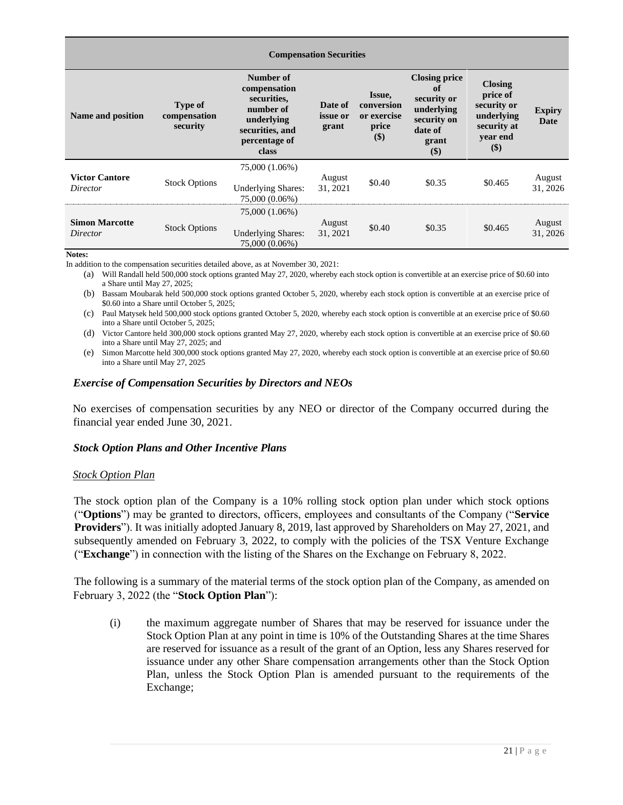| <b>Compensation Securities</b>    |                                            |                                                                                                                  |                                     |                                                         |                                                                                                     |                                                                                           |                       |
|-----------------------------------|--------------------------------------------|------------------------------------------------------------------------------------------------------------------|-------------------------------------|---------------------------------------------------------|-----------------------------------------------------------------------------------------------------|-------------------------------------------------------------------------------------------|-----------------------|
| Name and position                 | <b>Type of</b><br>compensation<br>security | Number of<br>compensation<br>securities,<br>number of<br>underlying<br>securities, and<br>percentage of<br>class | Date of<br><i>issue</i> or<br>grant | Issue,<br>conversion<br>or exercise<br>price<br>$($ \$) | <b>Closing price</b><br>of<br>security or<br>underlying<br>security on<br>date of<br>grant<br>$($)$ | <b>Closing</b><br>price of<br>security or<br>underlying<br>security at<br>vear end<br>\$) | <b>Expiry</b><br>Date |
| <b>Victor Cantore</b><br>Director | <b>Stock Options</b>                       | 75,000 (1.06%)<br><b>Underlying Shares:</b><br>75,000 (0.06%)                                                    | August<br>31, 2021                  | \$0.40                                                  | \$0.35                                                                                              | \$0.465                                                                                   | August<br>31, 2026    |
| <b>Simon Marcotte</b><br>Director | <b>Stock Options</b>                       | 75,000 (1.06%)<br><b>Underlying Shares:</b><br>75,000 (0.06%)                                                    | August<br>31, 2021                  | \$0.40                                                  | \$0.35                                                                                              | \$0.465                                                                                   | August<br>31, 2026    |

**Notes:**

In addition to the compensation securities detailed above, as at November 30, 2021:

(a) Will Randall held 500,000 stock options granted May 27, 2020, whereby each stock option is convertible at an exercise price of \$0.60 into a Share until May 27, 2025;

(b) Bassam Moubarak held 500,000 stock options granted October 5, 2020, whereby each stock option is convertible at an exercise price of \$0.60 into a Share until October 5, 2025;

(c) Paul Matysek held 500,000 stock options granted October 5, 2020, whereby each stock option is convertible at an exercise price of \$0.60 into a Share until October 5, 2025;

(d) Victor Cantore held 300,000 stock options granted May 27, 2020, whereby each stock option is convertible at an exercise price of \$0.60 into a Share until May 27, 2025; and

(e) Simon Marcotte held 300,000 stock options granted May 27, 2020, whereby each stock option is convertible at an exercise price of \$0.60 into a Share until May 27, 2025

#### *Exercise of Compensation Securities by Directors and NEOs*

No exercises of compensation securities by any NEO or director of the Company occurred during the financial year ended June 30, 2021.

#### *Stock Option Plans and Other Incentive Plans*

#### *Stock Option Plan*

The stock option plan of the Company is a 10% rolling stock option plan under which stock options ("**Options**") may be granted to directors, officers, employees and consultants of the Company ("**Service Providers**"). It was initially adopted January 8, 2019, last approved by Shareholders on May 27, 2021, and subsequently amended on February 3, 2022, to comply with the policies of the TSX Venture Exchange ("**Exchange**") in connection with the listing of the Shares on the Exchange on February 8, 2022.

The following is a summary of the material terms of the stock option plan of the Company, as amended on February 3, 2022 (the "**Stock Option Plan**"):

(i) the maximum aggregate number of Shares that may be reserved for issuance under the Stock Option Plan at any point in time is 10% of the Outstanding Shares at the time Shares are reserved for issuance as a result of the grant of an Option, less any Shares reserved for issuance under any other Share compensation arrangements other than the Stock Option Plan, unless the Stock Option Plan is amended pursuant to the requirements of the Exchange;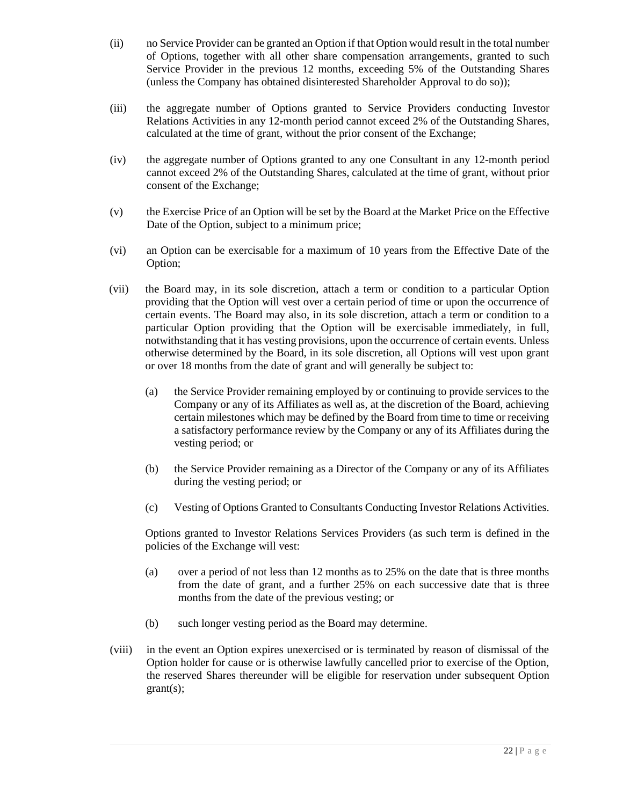- (ii) no Service Provider can be granted an Option if that Option would result in the total number of Options, together with all other share compensation arrangements, granted to such Service Provider in the previous 12 months, exceeding 5% of the Outstanding Shares (unless the Company has obtained disinterested Shareholder Approval to do so));
- (iii) the aggregate number of Options granted to Service Providers conducting Investor Relations Activities in any 12-month period cannot exceed 2% of the Outstanding Shares, calculated at the time of grant, without the prior consent of the Exchange;
- (iv) the aggregate number of Options granted to any one Consultant in any 12-month period cannot exceed 2% of the Outstanding Shares, calculated at the time of grant, without prior consent of the Exchange;
- (v) the Exercise Price of an Option will be set by the Board at the Market Price on the Effective Date of the Option, subject to a minimum price;
- (vi) an Option can be exercisable for a maximum of 10 years from the Effective Date of the Option;
- (vii) the Board may, in its sole discretion, attach a term or condition to a particular Option providing that the Option will vest over a certain period of time or upon the occurrence of certain events. The Board may also, in its sole discretion, attach a term or condition to a particular Option providing that the Option will be exercisable immediately, in full, notwithstanding that it has vesting provisions, upon the occurrence of certain events. Unless otherwise determined by the Board, in its sole discretion, all Options will vest upon grant or over 18 months from the date of grant and will generally be subject to:
	- (a) the Service Provider remaining employed by or continuing to provide services to the Company or any of its Affiliates as well as, at the discretion of the Board, achieving certain milestones which may be defined by the Board from time to time or receiving a satisfactory performance review by the Company or any of its Affiliates during the vesting period; or
	- (b) the Service Provider remaining as a Director of the Company or any of its Affiliates during the vesting period; or
	- (c) Vesting of Options Granted to Consultants Conducting Investor Relations Activities.

Options granted to Investor Relations Services Providers (as such term is defined in the policies of the Exchange will vest:

- (a) over a period of not less than 12 months as to 25% on the date that is three months from the date of grant, and a further 25% on each successive date that is three months from the date of the previous vesting; or
- (b) such longer vesting period as the Board may determine.
- (viii) in the event an Option expires unexercised or is terminated by reason of dismissal of the Option holder for cause or is otherwise lawfully cancelled prior to exercise of the Option, the reserved Shares thereunder will be eligible for reservation under subsequent Option grant(s);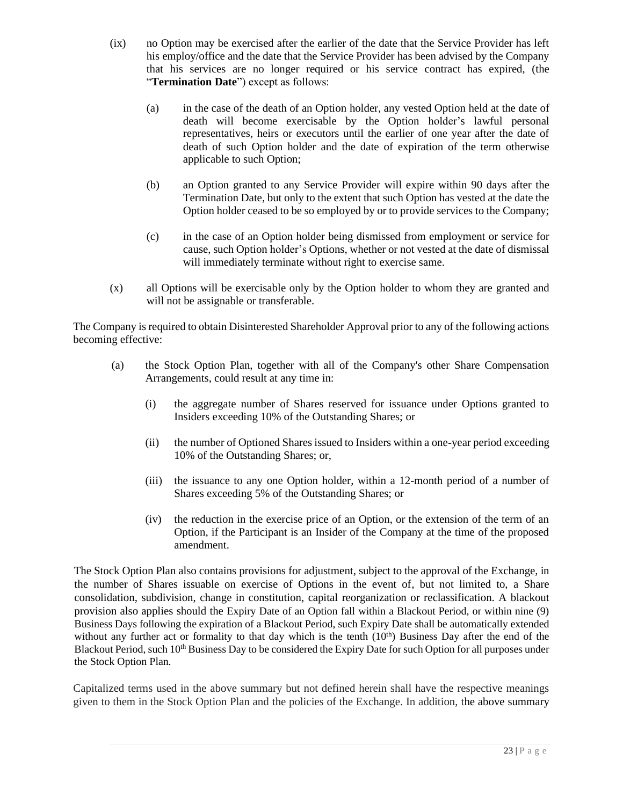- (ix) no Option may be exercised after the earlier of the date that the Service Provider has left his employ/office and the date that the Service Provider has been advised by the Company that his services are no longer required or his service contract has expired, (the "**Termination Date**") except as follows:
	- (a) in the case of the death of an Option holder, any vested Option held at the date of death will become exercisable by the Option holder's lawful personal representatives, heirs or executors until the earlier of one year after the date of death of such Option holder and the date of expiration of the term otherwise applicable to such Option;
	- (b) an Option granted to any Service Provider will expire within 90 days after the Termination Date, but only to the extent that such Option has vested at the date the Option holder ceased to be so employed by or to provide services to the Company;
	- (c) in the case of an Option holder being dismissed from employment or service for cause, such Option holder's Options, whether or not vested at the date of dismissal will immediately terminate without right to exercise same.
- (x) all Options will be exercisable only by the Option holder to whom they are granted and will not be assignable or transferable.

The Company is required to obtain Disinterested Shareholder Approval prior to any of the following actions becoming effective:

- (a) the Stock Option Plan, together with all of the Company's other Share Compensation Arrangements, could result at any time in:
	- (i) the aggregate number of Shares reserved for issuance under Options granted to Insiders exceeding 10% of the Outstanding Shares; or
	- (ii) the number of Optioned Shares issued to Insiders within a one-year period exceeding 10% of the Outstanding Shares; or,
	- (iii) the issuance to any one Option holder, within a 12-month period of a number of Shares exceeding 5% of the Outstanding Shares; or
	- (iv) the reduction in the exercise price of an Option, or the extension of the term of an Option, if the Participant is an Insider of the Company at the time of the proposed amendment.

The Stock Option Plan also contains provisions for adjustment, subject to the approval of the Exchange, in the number of Shares issuable on exercise of Options in the event of, but not limited to, a Share consolidation, subdivision, change in constitution, capital reorganization or reclassification. A blackout provision also applies should the Expiry Date of an Option fall within a Blackout Period, or within nine (9) Business Days following the expiration of a Blackout Period, such Expiry Date shall be automatically extended without any further act or formality to that day which is the tenth  $(10<sup>th</sup>)$  Business Day after the end of the Blackout Period, such 10<sup>th</sup> Business Day to be considered the Expiry Date for such Option for all purposes under the Stock Option Plan.

Capitalized terms used in the above summary but not defined herein shall have the respective meanings given to them in the Stock Option Plan and the policies of the Exchange. In addition, the above summary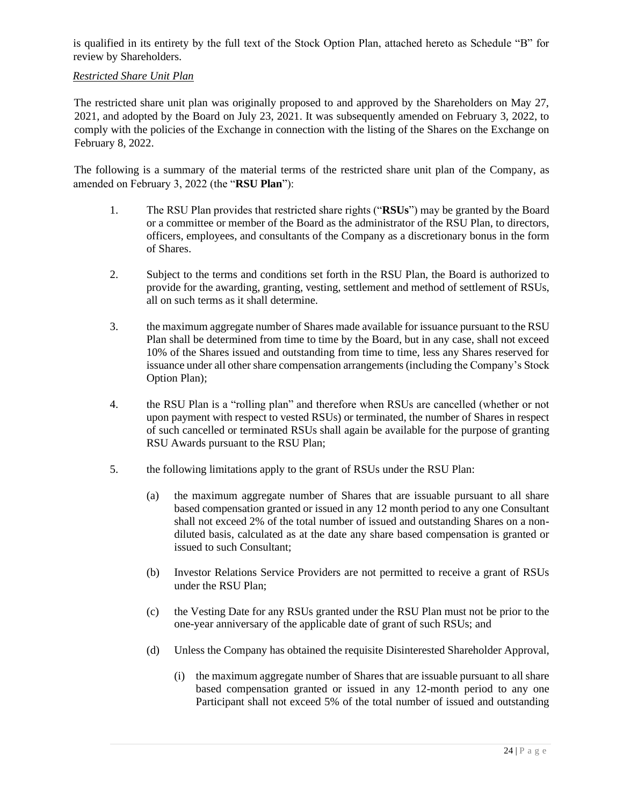is qualified in its entirety by the full text of the Stock Option Plan, attached hereto as Schedule "B" for review by Shareholders.

## *Restricted Share Unit Plan*

The restricted share unit plan was originally proposed to and approved by the Shareholders on May 27, 2021, and adopted by the Board on July 23, 2021. It was subsequently amended on February 3, 2022, to comply with the policies of the Exchange in connection with the listing of the Shares on the Exchange on February 8, 2022.

The following is a summary of the material terms of the restricted share unit plan of the Company, as amended on February 3, 2022 (the "**RSU Plan**"):

- 1. The RSU Plan provides that restricted share rights ("**RSUs**") may be granted by the Board or a committee or member of the Board as the administrator of the RSU Plan, to directors, officers, employees, and consultants of the Company as a discretionary bonus in the form of Shares.
- 2. Subject to the terms and conditions set forth in the RSU Plan, the Board is authorized to provide for the awarding, granting, vesting, settlement and method of settlement of RSUs, all on such terms as it shall determine.
- 3. the maximum aggregate number of Shares made available for issuance pursuant to the RSU Plan shall be determined from time to time by the Board, but in any case, shall not exceed 10% of the Shares issued and outstanding from time to time, less any Shares reserved for issuance under all other share compensation arrangements (including the Company's Stock Option Plan);
- 4. the RSU Plan is a "rolling plan" and therefore when RSUs are cancelled (whether or not upon payment with respect to vested RSUs) or terminated, the number of Shares in respect of such cancelled or terminated RSUs shall again be available for the purpose of granting RSU Awards pursuant to the RSU Plan;
- 5. the following limitations apply to the grant of RSUs under the RSU Plan:
	- (a) the maximum aggregate number of Shares that are issuable pursuant to all share based compensation granted or issued in any 12 month period to any one Consultant shall not exceed 2% of the total number of issued and outstanding Shares on a nondiluted basis, calculated as at the date any share based compensation is granted or issued to such Consultant;
	- (b) Investor Relations Service Providers are not permitted to receive a grant of RSUs under the RSU Plan;
	- (c) the Vesting Date for any RSUs granted under the RSU Plan must not be prior to the one-year anniversary of the applicable date of grant of such RSUs; and
	- (d) Unless the Company has obtained the requisite Disinterested Shareholder Approval,
		- (i) the maximum aggregate number of Shares that are issuable pursuant to all share based compensation granted or issued in any 12-month period to any one Participant shall not exceed 5% of the total number of issued and outstanding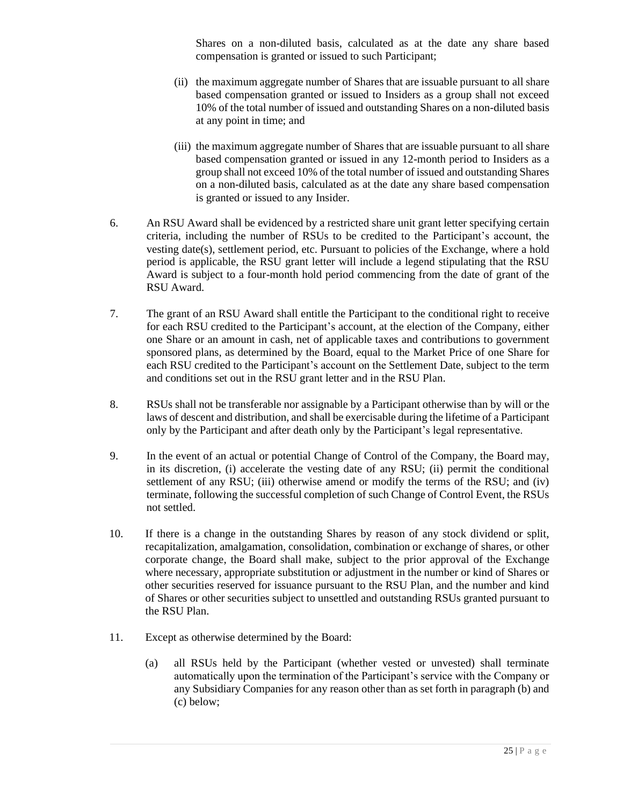Shares on a non-diluted basis, calculated as at the date any share based compensation is granted or issued to such Participant;

- (ii) the maximum aggregate number of Shares that are issuable pursuant to all share based compensation granted or issued to Insiders as a group shall not exceed 10% of the total number of issued and outstanding Shares on a non-diluted basis at any point in time; and
- (iii) the maximum aggregate number of Shares that are issuable pursuant to all share based compensation granted or issued in any 12-month period to Insiders as a group shall not exceed 10% of the total number of issued and outstanding Shares on a non-diluted basis, calculated as at the date any share based compensation is granted or issued to any Insider.
- 6. An RSU Award shall be evidenced by a restricted share unit grant letter specifying certain criteria, including the number of RSUs to be credited to the Participant's account, the vesting date(s), settlement period, etc. Pursuant to policies of the Exchange, where a hold period is applicable, the RSU grant letter will include a legend stipulating that the RSU Award is subject to a four-month hold period commencing from the date of grant of the RSU Award.
- 7. The grant of an RSU Award shall entitle the Participant to the conditional right to receive for each RSU credited to the Participant's account, at the election of the Company, either one Share or an amount in cash, net of applicable taxes and contributions to government sponsored plans, as determined by the Board, equal to the Market Price of one Share for each RSU credited to the Participant's account on the Settlement Date, subject to the term and conditions set out in the RSU grant letter and in the RSU Plan.
- 8. RSUs shall not be transferable nor assignable by a Participant otherwise than by will or the laws of descent and distribution, and shall be exercisable during the lifetime of a Participant only by the Participant and after death only by the Participant's legal representative.
- 9. In the event of an actual or potential Change of Control of the Company, the Board may, in its discretion, (i) accelerate the vesting date of any RSU; (ii) permit the conditional settlement of any RSU; (iii) otherwise amend or modify the terms of the RSU; and (iv) terminate, following the successful completion of such Change of Control Event, the RSUs not settled.
- 10. If there is a change in the outstanding Shares by reason of any stock dividend or split, recapitalization, amalgamation, consolidation, combination or exchange of shares, or other corporate change, the Board shall make, subject to the prior approval of the Exchange where necessary, appropriate substitution or adjustment in the number or kind of Shares or other securities reserved for issuance pursuant to the RSU Plan, and the number and kind of Shares or other securities subject to unsettled and outstanding RSUs granted pursuant to the RSU Plan.
- 11. Except as otherwise determined by the Board:
	- (a) all RSUs held by the Participant (whether vested or unvested) shall terminate automatically upon the termination of the Participant's service with the Company or any Subsidiary Companies for any reason other than as set forth in paragraph (b) and (c) below;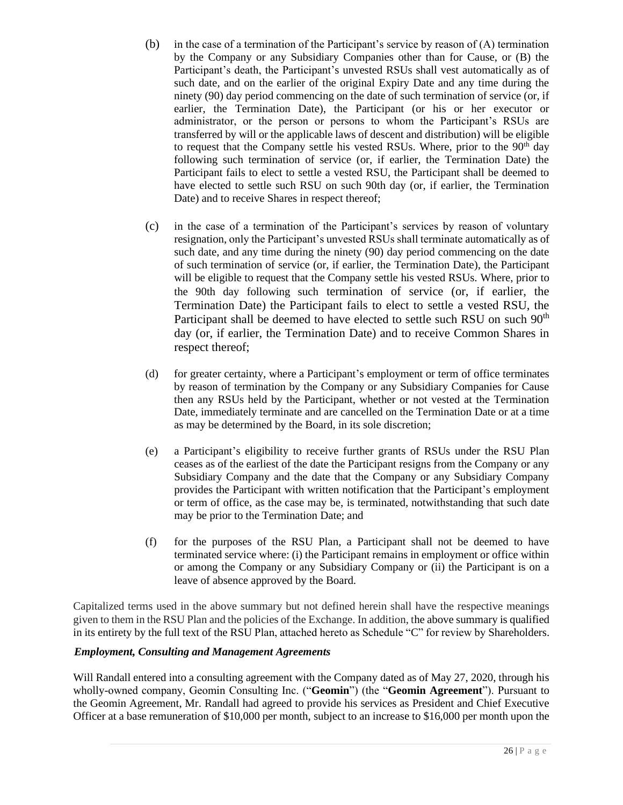- (b) in the case of a termination of the Participant's service by reason of (A) termination by the Company or any Subsidiary Companies other than for Cause, or (B) the Participant's death, the Participant's unvested RSUs shall vest automatically as of such date, and on the earlier of the original Expiry Date and any time during the ninety (90) day period commencing on the date of such termination of service (or, if earlier, the Termination Date), the Participant (or his or her executor or administrator, or the person or persons to whom the Participant's RSUs are transferred by will or the applicable laws of descent and distribution) will be eligible to request that the Company settle his vested RSUs. Where, prior to the  $90<sup>th</sup>$  day following such termination of service (or, if earlier, the Termination Date) the Participant fails to elect to settle a vested RSU, the Participant shall be deemed to have elected to settle such RSU on such 90th day (or, if earlier, the Termination Date) and to receive Shares in respect thereof;
- (c) in the case of a termination of the Participant's services by reason of voluntary resignation, only the Participant's unvested RSUs shall terminate automatically as of such date, and any time during the ninety (90) day period commencing on the date of such termination of service (or, if earlier, the Termination Date), the Participant will be eligible to request that the Company settle his vested RSUs. Where, prior to the 90th day following such termination of service (or, if earlier, the Termination Date) the Participant fails to elect to settle a vested RSU, the Participant shall be deemed to have elected to settle such RSU on such  $90<sup>th</sup>$ day (or, if earlier, the Termination Date) and to receive Common Shares in respect thereof;
- (d) for greater certainty, where a Participant's employment or term of office terminates by reason of termination by the Company or any Subsidiary Companies for Cause then any RSUs held by the Participant, whether or not vested at the Termination Date, immediately terminate and are cancelled on the Termination Date or at a time as may be determined by the Board, in its sole discretion;
- (e) a Participant's eligibility to receive further grants of RSUs under the RSU Plan ceases as of the earliest of the date the Participant resigns from the Company or any Subsidiary Company and the date that the Company or any Subsidiary Company provides the Participant with written notification that the Participant's employment or term of office, as the case may be, is terminated, notwithstanding that such date may be prior to the Termination Date; and
- (f) for the purposes of the RSU Plan, a Participant shall not be deemed to have terminated service where: (i) the Participant remains in employment or office within or among the Company or any Subsidiary Company or (ii) the Participant is on a leave of absence approved by the Board.

Capitalized terms used in the above summary but not defined herein shall have the respective meanings given to them in the RSU Plan and the policies of the Exchange. In addition, the above summary is qualified in its entirety by the full text of the RSU Plan, attached hereto as Schedule "C" for review by Shareholders.

## *Employment, Consulting and Management Agreements*

Will Randall entered into a consulting agreement with the Company dated as of May 27, 2020, through his wholly-owned company, Geomin Consulting Inc. ("**Geomin**") (the "**Geomin Agreement**"). Pursuant to the Geomin Agreement, Mr. Randall had agreed to provide his services as President and Chief Executive Officer at a base remuneration of \$10,000 per month, subject to an increase to \$16,000 per month upon the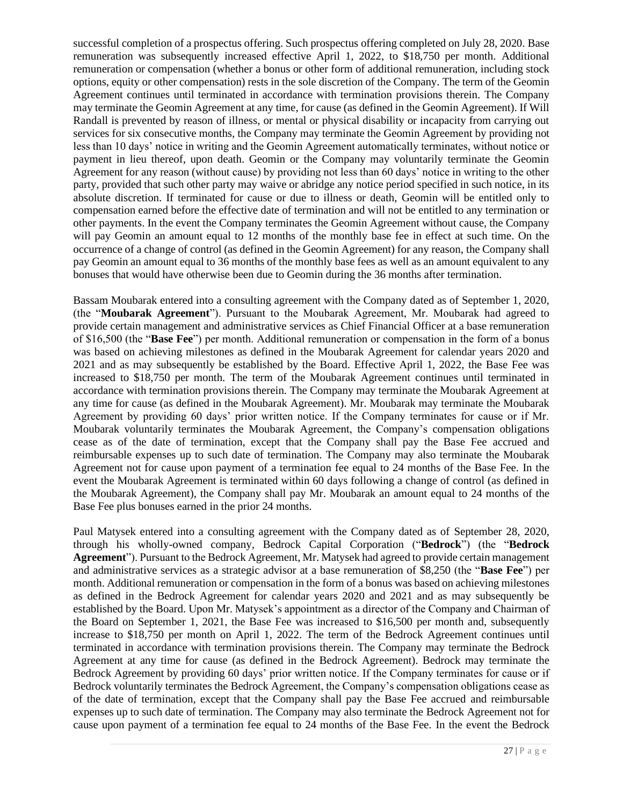successful completion of a prospectus offering. Such prospectus offering completed on July 28, 2020. Base remuneration was subsequently increased effective April 1, 2022, to \$18,750 per month. Additional remuneration or compensation (whether a bonus or other form of additional remuneration, including stock options, equity or other compensation) rests in the sole discretion of the Company. The term of the Geomin Agreement continues until terminated in accordance with termination provisions therein. The Company may terminate the Geomin Agreement at any time, for cause (as defined in the Geomin Agreement). If Will Randall is prevented by reason of illness, or mental or physical disability or incapacity from carrying out services for six consecutive months, the Company may terminate the Geomin Agreement by providing not less than 10 days' notice in writing and the Geomin Agreement automatically terminates, without notice or payment in lieu thereof, upon death. Geomin or the Company may voluntarily terminate the Geomin Agreement for any reason (without cause) by providing not less than 60 days' notice in writing to the other party, provided that such other party may waive or abridge any notice period specified in such notice, in its absolute discretion. If terminated for cause or due to illness or death, Geomin will be entitled only to compensation earned before the effective date of termination and will not be entitled to any termination or other payments. In the event the Company terminates the Geomin Agreement without cause, the Company will pay Geomin an amount equal to 12 months of the monthly base fee in effect at such time. On the occurrence of a change of control (as defined in the Geomin Agreement) for any reason, the Company shall pay Geomin an amount equal to 36 months of the monthly base fees as well as an amount equivalent to any bonuses that would have otherwise been due to Geomin during the 36 months after termination.

Bassam Moubarak entered into a consulting agreement with the Company dated as of September 1, 2020, (the "**Moubarak Agreement**"). Pursuant to the Moubarak Agreement, Mr. Moubarak had agreed to provide certain management and administrative services as Chief Financial Officer at a base remuneration of \$16,500 (the "**Base Fee**") per month. Additional remuneration or compensation in the form of a bonus was based on achieving milestones as defined in the Moubarak Agreement for calendar years 2020 and 2021 and as may subsequently be established by the Board. Effective April 1, 2022, the Base Fee was increased to \$18,750 per month. The term of the Moubarak Agreement continues until terminated in accordance with termination provisions therein. The Company may terminate the Moubarak Agreement at any time for cause (as defined in the Moubarak Agreement). Mr. Moubarak may terminate the Moubarak Agreement by providing 60 days' prior written notice. If the Company terminates for cause or if Mr. Moubarak voluntarily terminates the Moubarak Agreement, the Company's compensation obligations cease as of the date of termination, except that the Company shall pay the Base Fee accrued and reimbursable expenses up to such date of termination. The Company may also terminate the Moubarak Agreement not for cause upon payment of a termination fee equal to 24 months of the Base Fee. In the event the Moubarak Agreement is terminated within 60 days following a change of control (as defined in the Moubarak Agreement), the Company shall pay Mr. Moubarak an amount equal to 24 months of the Base Fee plus bonuses earned in the prior 24 months.

Paul Matysek entered into a consulting agreement with the Company dated as of September 28, 2020, through his wholly-owned company, Bedrock Capital Corporation ("**Bedrock**") (the "**Bedrock Agreement**"). Pursuant to the Bedrock Agreement, Mr. Matysek had agreed to provide certain management and administrative services as a strategic advisor at a base remuneration of \$8,250 (the "**Base Fee**") per month. Additional remuneration or compensation in the form of a bonus was based on achieving milestones as defined in the Bedrock Agreement for calendar years 2020 and 2021 and as may subsequently be established by the Board. Upon Mr. Matysek's appointment as a director of the Company and Chairman of the Board on September 1, 2021, the Base Fee was increased to \$16,500 per month and, subsequently increase to \$18,750 per month on April 1, 2022. The term of the Bedrock Agreement continues until terminated in accordance with termination provisions therein. The Company may terminate the Bedrock Agreement at any time for cause (as defined in the Bedrock Agreement). Bedrock may terminate the Bedrock Agreement by providing 60 days' prior written notice. If the Company terminates for cause or if Bedrock voluntarily terminates the Bedrock Agreement, the Company's compensation obligations cease as of the date of termination, except that the Company shall pay the Base Fee accrued and reimbursable expenses up to such date of termination. The Company may also terminate the Bedrock Agreement not for cause upon payment of a termination fee equal to 24 months of the Base Fee. In the event the Bedrock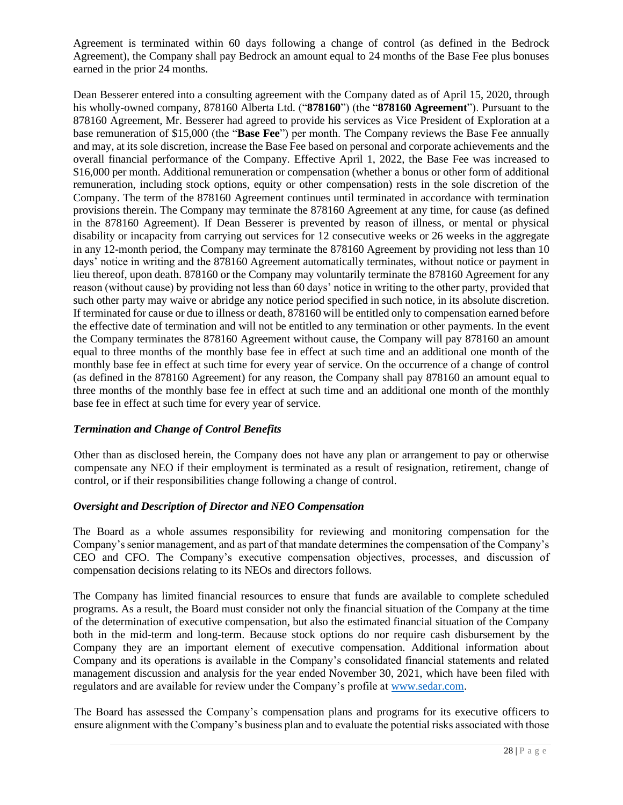Agreement is terminated within 60 days following a change of control (as defined in the Bedrock Agreement), the Company shall pay Bedrock an amount equal to 24 months of the Base Fee plus bonuses earned in the prior 24 months.

Dean Besserer entered into a consulting agreement with the Company dated as of April 15, 2020, through his wholly-owned company, 878160 Alberta Ltd. ("**878160**") (the "**878160 Agreement**"). Pursuant to the 878160 Agreement, Mr. Besserer had agreed to provide his services as Vice President of Exploration at a base remuneration of \$15,000 (the "**Base Fee**") per month. The Company reviews the Base Fee annually and may, at its sole discretion, increase the Base Fee based on personal and corporate achievements and the overall financial performance of the Company. Effective April 1, 2022, the Base Fee was increased to \$16,000 per month. Additional remuneration or compensation (whether a bonus or other form of additional remuneration, including stock options, equity or other compensation) rests in the sole discretion of the Company. The term of the 878160 Agreement continues until terminated in accordance with termination provisions therein. The Company may terminate the 878160 Agreement at any time, for cause (as defined in the 878160 Agreement). If Dean Besserer is prevented by reason of illness, or mental or physical disability or incapacity from carrying out services for 12 consecutive weeks or 26 weeks in the aggregate in any 12-month period, the Company may terminate the 878160 Agreement by providing not less than 10 days' notice in writing and the 878160 Agreement automatically terminates, without notice or payment in lieu thereof, upon death. 878160 or the Company may voluntarily terminate the 878160 Agreement for any reason (without cause) by providing not less than 60 days' notice in writing to the other party, provided that such other party may waive or abridge any notice period specified in such notice, in its absolute discretion. If terminated for cause or due to illness or death, 878160 will be entitled only to compensation earned before the effective date of termination and will not be entitled to any termination or other payments. In the event the Company terminates the 878160 Agreement without cause, the Company will pay 878160 an amount equal to three months of the monthly base fee in effect at such time and an additional one month of the monthly base fee in effect at such time for every year of service. On the occurrence of a change of control (as defined in the 878160 Agreement) for any reason, the Company shall pay 878160 an amount equal to three months of the monthly base fee in effect at such time and an additional one month of the monthly base fee in effect at such time for every year of service.

#### *Termination and Change of Control Benefits*

Other than as disclosed herein, the Company does not have any plan or arrangement to pay or otherwise compensate any NEO if their employment is terminated as a result of resignation, retirement, change of control, or if their responsibilities change following a change of control.

#### *Oversight and Description of Director and NEO Compensation*

The Board as a whole assumes responsibility for reviewing and monitoring compensation for the Company's senior management, and as part of that mandate determines the compensation of the Company's CEO and CFO. The Company's executive compensation objectives, processes, and discussion of compensation decisions relating to its NEOs and directors follows.

The Company has limited financial resources to ensure that funds are available to complete scheduled programs. As a result, the Board must consider not only the financial situation of the Company at the time of the determination of executive compensation, but also the estimated financial situation of the Company both in the mid-term and long-term. Because stock options do nor require cash disbursement by the Company they are an important element of executive compensation. Additional information about Company and its operations is available in the Company's consolidated financial statements and related management discussion and analysis for the year ended November 30, 2021, which have been filed with regulators and are available for review under the Company's profile at [www.sedar.com.](http://www.sedar.com/)

The Board has assessed the Company's compensation plans and programs for its executive officers to ensure alignment with the Company's business plan and to evaluate the potential risks associated with those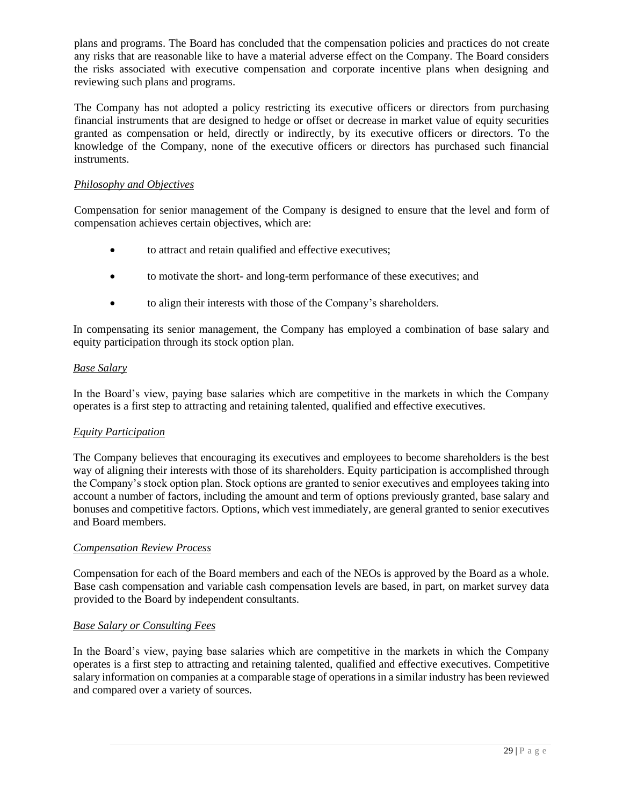plans and programs. The Board has concluded that the compensation policies and practices do not create any risks that are reasonable like to have a material adverse effect on the Company. The Board considers the risks associated with executive compensation and corporate incentive plans when designing and reviewing such plans and programs.

The Company has not adopted a policy restricting its executive officers or directors from purchasing financial instruments that are designed to hedge or offset or decrease in market value of equity securities granted as compensation or held, directly or indirectly, by its executive officers or directors. To the knowledge of the Company, none of the executive officers or directors has purchased such financial instruments.

## *Philosophy and Objectives*

Compensation for senior management of the Company is designed to ensure that the level and form of compensation achieves certain objectives, which are:

- to attract and retain qualified and effective executives;
- to motivate the short- and long-term performance of these executives; and
- to align their interests with those of the Company's shareholders.

In compensating its senior management, the Company has employed a combination of base salary and equity participation through its stock option plan.

#### *Base Salary*

In the Board's view, paying base salaries which are competitive in the markets in which the Company operates is a first step to attracting and retaining talented, qualified and effective executives.

#### *Equity Participation*

The Company believes that encouraging its executives and employees to become shareholders is the best way of aligning their interests with those of its shareholders. Equity participation is accomplished through the Company's stock option plan. Stock options are granted to senior executives and employees taking into account a number of factors, including the amount and term of options previously granted, base salary and bonuses and competitive factors. Options, which vest immediately, are general granted to senior executives and Board members.

#### *Compensation Review Process*

Compensation for each of the Board members and each of the NEOs is approved by the Board as a whole. Base cash compensation and variable cash compensation levels are based, in part, on market survey data provided to the Board by independent consultants.

#### *Base Salary or Consulting Fees*

In the Board's view, paying base salaries which are competitive in the markets in which the Company operates is a first step to attracting and retaining talented, qualified and effective executives. Competitive salary information on companies at a comparable stage of operations in a similar industry has been reviewed and compared over a variety of sources.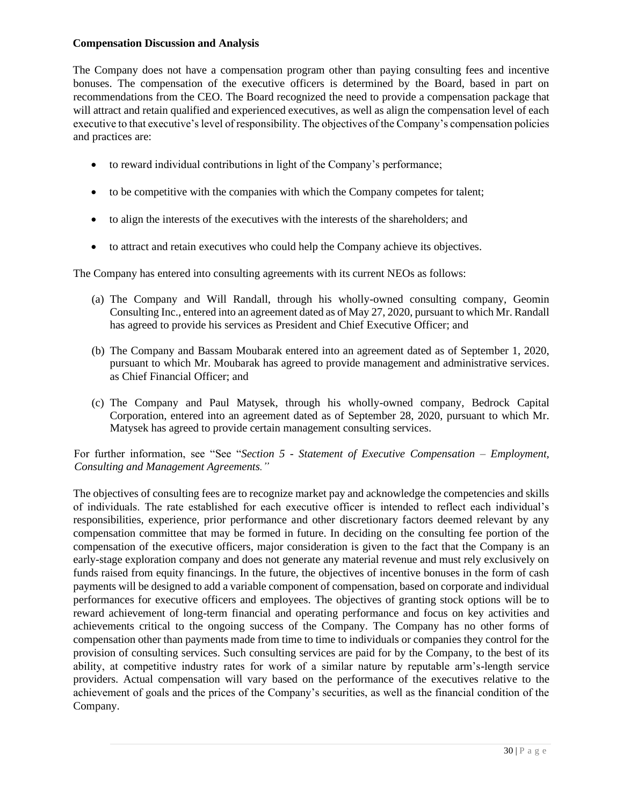#### **Compensation Discussion and Analysis**

The Company does not have a compensation program other than paying consulting fees and incentive bonuses. The compensation of the executive officers is determined by the Board, based in part on recommendations from the CEO. The Board recognized the need to provide a compensation package that will attract and retain qualified and experienced executives, as well as align the compensation level of each executive to that executive's level of responsibility. The objectives of the Company's compensation policies and practices are:

- to reward individual contributions in light of the Company's performance;
- to be competitive with the companies with which the Company competes for talent;
- to align the interests of the executives with the interests of the shareholders; and
- to attract and retain executives who could help the Company achieve its objectives.

The Company has entered into consulting agreements with its current NEOs as follows:

- (a) The Company and Will Randall, through his wholly-owned consulting company, Geomin Consulting Inc., entered into an agreement dated as of May 27, 2020, pursuant to which Mr. Randall has agreed to provide his services as President and Chief Executive Officer; and
- (b) The Company and Bassam Moubarak entered into an agreement dated as of September 1, 2020, pursuant to which Mr. Moubarak has agreed to provide management and administrative services. as Chief Financial Officer; and
- (c) The Company and Paul Matysek, through his wholly-owned company, Bedrock Capital Corporation, entered into an agreement dated as of September 28, 2020, pursuant to which Mr. Matysek has agreed to provide certain management consulting services.

## For further information, see "See "*Section 5 - Statement of Executive Compensation – Employment, Consulting and Management Agreements."*

The objectives of consulting fees are to recognize market pay and acknowledge the competencies and skills of individuals. The rate established for each executive officer is intended to reflect each individual's responsibilities, experience, prior performance and other discretionary factors deemed relevant by any compensation committee that may be formed in future. In deciding on the consulting fee portion of the compensation of the executive officers, major consideration is given to the fact that the Company is an early-stage exploration company and does not generate any material revenue and must rely exclusively on funds raised from equity financings. In the future, the objectives of incentive bonuses in the form of cash payments will be designed to add a variable component of compensation, based on corporate and individual performances for executive officers and employees. The objectives of granting stock options will be to reward achievement of long-term financial and operating performance and focus on key activities and achievements critical to the ongoing success of the Company. The Company has no other forms of compensation other than payments made from time to time to individuals or companies they control for the provision of consulting services. Such consulting services are paid for by the Company, to the best of its ability, at competitive industry rates for work of a similar nature by reputable arm's-length service providers. Actual compensation will vary based on the performance of the executives relative to the achievement of goals and the prices of the Company's securities, as well as the financial condition of the Company.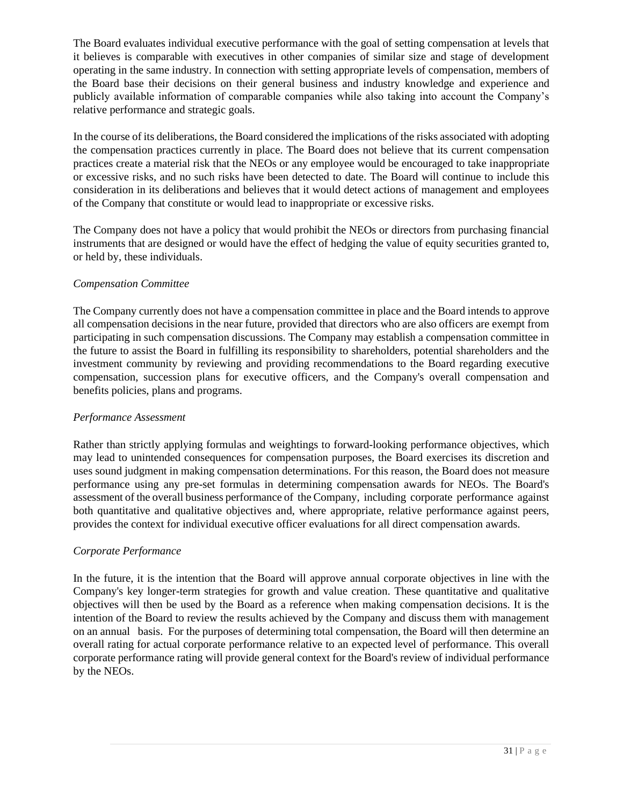The Board evaluates individual executive performance with the goal of setting compensation at levels that it believes is comparable with executives in other companies of similar size and stage of development operating in the same industry. In connection with setting appropriate levels of compensation, members of the Board base their decisions on their general business and industry knowledge and experience and publicly available information of comparable companies while also taking into account the Company's relative performance and strategic goals.

In the course of its deliberations, the Board considered the implications of the risks associated with adopting the compensation practices currently in place. The Board does not believe that its current compensation practices create a material risk that the NEOs or any employee would be encouraged to take inappropriate or excessive risks, and no such risks have been detected to date. The Board will continue to include this consideration in its deliberations and believes that it would detect actions of management and employees of the Company that constitute or would lead to inappropriate or excessive risks.

The Company does not have a policy that would prohibit the NEOs or directors from purchasing financial instruments that are designed or would have the effect of hedging the value of equity securities granted to, or held by, these individuals.

## *Compensation Committee*

The Company currently does not have a compensation committee in place and the Board intends to approve all compensation decisions in the near future, provided that directors who are also officers are exempt from participating in such compensation discussions. The Company may establish a compensation committee in the future to assist the Board in fulfilling its responsibility to shareholders, potential shareholders and the investment community by reviewing and providing recommendations to the Board regarding executive compensation, succession plans for executive officers, and the Company's overall compensation and benefits policies, plans and programs.

## *Performance Assessment*

Rather than strictly applying formulas and weightings to forward-looking performance objectives, which may lead to unintended consequences for compensation purposes, the Board exercises its discretion and uses sound judgment in making compensation determinations. For this reason, the Board does not measure performance using any pre-set formulas in determining compensation awards for NEOs. The Board's assessment of the overall business performance of the Company, including corporate performance against both quantitative and qualitative objectives and, where appropriate, relative performance against peers, provides the context for individual executive officer evaluations for all direct compensation awards.

## *Corporate Performance*

In the future, it is the intention that the Board will approve annual corporate objectives in line with the Company's key longer-term strategies for growth and value creation. These quantitative and qualitative objectives will then be used by the Board as a reference when making compensation decisions. It is the intention of the Board to review the results achieved by the Company and discuss them with management on an annual basis. For the purposes of determining total compensation, the Board will then determine an overall rating for actual corporate performance relative to an expected level of performance. This overall corporate performance rating will provide general context for the Board's review of individual performance by the NEOs.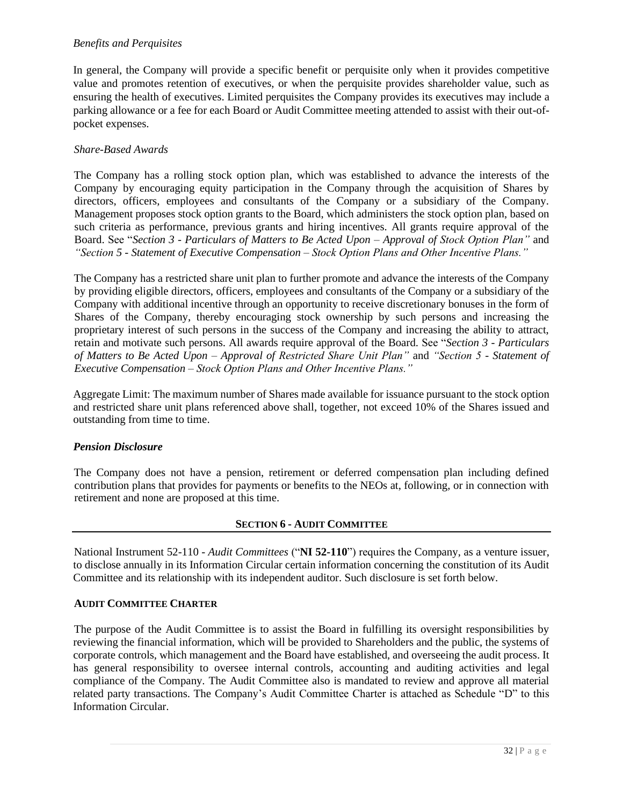#### *Benefits and Perquisites*

In general, the Company will provide a specific benefit or perquisite only when it provides competitive value and promotes retention of executives, or when the perquisite provides shareholder value, such as ensuring the health of executives. Limited perquisites the Company provides its executives may include a parking allowance or a fee for each Board or Audit Committee meeting attended to assist with their out-ofpocket expenses.

#### *Share-Based Awards*

The Company has a rolling stock option plan, which was established to advance the interests of the Company by encouraging equity participation in the Company through the acquisition of Shares by directors, officers, employees and consultants of the Company or a subsidiary of the Company. Management proposes stock option grants to the Board, which administers the stock option plan, based on such criteria as performance, previous grants and hiring incentives. All grants require approval of the Board. See "*Section 3 - Particulars of Matters to Be Acted Upon – Approval of Stock Option Plan"* and *"Section 5 - Statement of Executive Compensation – Stock Option Plans and Other Incentive Plans."* 

The Company has a restricted share unit plan to further promote and advance the interests of the Company by providing eligible directors, officers, employees and consultants of the Company or a subsidiary of the Company with additional incentive through an opportunity to receive discretionary bonuses in the form of Shares of the Company, thereby encouraging stock ownership by such persons and increasing the proprietary interest of such persons in the success of the Company and increasing the ability to attract, retain and motivate such persons. All awards require approval of the Board. See "*Section 3 - Particulars of Matters to Be Acted Upon – Approval of Restricted Share Unit Plan"* and *"Section 5 - Statement of Executive Compensation – Stock Option Plans and Other Incentive Plans."*

Aggregate Limit: The maximum number of Shares made available for issuance pursuant to the stock option and restricted share unit plans referenced above shall, together, not exceed 10% of the Shares issued and outstanding from time to time.

#### *Pension Disclosure*

The Company does not have a pension, retirement or deferred compensation plan including defined contribution plans that provides for payments or benefits to the NEOs at, following, or in connection with retirement and none are proposed at this time.

#### **SECTION 6 - AUDIT COMMITTEE**

National Instrument 52-110 - *Audit Committees* ("**NI 52-110**") requires the Company, as a venture issuer, to disclose annually in its Information Circular certain information concerning the constitution of its Audit Committee and its relationship with its independent auditor. Such disclosure is set forth below.

#### **AUDIT COMMITTEE CHARTER**

The purpose of the Audit Committee is to assist the Board in fulfilling its oversight responsibilities by reviewing the financial information, which will be provided to Shareholders and the public, the systems of corporate controls, which management and the Board have established, and overseeing the audit process. It has general responsibility to oversee internal controls, accounting and auditing activities and legal compliance of the Company. The Audit Committee also is mandated to review and approve all material related party transactions. The Company's Audit Committee Charter is attached as Schedule "D" to this Information Circular.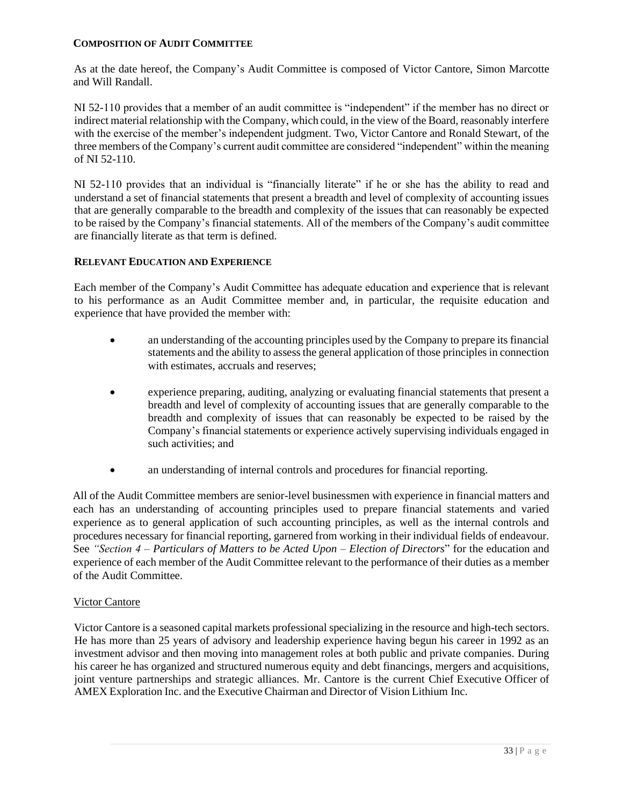#### **COMPOSITION OF AUDIT COMMITTEE**

As at the date hereof, the Company's Audit Committee is composed of Victor Cantore, Simon Marcotte and Will Randall.

NI 52-110 provides that a member of an audit committee is "independent" if the member has no direct or indirect material relationship with the Company, which could, in the view of the Board, reasonably interfere with the exercise of the member's independent judgment. Two, Victor Cantore and Ronald Stewart, of the three members of the Company's current audit committee are considered "independent" within the meaning of NI 52-110.

NI 52-110 provides that an individual is "financially literate" if he or she has the ability to read and understand a set of financial statements that present a breadth and level of complexity of accounting issues that are generally comparable to the breadth and complexity of the issues that can reasonably be expected to be raised by the Company's financial statements. All of the members of the Company's audit committee are financially literate as that term is defined.

#### **RELEVANT EDUCATION AND EXPERIENCE**

Each member of the Company's Audit Committee has adequate education and experience that is relevant to his performance as an Audit Committee member and, in particular, the requisite education and experience that have provided the member with:

- an understanding of the accounting principles used by the Company to prepare its financial statements and the ability to assess the general application of those principles in connection with estimates, accruals and reserves:
- experience preparing, auditing, analyzing or evaluating financial statements that present a breadth and level of complexity of accounting issues that are generally comparable to the breadth and complexity of issues that can reasonably be expected to be raised by the Company's financial statements or experience actively supervising individuals engaged in such activities; and
- an understanding of internal controls and procedures for financial reporting.

All of the Audit Committee members are senior-level businessmen with experience in financial matters and each has an understanding of accounting principles used to prepare financial statements and varied experience as to general application of such accounting principles, as well as the internal controls and procedures necessary for financial reporting, garnered from working in their individual fields of endeavour. See *"Section 4 – Particulars of Matters to be Acted Upon – Election of Directors*" for the education and experience of each member of the Audit Committee relevant to the performance of their duties as a member of the Audit Committee.

#### Victor Cantore

Victor Cantore is a seasoned capital markets professional specializing in the resource and high-tech sectors. He has more than 25 years of advisory and leadership experience having begun his career in 1992 as an investment advisor and then moving into management roles at both public and private companies. During his career he has organized and structured numerous equity and debt financings, mergers and acquisitions, joint venture partnerships and strategic alliances. Mr. Cantore is the current Chief Executive Officer of AMEX Exploration Inc. and the Executive Chairman and Director of Vision Lithium Inc.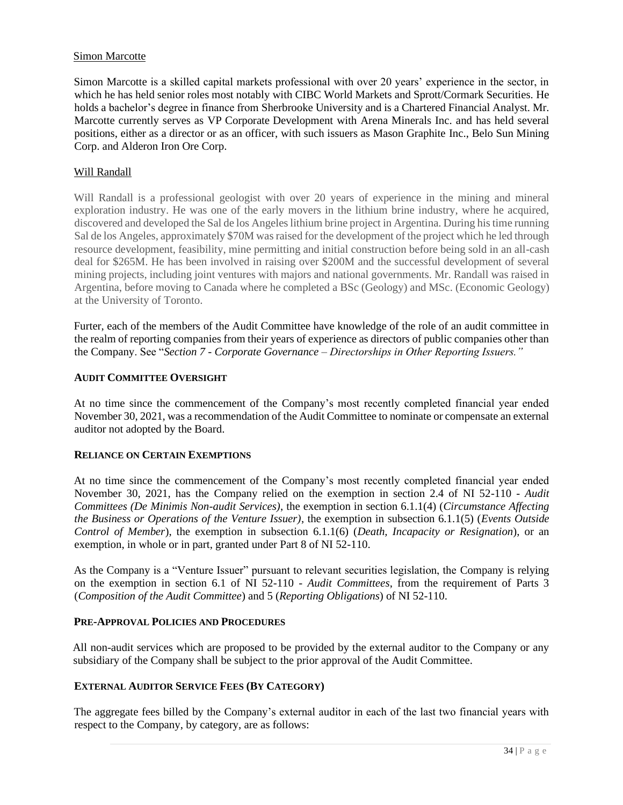#### Simon Marcotte

Simon Marcotte is a skilled capital markets professional with over 20 years' experience in the sector, in which he has held senior roles most notably with CIBC World Markets and Sprott/Cormark Securities. He holds a bachelor's degree in finance from Sherbrooke University and is a Chartered Financial Analyst. Mr. Marcotte currently serves as VP Corporate Development with Arena Minerals Inc. and has held several positions, either as a director or as an officer, with such issuers as Mason Graphite Inc., Belo Sun Mining Corp. and Alderon Iron Ore Corp.

#### Will Randall

Will Randall is a professional geologist with over 20 years of experience in the mining and mineral exploration industry. He was one of the early movers in the lithium brine industry, where he acquired, discovered and developed the Sal de los Angeles lithium brine project in Argentina. During his time running Sal de los Angeles, approximately \$70M was raised for the development of the project which he led through resource development, feasibility, mine permitting and initial construction before being sold in an all-cash deal for \$265M. He has been involved in raising over \$200M and the successful development of several mining projects, including joint ventures with majors and national governments. Mr. Randall was raised in Argentina, before moving to Canada where he completed a BSc (Geology) and MSc. (Economic Geology) at the University of Toronto.

Furter, each of the members of the Audit Committee have knowledge of the role of an audit committee in the realm of reporting companies from their years of experience as directors of public companies other than the Company. See "*Section 7 - Corporate Governance – Directorships in Other Reporting Issuers."* 

#### **AUDIT COMMITTEE OVERSIGHT**

At no time since the commencement of the Company's most recently completed financial year ended November 30, 2021, was a recommendation of the Audit Committee to nominate or compensate an external auditor not adopted by the Board.

#### **RELIANCE ON CERTAIN EXEMPTIONS**

At no time since the commencement of the Company's most recently completed financial year ended November 30, 2021, has the Company relied on the exemption in section 2.4 of NI 52-110 - *Audit Committees (De Minimis Non-audit Services)*, the exemption in section 6.1.1(4) (*Circumstance Affecting the Business or Operations of the Venture Issuer)*, the exemption in subsection 6.1.1(5) (*Events Outside Control of Member*), the exemption in subsection 6.1.1(6) (*Death, Incapacity or Resignation*), or an exemption, in whole or in part, granted under Part 8 of NI 52-110.

As the Company is a "Venture Issuer" pursuant to relevant securities legislation, the Company is relying on the exemption in section 6.1 of NI 52-110 - *Audit Committees*, from the requirement of Parts 3 (*Composition of the Audit Committee*) and 5 (*Reporting Obligations*) of NI 52-110.

#### **PRE-APPROVAL POLICIES AND PROCEDURES**

All non-audit services which are proposed to be provided by the external auditor to the Company or any subsidiary of the Company shall be subject to the prior approval of the Audit Committee.

#### **EXTERNAL AUDITOR SERVICE FEES (BY CATEGORY)**

The aggregate fees billed by the Company's external auditor in each of the last two financial years with respect to the Company, by category, are as follows: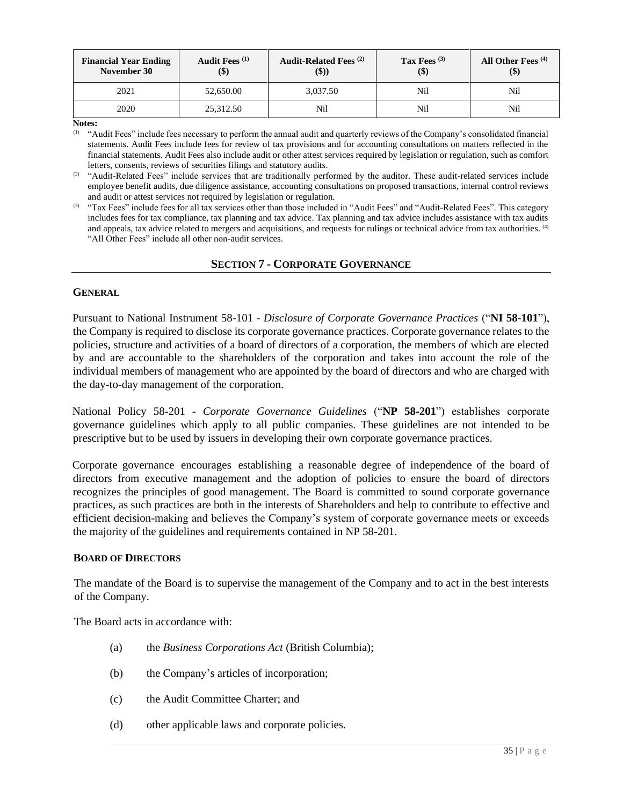| <b>Financial Year Ending</b><br>November 30 | Audit Fees <sup>(1)</sup><br>\$) | <b>Audit-Related Fees</b> <sup>(2)</sup><br>(\$)) | Tax Fees $(3)$<br>\$) | All Other Fees $(4)$<br>$\left( \text{\$}\right)$ |
|---------------------------------------------|----------------------------------|---------------------------------------------------|-----------------------|---------------------------------------------------|
| 2021                                        | 52,650.00                        | 3.037.50                                          | Nil                   | Nil                                               |
| 2020                                        | 25,312.50                        | Nil                                               | Nil                   | Nil                                               |

**Notes:**

(1) "Audit Fees" include fees necessary to perform the annual audit and quarterly reviews of the Company's consolidated financial statements. Audit Fees include fees for review of tax provisions and for accounting consultations on matters reflected in the financial statements. Audit Fees also include audit or other attest services required by legislation or regulation, such as comfort letters, consents, reviews of securities filings and statutory audits.

(2) "Audit-Related Fees" include services that are traditionally performed by the auditor. These audit-related services include employee benefit audits, due diligence assistance, accounting consultations on proposed transactions, internal control reviews and audit or attest services not required by legislation or regulation.

<sup>(3)</sup> "Tax Fees" include fees for all tax services other than those included in "Audit Fees" and "Audit-Related Fees". This category includes fees for tax compliance, tax planning and tax advice. Tax planning and tax advice includes assistance with tax audits and appeals, tax advice related to mergers and acquisitions, and requests for rulings or technical advice from tax authorities. <sup>(4)</sup> "All Other Fees" include all other non-audit services.

## **SECTION 7 - CORPORATE GOVERNANCE**

#### **GENERAL**

Pursuant to National Instrument 58-101 - *Disclosure of Corporate Governance Practices* ("**NI 58-101**"), the Company is required to disclose its corporate governance practices. Corporate governance relates to the policies, structure and activities of a board of directors of a corporation, the members of which are elected by and are accountable to the shareholders of the corporation and takes into account the role of the individual members of management who are appointed by the board of directors and who are charged with the day-to-day management of the corporation.

National Policy 58-201 - *Corporate Governance Guidelines* ("**NP 58-201**") establishes corporate governance guidelines which apply to all public companies. These guidelines are not intended to be prescriptive but to be used by issuers in developing their own corporate governance practices.

Corporate governance encourages establishing a reasonable degree of independence of the board of directors from executive management and the adoption of policies to ensure the board of directors recognizes the principles of good management. The Board is committed to sound corporate governance practices, as such practices are both in the interests of Shareholders and help to contribute to effective and efficient decision-making and believes the Company's system of corporate governance meets or exceeds the majority of the guidelines and requirements contained in NP 58-201.

#### **BOARD OF DIRECTORS**

The mandate of the Board is to supervise the management of the Company and to act in the best interests of the Company.

The Board acts in accordance with:

- (a) the *Business Corporations Act* (British Columbia);
- (b) the Company's articles of incorporation;
- (c) the Audit Committee Charter; and
- (d) other applicable laws and corporate policies.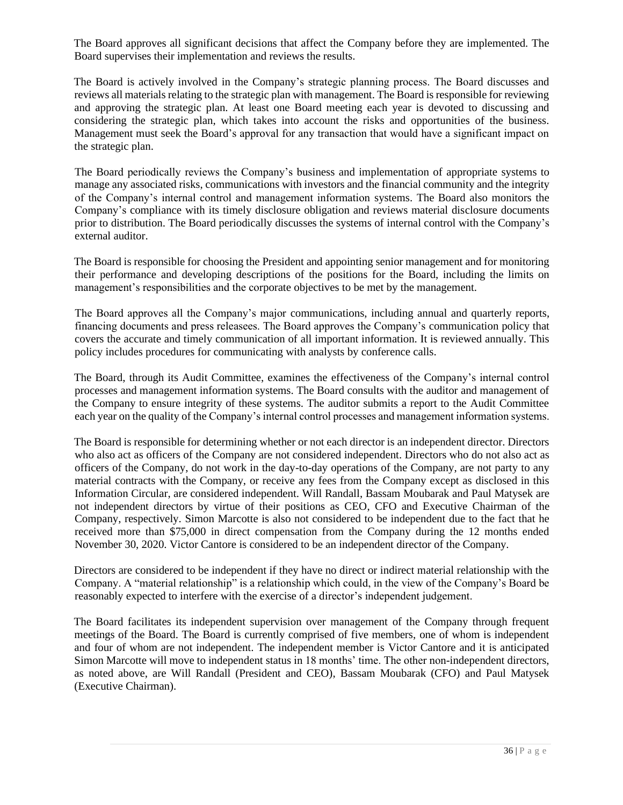The Board approves all significant decisions that affect the Company before they are implemented. The Board supervises their implementation and reviews the results.

The Board is actively involved in the Company's strategic planning process. The Board discusses and reviews all materials relating to the strategic plan with management. The Board is responsible for reviewing and approving the strategic plan. At least one Board meeting each year is devoted to discussing and considering the strategic plan, which takes into account the risks and opportunities of the business. Management must seek the Board's approval for any transaction that would have a significant impact on the strategic plan.

The Board periodically reviews the Company's business and implementation of appropriate systems to manage any associated risks, communications with investors and the financial community and the integrity of the Company's internal control and management information systems. The Board also monitors the Company's compliance with its timely disclosure obligation and reviews material disclosure documents prior to distribution. The Board periodically discusses the systems of internal control with the Company's external auditor.

The Board is responsible for choosing the President and appointing senior management and for monitoring their performance and developing descriptions of the positions for the Board, including the limits on management's responsibilities and the corporate objectives to be met by the management.

The Board approves all the Company's major communications, including annual and quarterly reports, financing documents and press releasees. The Board approves the Company's communication policy that covers the accurate and timely communication of all important information. It is reviewed annually. This policy includes procedures for communicating with analysts by conference calls.

The Board, through its Audit Committee, examines the effectiveness of the Company's internal control processes and management information systems. The Board consults with the auditor and management of the Company to ensure integrity of these systems. The auditor submits a report to the Audit Committee each year on the quality of the Company's internal control processes and management information systems.

The Board is responsible for determining whether or not each director is an independent director. Directors who also act as officers of the Company are not considered independent. Directors who do not also act as officers of the Company, do not work in the day-to-day operations of the Company, are not party to any material contracts with the Company, or receive any fees from the Company except as disclosed in this Information Circular, are considered independent. Will Randall, Bassam Moubarak and Paul Matysek are not independent directors by virtue of their positions as CEO, CFO and Executive Chairman of the Company, respectively. Simon Marcotte is also not considered to be independent due to the fact that he received more than \$75,000 in direct compensation from the Company during the 12 months ended November 30, 2020. Victor Cantore is considered to be an independent director of the Company.

Directors are considered to be independent if they have no direct or indirect material relationship with the Company. A "material relationship" is a relationship which could, in the view of the Company's Board be reasonably expected to interfere with the exercise of a director's independent judgement.

The Board facilitates its independent supervision over management of the Company through frequent meetings of the Board. The Board is currently comprised of five members, one of whom is independent and four of whom are not independent. The independent member is Victor Cantore and it is anticipated Simon Marcotte will move to independent status in 18 months' time. The other non-independent directors, as noted above, are Will Randall (President and CEO), Bassam Moubarak (CFO) and Paul Matysek (Executive Chairman).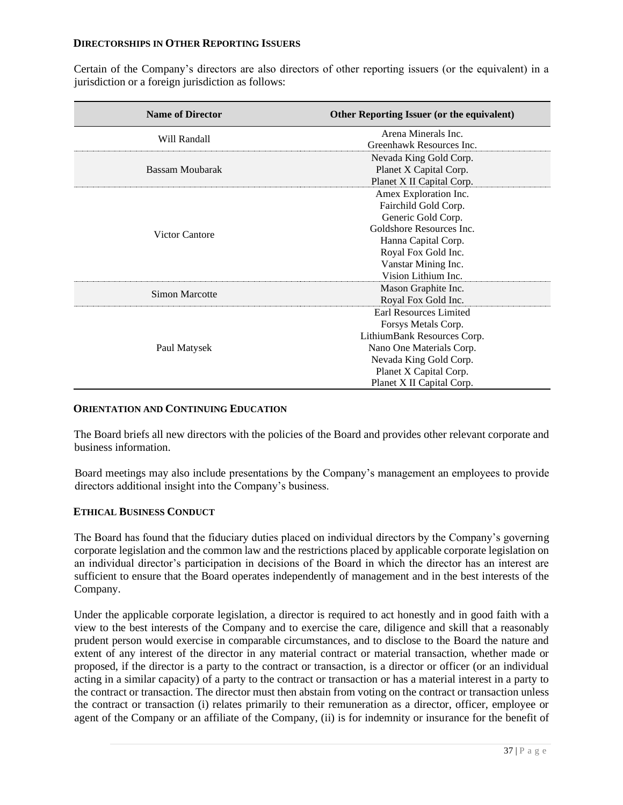### **DIRECTORSHIPS IN OTHER REPORTING ISSUERS**

Certain of the Company's directors are also directors of other reporting issuers (or the equivalent) in a jurisdiction or a foreign jurisdiction as follows:

| <b>Name of Director</b> | Other Reporting Issuer (or the equivalent) |  |
|-------------------------|--------------------------------------------|--|
| Will Randall            | Arena Minerals Inc.                        |  |
|                         | Greenhawk Resources Inc.                   |  |
| Bassam Moubarak         | Nevada King Gold Corp.                     |  |
|                         | Planet X Capital Corp.                     |  |
|                         | Planet X II Capital Corp.                  |  |
| Victor Cantore          | Amex Exploration Inc.                      |  |
|                         | Fairchild Gold Corp.                       |  |
|                         | Generic Gold Corp.                         |  |
|                         | Goldshore Resources Inc.                   |  |
|                         | Hanna Capital Corp.                        |  |
|                         | Royal Fox Gold Inc.                        |  |
|                         | Vanstar Mining Inc.                        |  |
|                         | Vision Lithium Inc.                        |  |
| Simon Marcotte          | Mason Graphite Inc.                        |  |
|                         | Royal Fox Gold Inc.                        |  |
| Paul Matysek            | Earl Resources Limited                     |  |
|                         | Forsys Metals Corp.                        |  |
|                         | LithiumBank Resources Corp.                |  |
|                         | Nano One Materials Corp.                   |  |
|                         | Nevada King Gold Corp.                     |  |
|                         | Planet X Capital Corp.                     |  |
|                         | Planet X II Capital Corp.                  |  |

# **ORIENTATION AND CONTINUING EDUCATION**

The Board briefs all new directors with the policies of the Board and provides other relevant corporate and business information.

Board meetings may also include presentations by the Company's management an employees to provide directors additional insight into the Company's business.

# **ETHICAL BUSINESS CONDUCT**

The Board has found that the fiduciary duties placed on individual directors by the Company's governing corporate legislation and the common law and the restrictions placed by applicable corporate legislation on an individual director's participation in decisions of the Board in which the director has an interest are sufficient to ensure that the Board operates independently of management and in the best interests of the Company.

Under the applicable corporate legislation, a director is required to act honestly and in good faith with a view to the best interests of the Company and to exercise the care, diligence and skill that a reasonably prudent person would exercise in comparable circumstances, and to disclose to the Board the nature and extent of any interest of the director in any material contract or material transaction, whether made or proposed, if the director is a party to the contract or transaction, is a director or officer (or an individual acting in a similar capacity) of a party to the contract or transaction or has a material interest in a party to the contract or transaction. The director must then abstain from voting on the contract or transaction unless the contract or transaction (i) relates primarily to their remuneration as a director, officer, employee or agent of the Company or an affiliate of the Company, (ii) is for indemnity or insurance for the benefit of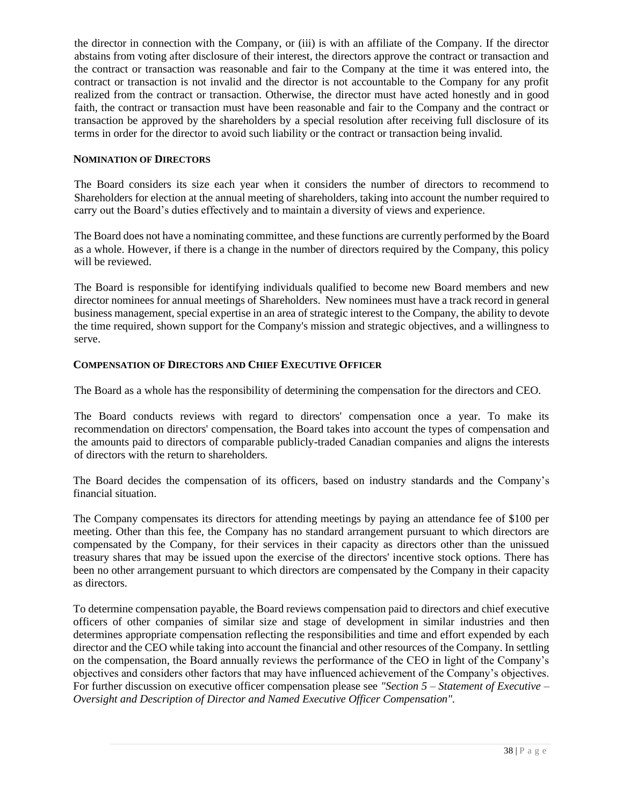the director in connection with the Company, or (iii) is with an affiliate of the Company. If the director abstains from voting after disclosure of their interest, the directors approve the contract or transaction and the contract or transaction was reasonable and fair to the Company at the time it was entered into, the contract or transaction is not invalid and the director is not accountable to the Company for any profit realized from the contract or transaction. Otherwise, the director must have acted honestly and in good faith, the contract or transaction must have been reasonable and fair to the Company and the contract or transaction be approved by the shareholders by a special resolution after receiving full disclosure of its terms in order for the director to avoid such liability or the contract or transaction being invalid.

# **NOMINATION OF DIRECTORS**

The Board considers its size each year when it considers the number of directors to recommend to Shareholders for election at the annual meeting of shareholders, taking into account the number required to carry out the Board's duties effectively and to maintain a diversity of views and experience.

The Board does not have a nominating committee, and these functions are currently performed by the Board as a whole. However, if there is a change in the number of directors required by the Company, this policy will be reviewed.

The Board is responsible for identifying individuals qualified to become new Board members and new director nominees for annual meetings of Shareholders. New nominees must have a track record in general business management, special expertise in an area of strategic interest to the Company, the ability to devote the time required, shown support for the Company's mission and strategic objectives, and a willingness to serve.

# **COMPENSATION OF DIRECTORS AND CHIEF EXECUTIVE OFFICER**

The Board as a whole has the responsibility of determining the compensation for the directors and CEO.

The Board conducts reviews with regard to directors' compensation once a year. To make its recommendation on directors' compensation, the Board takes into account the types of compensation and the amounts paid to directors of comparable publicly-traded Canadian companies and aligns the interests of directors with the return to shareholders.

The Board decides the compensation of its officers, based on industry standards and the Company's financial situation.

The Company compensates its directors for attending meetings by paying an attendance fee of \$100 per meeting. Other than this fee, the Company has no standard arrangement pursuant to which directors are compensated by the Company, for their services in their capacity as directors other than the unissued treasury shares that may be issued upon the exercise of the directors' incentive stock options. There has been no other arrangement pursuant to which directors are compensated by the Company in their capacity as directors.

To determine compensation payable, the Board reviews compensation paid to directors and chief executive officers of other companies of similar size and stage of development in similar industries and then determines appropriate compensation reflecting the responsibilities and time and effort expended by each director and the CEO while taking into account the financial and other resources of the Company. In settling on the compensation, the Board annually reviews the performance of the CEO in light of the Company's objectives and considers other factors that may have influenced achievement of the Company's objectives. For further discussion on executive officer compensation please see *"Section 5 – Statement of Executive – Oversight and Description of Director and Named Executive Officer Compensation".*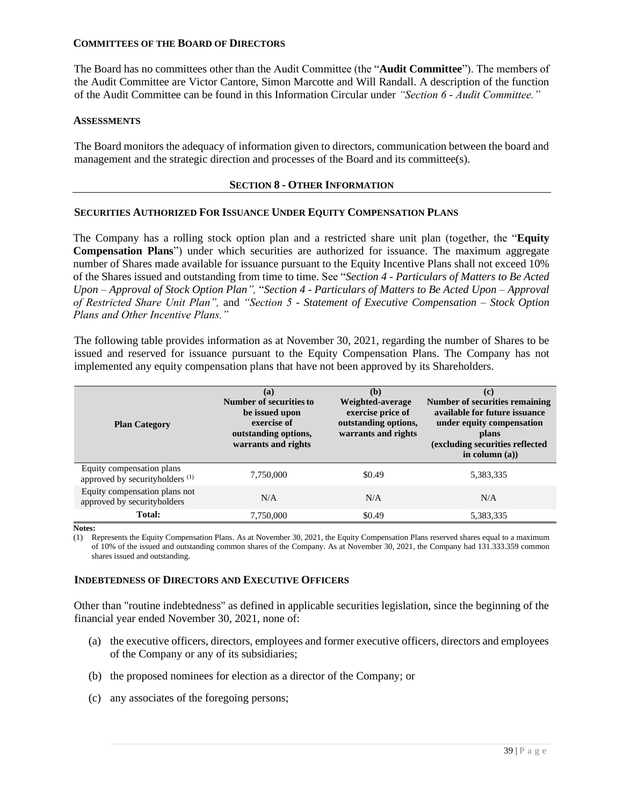### **COMMITTEES OF THE BOARD OF DIRECTORS**

The Board has no committees other than the Audit Committee (the "**Audit Committee**"). The members of the Audit Committee are Victor Cantore, Simon Marcotte and Will Randall. A description of the function of the Audit Committee can be found in this Information Circular under *"Section 6 - Audit Committee."*

### **ASSESSMENTS**

The Board monitors the adequacy of information given to directors, communication between the board and management and the strategic direction and processes of the Board and its committee(s).

### **SECTION 8 - OTHER INFORMATION**

### **SECURITIES AUTHORIZED FOR ISSUANCE UNDER EQUITY COMPENSATION PLANS**

The Company has a rolling stock option plan and a restricted share unit plan (together, the "**Equity Compensation Plans**") under which securities are authorized for issuance. The maximum aggregate number of Shares made available for issuance pursuant to the Equity Incentive Plans shall not exceed 10% of the Shares issued and outstanding from time to time. See "*Section 4 - Particulars of Matters to Be Acted Upon – Approval of Stock Option Plan",* "*Section 4 - Particulars of Matters to Be Acted Upon – Approval of Restricted Share Unit Plan",* and *"Section 5 - Statement of Executive Compensation – Stock Option Plans and Other Incentive Plans."* 

The following table provides information as at November 30, 2021, regarding the number of Shares to be issued and reserved for issuance pursuant to the Equity Compensation Plans. The Company has not implemented any equity compensation plans that have not been approved by its Shareholders.

| <b>Plan Category</b>                                                    | (a)<br>Number of securities to<br>be issued upon<br>exercise of<br>outstanding options,<br>warrants and rights | (b)<br>Weighted-average<br>exercise price of<br>outstanding options,<br>warrants and rights | (c)<br>Number of securities remaining<br>available for future issuance<br>under equity compensation<br>plans<br>(excluding securities reflected<br>in column $(a)$ ) |
|-------------------------------------------------------------------------|----------------------------------------------------------------------------------------------------------------|---------------------------------------------------------------------------------------------|----------------------------------------------------------------------------------------------------------------------------------------------------------------------|
| Equity compensation plans<br>approved by securityholders <sup>(1)</sup> | 7,750,000                                                                                                      | \$0.49                                                                                      | 5,383,335                                                                                                                                                            |
| Equity compensation plans not<br>approved by securityholders            | N/A                                                                                                            | N/A                                                                                         | N/A                                                                                                                                                                  |
| <b>Total:</b>                                                           | 7,750,000                                                                                                      | \$0.49                                                                                      | 5,383,335                                                                                                                                                            |

**Notes:**

(1) Represents the Equity Compensation Plans. As at November 30, 2021, the Equity Compensation Plans reserved shares equal to a maximum of 10% of the issued and outstanding common shares of the Company. As at November 30, 2021, the Company had 131.333.359 common shares issued and outstanding.

### **INDEBTEDNESS OF DIRECTORS AND EXECUTIVE OFFICERS**

Other than "routine indebtedness" as defined in applicable securities legislation, since the beginning of the financial year ended November 30, 2021, none of:

- (a) the executive officers, directors, employees and former executive officers, directors and employees of the Company or any of its subsidiaries;
- (b) the proposed nominees for election as a director of the Company; or
- (c) any associates of the foregoing persons;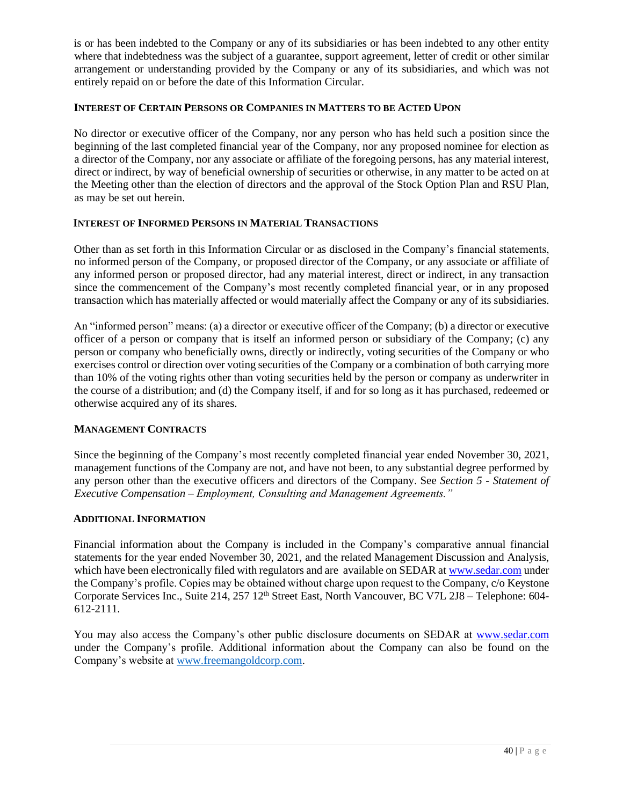is or has been indebted to the Company or any of its subsidiaries or has been indebted to any other entity where that indebtedness was the subject of a guarantee, support agreement, letter of credit or other similar arrangement or understanding provided by the Company or any of its subsidiaries, and which was not entirely repaid on or before the date of this Information Circular.

# **INTEREST OF CERTAIN PERSONS OR COMPANIES IN MATTERS TO BE ACTED UPON**

No director or executive officer of the Company, nor any person who has held such a position since the beginning of the last completed financial year of the Company, nor any proposed nominee for election as a director of the Company, nor any associate or affiliate of the foregoing persons, has any material interest, direct or indirect, by way of beneficial ownership of securities or otherwise, in any matter to be acted on at the Meeting other than the election of directors and the approval of the Stock Option Plan and RSU Plan, as may be set out herein.

# **INTEREST OF INFORMED PERSONS IN MATERIAL TRANSACTIONS**

Other than as set forth in this Information Circular or as disclosed in the Company's financial statements, no informed person of the Company, or proposed director of the Company, or any associate or affiliate of any informed person or proposed director, had any material interest, direct or indirect, in any transaction since the commencement of the Company's most recently completed financial year, or in any proposed transaction which has materially affected or would materially affect the Company or any of its subsidiaries.

An "informed person" means: (a) a director or executive officer of the Company; (b) a director or executive officer of a person or company that is itself an informed person or subsidiary of the Company; (c) any person or company who beneficially owns, directly or indirectly, voting securities of the Company or who exercises control or direction over voting securities of the Company or a combination of both carrying more than 10% of the voting rights other than voting securities held by the person or company as underwriter in the course of a distribution; and (d) the Company itself, if and for so long as it has purchased, redeemed or otherwise acquired any of its shares.

# **MANAGEMENT CONTRACTS**

Since the beginning of the Company's most recently completed financial year ended November 30, 2021, management functions of the Company are not, and have not been, to any substantial degree performed by any person other than the executive officers and directors of the Company. See *Section 5 - Statement of Executive Compensation – Employment, Consulting and Management Agreements."*

# **ADDITIONAL INFORMATION**

Financial information about the Company is included in the Company's comparative annual financial statements for the year ended November 30, 2021, and the related Management Discussion and Analysis, which have been electronically filed with regulators and are available on SEDAR at [www.sedar.com](http://www.sedar.com/) under the Company's profile. Copies may be obtained without charge upon request to the Company, c/o Keystone Corporate Services Inc., Suite 214, 257 12<sup>th</sup> Street East, North Vancouver, BC V7L 2J8 – Telephone: 604-612-2111.

You may also access the Company's other public disclosure documents on SEDAR at [www.sedar.com](http://www.sedar.com/) under the Company's profile. Additional information about the Company can also be found on the Company's website at [www.freemangoldcorp.com.](http://www.freemangoldcorp.com/)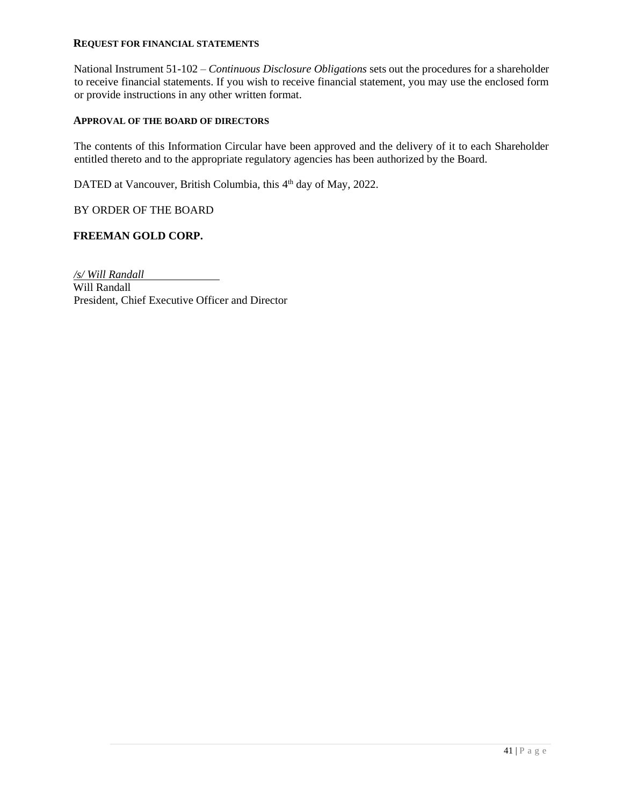### **REQUEST FOR FINANCIAL STATEMENTS**

National Instrument 51-102 – *Continuous Disclosure Obligations* sets out the procedures for a shareholder to receive financial statements. If you wish to receive financial statement, you may use the enclosed form or provide instructions in any other written format.

### **APPROVAL OF THE BOARD OF DIRECTORS**

The contents of this Information Circular have been approved and the delivery of it to each Shareholder entitled thereto and to the appropriate regulatory agencies has been authorized by the Board.

DATED at Vancouver, British Columbia, this 4<sup>th</sup> day of May, 2022.

BY ORDER OF THE BOARD

### **FREEMAN GOLD CORP.**

*/s/ Will Randall* Will Randall President, Chief Executive Officer and Director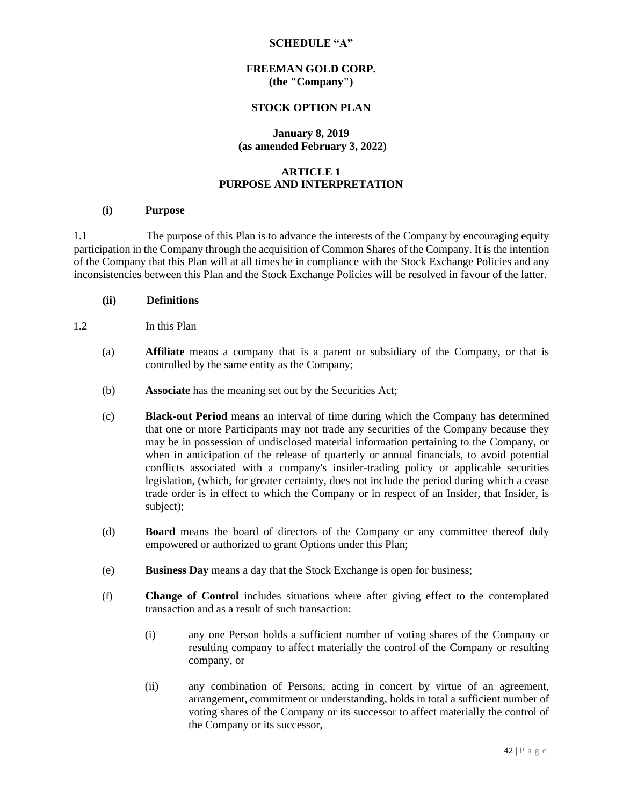### **SCHEDULE "A"**

### **FREEMAN GOLD CORP. (the "Company")**

### **STOCK OPTION PLAN**

### **January 8, 2019 (as amended February 3, 2022)**

# **ARTICLE 1 PURPOSE AND INTERPRETATION**

#### **(i) Purpose**

1.1 The purpose of this Plan is to advance the interests of the Company by encouraging equity participation in the Company through the acquisition of Common Shares of the Company. It is the intention of the Company that this Plan will at all times be in compliance with the Stock Exchange Policies and any inconsistencies between this Plan and the Stock Exchange Policies will be resolved in favour of the latter.

### **(ii) Definitions**

- 1.2 In this Plan
	- (a) **Affiliate** means a company that is a parent or subsidiary of the Company, or that is controlled by the same entity as the Company;
	- (b) **Associate** has the meaning set out by the Securities Act;
	- (c) **Black-out Period** means an interval of time during which the Company has determined that one or more Participants may not trade any securities of the Company because they may be in possession of undisclosed material information pertaining to the Company, or when in anticipation of the release of quarterly or annual financials, to avoid potential conflicts associated with a company's insider-trading policy or applicable securities legislation, (which, for greater certainty, does not include the period during which a cease trade order is in effect to which the Company or in respect of an Insider, that Insider, is subject);
	- (d) **Board** means the board of directors of the Company or any committee thereof duly empowered or authorized to grant Options under this Plan;
	- (e) **Business Day** means a day that the Stock Exchange is open for business;
	- (f) **Change of Control** includes situations where after giving effect to the contemplated transaction and as a result of such transaction:
		- (i) any one Person holds a sufficient number of voting shares of the Company or resulting company to affect materially the control of the Company or resulting company, or
		- (ii) any combination of Persons, acting in concert by virtue of an agreement, arrangement, commitment or understanding, holds in total a sufficient number of voting shares of the Company or its successor to affect materially the control of the Company or its successor,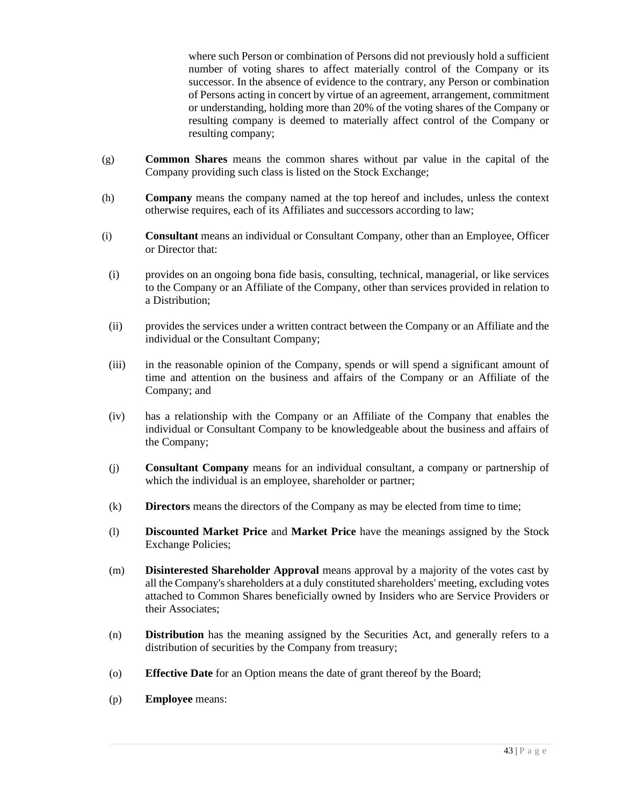where such Person or combination of Persons did not previously hold a sufficient number of voting shares to affect materially control of the Company or its successor. In the absence of evidence to the contrary, any Person or combination of Persons acting in concert by virtue of an agreement, arrangement, commitment or understanding, holding more than 20% of the voting shares of the Company or resulting company is deemed to materially affect control of the Company or resulting company;

- (g) **Common Shares** means the common shares without par value in the capital of the Company providing such class is listed on the Stock Exchange;
- (h) **Company** means the company named at the top hereof and includes, unless the context otherwise requires, each of its Affiliates and successors according to law;
- (i) **Consultant** means an individual or Consultant Company, other than an Employee, Officer or Director that:
- (i) provides on an ongoing bona fide basis, consulting, technical, managerial, or like services to the Company or an Affiliate of the Company, other than services provided in relation to a Distribution;
- (ii) provides the services under a written contract between the Company or an Affiliate and the individual or the Consultant Company;
- (iii) in the reasonable opinion of the Company, spends or will spend a significant amount of time and attention on the business and affairs of the Company or an Affiliate of the Company; and
- (iv) has a relationship with the Company or an Affiliate of the Company that enables the individual or Consultant Company to be knowledgeable about the business and affairs of the Company;
- (j) **Consultant Company** means for an individual consultant, a company or partnership of which the individual is an employee, shareholder or partner;
- (k) **Directors** means the directors of the Company as may be elected from time to time;
- (l) **Discounted Market Price** and **Market Price** have the meanings assigned by the Stock Exchange Policies;
- (m) **Disinterested Shareholder Approval** means approval by a majority of the votes cast by all the Company's shareholders at a duly constituted shareholders' meeting, excluding votes attached to Common Shares beneficially owned by Insiders who are Service Providers or their Associates;
- (n) **Distribution** has the meaning assigned by the Securities Act, and generally refers to a distribution of securities by the Company from treasury;
- (o) **Effective Date** for an Option means the date of grant thereof by the Board;
- (p) **Employee** means: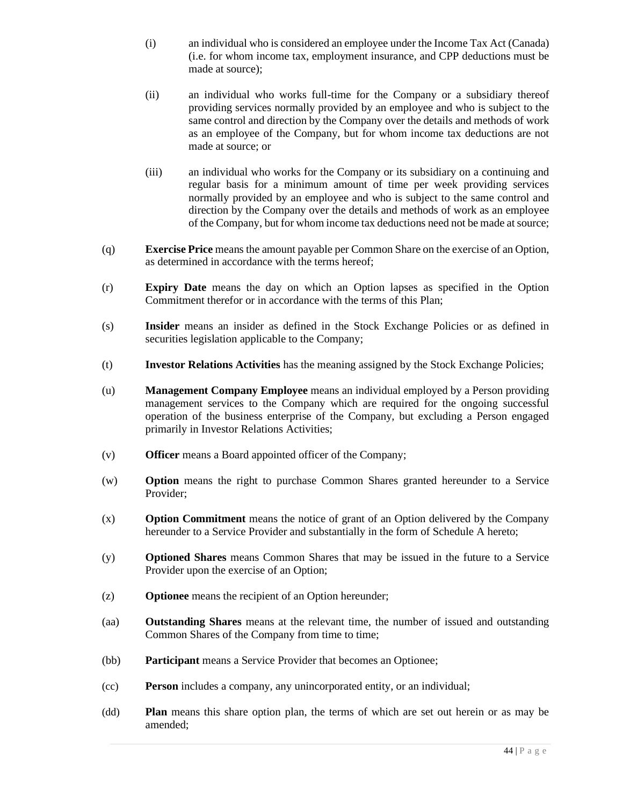- (i) an individual who is considered an employee under the Income Tax Act (Canada) (i.e. for whom income tax, employment insurance, and CPP deductions must be made at source);
- (ii) an individual who works full-time for the Company or a subsidiary thereof providing services normally provided by an employee and who is subject to the same control and direction by the Company over the details and methods of work as an employee of the Company, but for whom income tax deductions are not made at source; or
- (iii) an individual who works for the Company or its subsidiary on a continuing and regular basis for a minimum amount of time per week providing services normally provided by an employee and who is subject to the same control and direction by the Company over the details and methods of work as an employee of the Company, but for whom income tax deductions need not be made at source;
- (q) **Exercise Price** means the amount payable per Common Share on the exercise of an Option, as determined in accordance with the terms hereof;
- (r) **Expiry Date** means the day on which an Option lapses as specified in the Option Commitment therefor or in accordance with the terms of this Plan;
- (s) **Insider** means an insider as defined in the Stock Exchange Policies or as defined in securities legislation applicable to the Company;
- (t) **Investor Relations Activities** has the meaning assigned by the Stock Exchange Policies;
- (u) **Management Company Employee** means an individual employed by a Person providing management services to the Company which are required for the ongoing successful operation of the business enterprise of the Company, but excluding a Person engaged primarily in Investor Relations Activities;
- (v) **Officer** means a Board appointed officer of the Company;
- (w) **Option** means the right to purchase Common Shares granted hereunder to a Service Provider;
- (x) **Option Commitment** means the notice of grant of an Option delivered by the Company hereunder to a Service Provider and substantially in the form of Schedule A hereto;
- (y) **Optioned Shares** means Common Shares that may be issued in the future to a Service Provider upon the exercise of an Option;
- (z) **Optionee** means the recipient of an Option hereunder;
- (aa) **Outstanding Shares** means at the relevant time, the number of issued and outstanding Common Shares of the Company from time to time;
- (bb) **Participant** means a Service Provider that becomes an Optionee;
- (cc) **Person** includes a company, any unincorporated entity, or an individual;
- (dd) **Plan** means this share option plan, the terms of which are set out herein or as may be amended;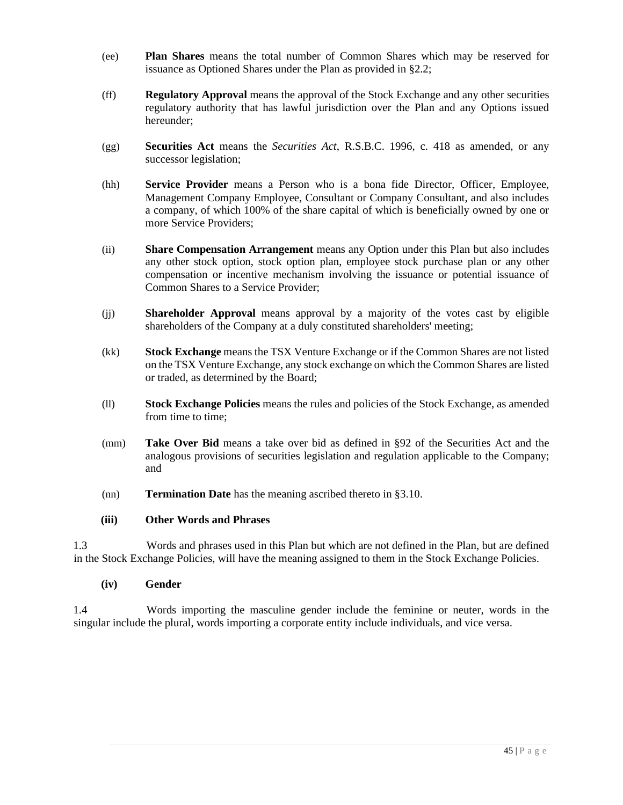- (ee) **Plan Shares** means the total number of Common Shares which may be reserved for issuance as Optioned Shares under the Plan as provided in §2.2;
- (ff) **Regulatory Approval** means the approval of the Stock Exchange and any other securities regulatory authority that has lawful jurisdiction over the Plan and any Options issued hereunder;
- (gg) **Securities Act** means the *Securities Act*, R.S.B.C. 1996, c. 418 as amended, or any successor legislation;
- (hh) **Service Provider** means a Person who is a bona fide Director, Officer, Employee, Management Company Employee, Consultant or Company Consultant, and also includes a company, of which 100% of the share capital of which is beneficially owned by one or more Service Providers;
- (ii) **Share Compensation Arrangement** means any Option under this Plan but also includes any other stock option, stock option plan, employee stock purchase plan or any other compensation or incentive mechanism involving the issuance or potential issuance of Common Shares to a Service Provider;
- (jj) **Shareholder Approval** means approval by a majority of the votes cast by eligible shareholders of the Company at a duly constituted shareholders' meeting;
- (kk) **Stock Exchange** means the TSX Venture Exchange or if the Common Shares are not listed on the TSX Venture Exchange, any stock exchange on which the Common Shares are listed or traded, as determined by the Board;
- (ll) **Stock Exchange Policies** means the rules and policies of the Stock Exchange, as amended from time to time;
- (mm) **Take Over Bid** means a take over bid as defined in §92 of the Securities Act and the analogous provisions of securities legislation and regulation applicable to the Company; and
- (nn) **Termination Date** has the meaning ascribed thereto in §3.10.

# **(iii) Other Words and Phrases**

1.3 Words and phrases used in this Plan but which are not defined in the Plan, but are defined in the Stock Exchange Policies, will have the meaning assigned to them in the Stock Exchange Policies.

# **(iv) Gender**

1.4 Words importing the masculine gender include the feminine or neuter, words in the singular include the plural, words importing a corporate entity include individuals, and vice versa.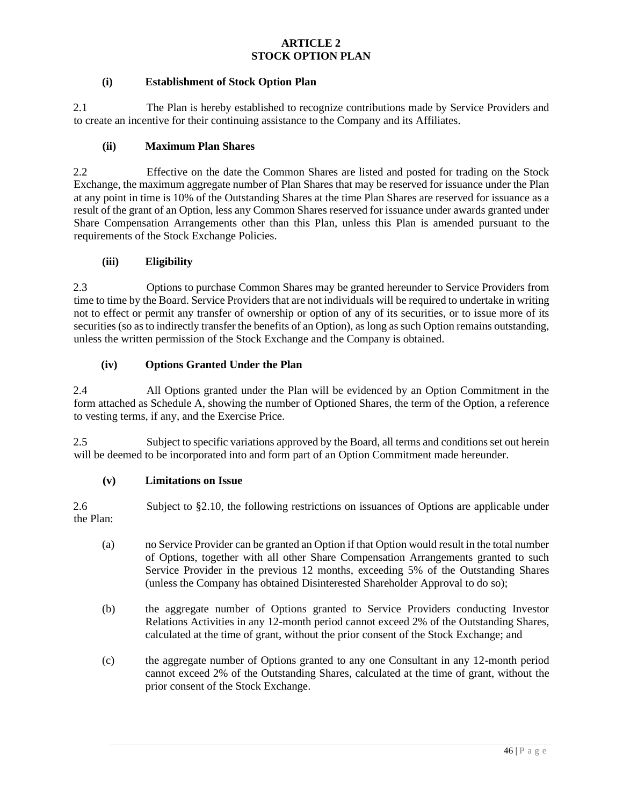# **ARTICLE 2 STOCK OPTION PLAN**

# **(i) Establishment of Stock Option Plan**

2.1 The Plan is hereby established to recognize contributions made by Service Providers and to create an incentive for their continuing assistance to the Company and its Affiliates.

# **(ii) Maximum Plan Shares**

2.2 Effective on the date the Common Shares are listed and posted for trading on the Stock Exchange, the maximum aggregate number of Plan Shares that may be reserved for issuance under the Plan at any point in time is 10% of the Outstanding Shares at the time Plan Shares are reserved for issuance as a result of the grant of an Option, less any Common Shares reserved for issuance under awards granted under Share Compensation Arrangements other than this Plan, unless this Plan is amended pursuant to the requirements of the Stock Exchange Policies.

# **(iii) Eligibility**

2.3 Options to purchase Common Shares may be granted hereunder to Service Providers from time to time by the Board. Service Providers that are not individuals will be required to undertake in writing not to effect or permit any transfer of ownership or option of any of its securities, or to issue more of its securities (so as to indirectly transfer the benefits of an Option), as long as such Option remains outstanding, unless the written permission of the Stock Exchange and the Company is obtained.

# **(iv) Options Granted Under the Plan**

2.4 All Options granted under the Plan will be evidenced by an Option Commitment in the form attached as Schedule A, showing the number of Optioned Shares, the term of the Option, a reference to vesting terms, if any, and the Exercise Price.

2.5 Subject to specific variations approved by the Board, all terms and conditions set out herein will be deemed to be incorporated into and form part of an Option Commitment made hereunder.

# **(v) Limitations on Issue**

2.6 Subject to §2.10, the following restrictions on issuances of Options are applicable under the Plan:

- (a) no Service Provider can be granted an Option if that Option would result in the total number of Options, together with all other Share Compensation Arrangements granted to such Service Provider in the previous 12 months, exceeding 5% of the Outstanding Shares (unless the Company has obtained Disinterested Shareholder Approval to do so);
- (b) the aggregate number of Options granted to Service Providers conducting Investor Relations Activities in any 12-month period cannot exceed 2% of the Outstanding Shares, calculated at the time of grant, without the prior consent of the Stock Exchange; and
- (c) the aggregate number of Options granted to any one Consultant in any 12-month period cannot exceed 2% of the Outstanding Shares, calculated at the time of grant, without the prior consent of the Stock Exchange.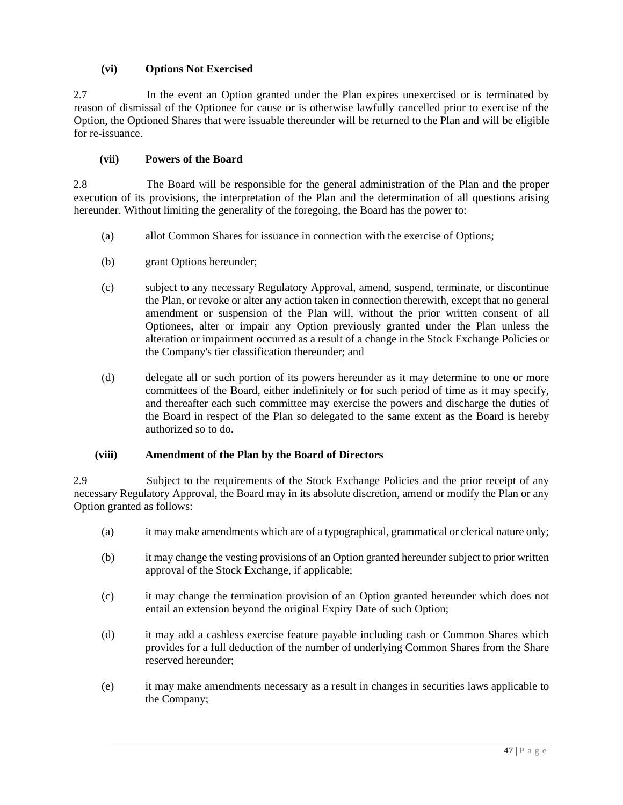# **(vi) Options Not Exercised**

2.7 In the event an Option granted under the Plan expires unexercised or is terminated by reason of dismissal of the Optionee for cause or is otherwise lawfully cancelled prior to exercise of the Option, the Optioned Shares that were issuable thereunder will be returned to the Plan and will be eligible for re-issuance.

# **(vii) Powers of the Board**

2.8 The Board will be responsible for the general administration of the Plan and the proper execution of its provisions, the interpretation of the Plan and the determination of all questions arising hereunder. Without limiting the generality of the foregoing, the Board has the power to:

- (a) allot Common Shares for issuance in connection with the exercise of Options;
- (b) grant Options hereunder;
- (c) subject to any necessary Regulatory Approval, amend, suspend, terminate, or discontinue the Plan, or revoke or alter any action taken in connection therewith, except that no general amendment or suspension of the Plan will, without the prior written consent of all Optionees, alter or impair any Option previously granted under the Plan unless the alteration or impairment occurred as a result of a change in the Stock Exchange Policies or the Company's tier classification thereunder; and
- (d) delegate all or such portion of its powers hereunder as it may determine to one or more committees of the Board, either indefinitely or for such period of time as it may specify, and thereafter each such committee may exercise the powers and discharge the duties of the Board in respect of the Plan so delegated to the same extent as the Board is hereby authorized so to do.

# **(viii) Amendment of the Plan by the Board of Directors**

2.9 Subject to the requirements of the Stock Exchange Policies and the prior receipt of any necessary Regulatory Approval, the Board may in its absolute discretion, amend or modify the Plan or any Option granted as follows:

- (a) it may make amendments which are of a typographical, grammatical or clerical nature only;
- (b) it may change the vesting provisions of an Option granted hereunder subject to prior written approval of the Stock Exchange, if applicable;
- (c) it may change the termination provision of an Option granted hereunder which does not entail an extension beyond the original Expiry Date of such Option;
- (d) it may add a cashless exercise feature payable including cash or Common Shares which provides for a full deduction of the number of underlying Common Shares from the Share reserved hereunder;
- (e) it may make amendments necessary as a result in changes in securities laws applicable to the Company;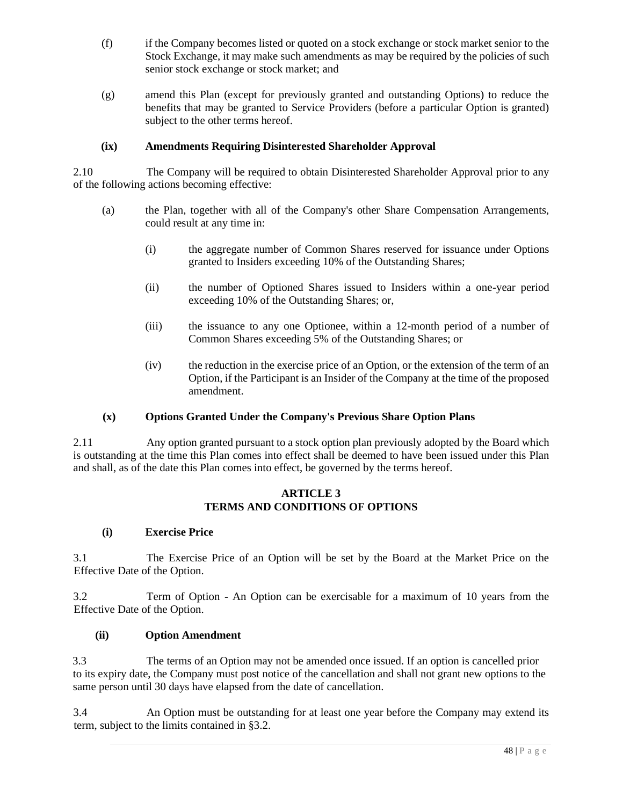- (f) if the Company becomes listed or quoted on a stock exchange or stock market senior to the Stock Exchange, it may make such amendments as may be required by the policies of such senior stock exchange or stock market; and
- (g) amend this Plan (except for previously granted and outstanding Options) to reduce the benefits that may be granted to Service Providers (before a particular Option is granted) subject to the other terms hereof.

# **(ix) Amendments Requiring Disinterested Shareholder Approval**

2.10 The Company will be required to obtain Disinterested Shareholder Approval prior to any of the following actions becoming effective:

- (a) the Plan, together with all of the Company's other Share Compensation Arrangements, could result at any time in:
	- (i) the aggregate number of Common Shares reserved for issuance under Options granted to Insiders exceeding 10% of the Outstanding Shares;
	- (ii) the number of Optioned Shares issued to Insiders within a one-year period exceeding 10% of the Outstanding Shares; or,
	- (iii) the issuance to any one Optionee, within a 12-month period of a number of Common Shares exceeding 5% of the Outstanding Shares; or
	- (iv) the reduction in the exercise price of an Option, or the extension of the term of an Option, if the Participant is an Insider of the Company at the time of the proposed amendment.

# **(x) Options Granted Under the Company's Previous Share Option Plans**

2.11 Any option granted pursuant to a stock option plan previously adopted by the Board which is outstanding at the time this Plan comes into effect shall be deemed to have been issued under this Plan and shall, as of the date this Plan comes into effect, be governed by the terms hereof.

# **ARTICLE 3 TERMS AND CONDITIONS OF OPTIONS**

# **(i) Exercise Price**

3.1 The Exercise Price of an Option will be set by the Board at the Market Price on the Effective Date of the Option.

3.2 Term of Option - An Option can be exercisable for a maximum of 10 years from the Effective Date of the Option.

# **(ii) Option Amendment**

3.3 The terms of an Option may not be amended once issued. If an option is cancelled prior to its expiry date, the Company must post notice of the cancellation and shall not grant new options to the same person until 30 days have elapsed from the date of cancellation.

3.4 An Option must be outstanding for at least one year before the Company may extend its term, subject to the limits contained in §3.2.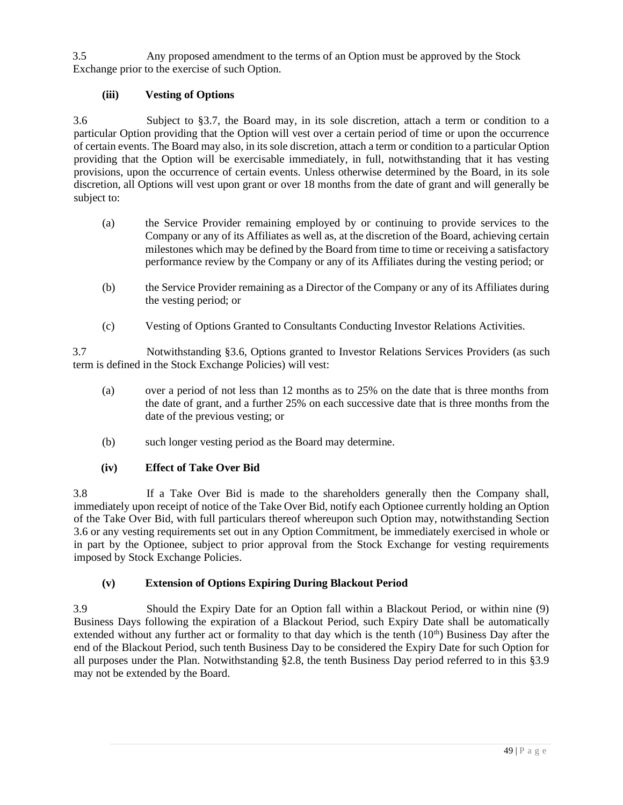3.5 Any proposed amendment to the terms of an Option must be approved by the Stock Exchange prior to the exercise of such Option.

# **(iii) Vesting of Options**

3.6 Subject to §3.7, the Board may, in its sole discretion, attach a term or condition to a particular Option providing that the Option will vest over a certain period of time or upon the occurrence of certain events. The Board may also, in its sole discretion, attach a term or condition to a particular Option providing that the Option will be exercisable immediately, in full, notwithstanding that it has vesting provisions, upon the occurrence of certain events. Unless otherwise determined by the Board, in its sole discretion, all Options will vest upon grant or over 18 months from the date of grant and will generally be subject to:

- (a) the Service Provider remaining employed by or continuing to provide services to the Company or any of its Affiliates as well as, at the discretion of the Board, achieving certain milestones which may be defined by the Board from time to time or receiving a satisfactory performance review by the Company or any of its Affiliates during the vesting period; or
- (b) the Service Provider remaining as a Director of the Company or any of its Affiliates during the vesting period; or
- (c) Vesting of Options Granted to Consultants Conducting Investor Relations Activities.

3.7 Notwithstanding §3.6, Options granted to Investor Relations Services Providers (as such term is defined in the Stock Exchange Policies) will vest:

- (a) over a period of not less than 12 months as to 25% on the date that is three months from the date of grant, and a further 25% on each successive date that is three months from the date of the previous vesting; or
- (b) such longer vesting period as the Board may determine.

# **(iv) Effect of Take Over Bid**

3.8 If a Take Over Bid is made to the shareholders generally then the Company shall, immediately upon receipt of notice of the Take Over Bid, notify each Optionee currently holding an Option of the Take Over Bid, with full particulars thereof whereupon such Option may, notwithstanding Section 3.6 or any vesting requirements set out in any Option Commitment, be immediately exercised in whole or in part by the Optionee, subject to prior approval from the Stock Exchange for vesting requirements imposed by Stock Exchange Policies.

# **(v) Extension of Options Expiring During Blackout Period**

3.9 Should the Expiry Date for an Option fall within a Blackout Period, or within nine (9) Business Days following the expiration of a Blackout Period, such Expiry Date shall be automatically extended without any further act or formality to that day which is the tenth  $(10<sup>th</sup>)$  Business Day after the end of the Blackout Period, such tenth Business Day to be considered the Expiry Date for such Option for all purposes under the Plan. Notwithstanding §2.8, the tenth Business Day period referred to in this §3.9 may not be extended by the Board.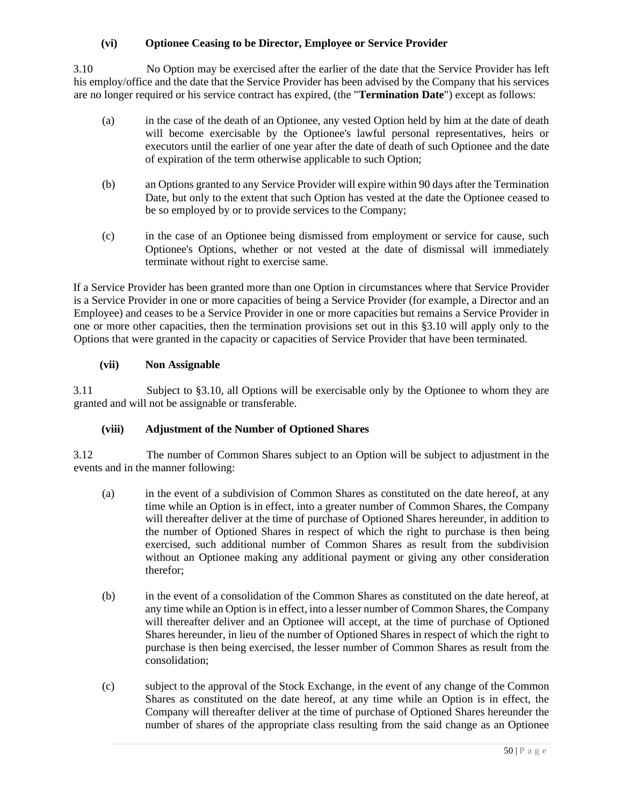# **(vi) Optionee Ceasing to be Director, Employee or Service Provider**

3.10 No Option may be exercised after the earlier of the date that the Service Provider has left his employ/office and the date that the Service Provider has been advised by the Company that his services are no longer required or his service contract has expired, (the "**Termination Date**") except as follows:

- (a) in the case of the death of an Optionee, any vested Option held by him at the date of death will become exercisable by the Optionee's lawful personal representatives, heirs or executors until the earlier of one year after the date of death of such Optionee and the date of expiration of the term otherwise applicable to such Option;
- (b) an Options granted to any Service Provider will expire within 90 days after the Termination Date, but only to the extent that such Option has vested at the date the Optionee ceased to be so employed by or to provide services to the Company;
- (c) in the case of an Optionee being dismissed from employment or service for cause, such Optionee's Options, whether or not vested at the date of dismissal will immediately terminate without right to exercise same.

If a Service Provider has been granted more than one Option in circumstances where that Service Provider is a Service Provider in one or more capacities of being a Service Provider (for example, a Director and an Employee) and ceases to be a Service Provider in one or more capacities but remains a Service Provider in one or more other capacities, then the termination provisions set out in this §3.10 will apply only to the Options that were granted in the capacity or capacities of Service Provider that have been terminated.

# **(vii) Non Assignable**

3.11 Subject to §3.10, all Options will be exercisable only by the Optionee to whom they are granted and will not be assignable or transferable.

# **(viii) Adjustment of the Number of Optioned Shares**

3.12 The number of Common Shares subject to an Option will be subject to adjustment in the events and in the manner following:

- (a) in the event of a subdivision of Common Shares as constituted on the date hereof, at any time while an Option is in effect, into a greater number of Common Shares, the Company will thereafter deliver at the time of purchase of Optioned Shares hereunder, in addition to the number of Optioned Shares in respect of which the right to purchase is then being exercised, such additional number of Common Shares as result from the subdivision without an Optionee making any additional payment or giving any other consideration therefor;
- (b) in the event of a consolidation of the Common Shares as constituted on the date hereof, at any time while an Option is in effect, into a lesser number of Common Shares, the Company will thereafter deliver and an Optionee will accept, at the time of purchase of Optioned Shares hereunder, in lieu of the number of Optioned Shares in respect of which the right to purchase is then being exercised, the lesser number of Common Shares as result from the consolidation;
- (c) subject to the approval of the Stock Exchange, in the event of any change of the Common Shares as constituted on the date hereof, at any time while an Option is in effect, the Company will thereafter deliver at the time of purchase of Optioned Shares hereunder the number of shares of the appropriate class resulting from the said change as an Optionee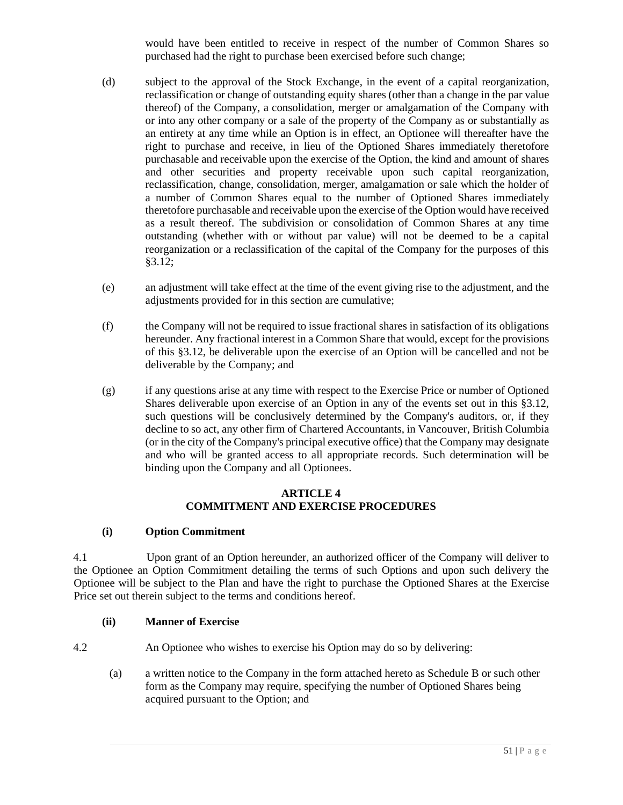would have been entitled to receive in respect of the number of Common Shares so purchased had the right to purchase been exercised before such change;

- (d) subject to the approval of the Stock Exchange, in the event of a capital reorganization, reclassification or change of outstanding equity shares (other than a change in the par value thereof) of the Company, a consolidation, merger or amalgamation of the Company with or into any other company or a sale of the property of the Company as or substantially as an entirety at any time while an Option is in effect, an Optionee will thereafter have the right to purchase and receive, in lieu of the Optioned Shares immediately theretofore purchasable and receivable upon the exercise of the Option, the kind and amount of shares and other securities and property receivable upon such capital reorganization, reclassification, change, consolidation, merger, amalgamation or sale which the holder of a number of Common Shares equal to the number of Optioned Shares immediately theretofore purchasable and receivable upon the exercise of the Option would have received as a result thereof. The subdivision or consolidation of Common Shares at any time outstanding (whether with or without par value) will not be deemed to be a capital reorganization or a reclassification of the capital of the Company for the purposes of this §3.12;
- (e) an adjustment will take effect at the time of the event giving rise to the adjustment, and the adjustments provided for in this section are cumulative;
- (f) the Company will not be required to issue fractional shares in satisfaction of its obligations hereunder. Any fractional interest in a Common Share that would, except for the provisions of this §3.12, be deliverable upon the exercise of an Option will be cancelled and not be deliverable by the Company; and
- (g) if any questions arise at any time with respect to the Exercise Price or number of Optioned Shares deliverable upon exercise of an Option in any of the events set out in this §3.12, such questions will be conclusively determined by the Company's auditors, or, if they decline to so act, any other firm of Chartered Accountants, in Vancouver, British Columbia (or in the city of the Company's principal executive office) that the Company may designate and who will be granted access to all appropriate records. Such determination will be binding upon the Company and all Optionees.

# **ARTICLE 4 COMMITMENT AND EXERCISE PROCEDURES**

# **(i) Option Commitment**

4.1 Upon grant of an Option hereunder, an authorized officer of the Company will deliver to the Optionee an Option Commitment detailing the terms of such Options and upon such delivery the Optionee will be subject to the Plan and have the right to purchase the Optioned Shares at the Exercise Price set out therein subject to the terms and conditions hereof.

# **(ii) Manner of Exercise**

4.2 An Optionee who wishes to exercise his Option may do so by delivering:

(a) a written notice to the Company in the form attached hereto as Schedule B or such other form as the Company may require, specifying the number of Optioned Shares being acquired pursuant to the Option; and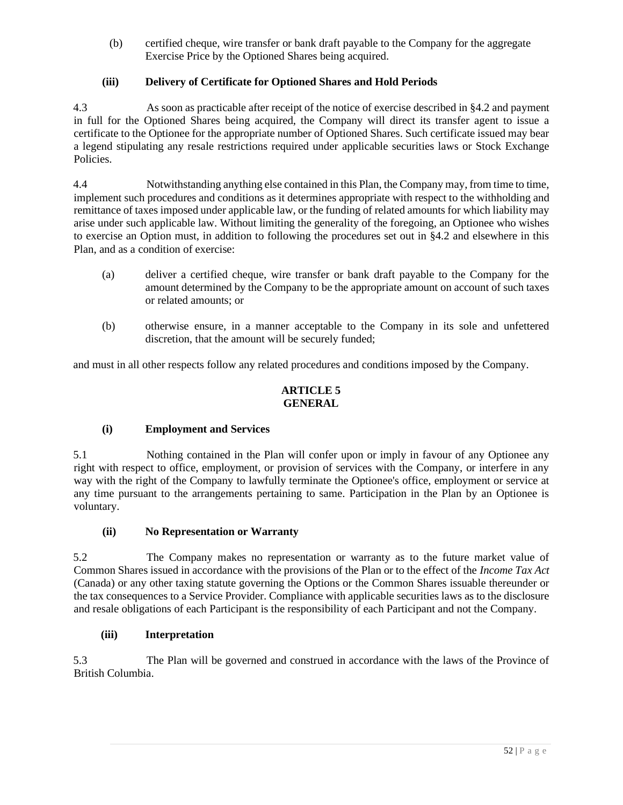(b) certified cheque, wire transfer or bank draft payable to the Company for the aggregate Exercise Price by the Optioned Shares being acquired.

# **(iii) Delivery of Certificate for Optioned Shares and Hold Periods**

4.3 As soon as practicable after receipt of the notice of exercise described in §4.2 and payment in full for the Optioned Shares being acquired, the Company will direct its transfer agent to issue a certificate to the Optionee for the appropriate number of Optioned Shares. Such certificate issued may bear a legend stipulating any resale restrictions required under applicable securities laws or Stock Exchange Policies.

4.4 Notwithstanding anything else contained in this Plan, the Company may, from time to time, implement such procedures and conditions as it determines appropriate with respect to the withholding and remittance of taxes imposed under applicable law, or the funding of related amounts for which liability may arise under such applicable law. Without limiting the generality of the foregoing, an Optionee who wishes to exercise an Option must, in addition to following the procedures set out in §4.2 and elsewhere in this Plan, and as a condition of exercise:

- (a) deliver a certified cheque, wire transfer or bank draft payable to the Company for the amount determined by the Company to be the appropriate amount on account of such taxes or related amounts; or
- (b) otherwise ensure, in a manner acceptable to the Company in its sole and unfettered discretion, that the amount will be securely funded;

and must in all other respects follow any related procedures and conditions imposed by the Company.

# **ARTICLE 5 GENERAL**

# **(i) Employment and Services**

5.1 Nothing contained in the Plan will confer upon or imply in favour of any Optionee any right with respect to office, employment, or provision of services with the Company, or interfere in any way with the right of the Company to lawfully terminate the Optionee's office, employment or service at any time pursuant to the arrangements pertaining to same. Participation in the Plan by an Optionee is voluntary.

# **(ii) No Representation or Warranty**

5.2 The Company makes no representation or warranty as to the future market value of Common Shares issued in accordance with the provisions of the Plan or to the effect of the *Income Tax Act* (Canada) or any other taxing statute governing the Options or the Common Shares issuable thereunder or the tax consequences to a Service Provider. Compliance with applicable securities laws as to the disclosure and resale obligations of each Participant is the responsibility of each Participant and not the Company.

# **(iii) Interpretation**

5.3 The Plan will be governed and construed in accordance with the laws of the Province of British Columbia.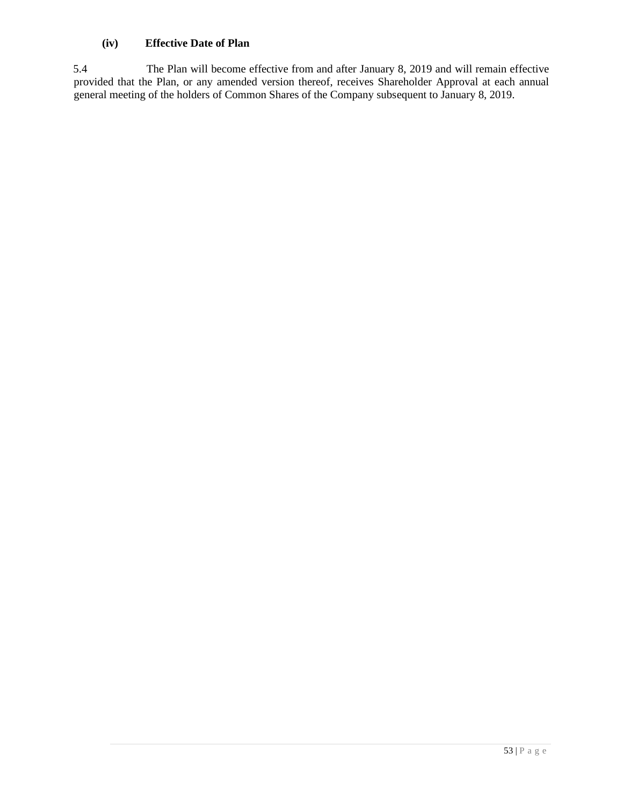# **(iv) Effective Date of Plan**

5.4 The Plan will become effective from and after January 8, 2019 and will remain effective provided that the Plan, or any amended version thereof, receives Shareholder Approval at each annual general meeting of the holders of Common Shares of the Company subsequent to January 8, 2019.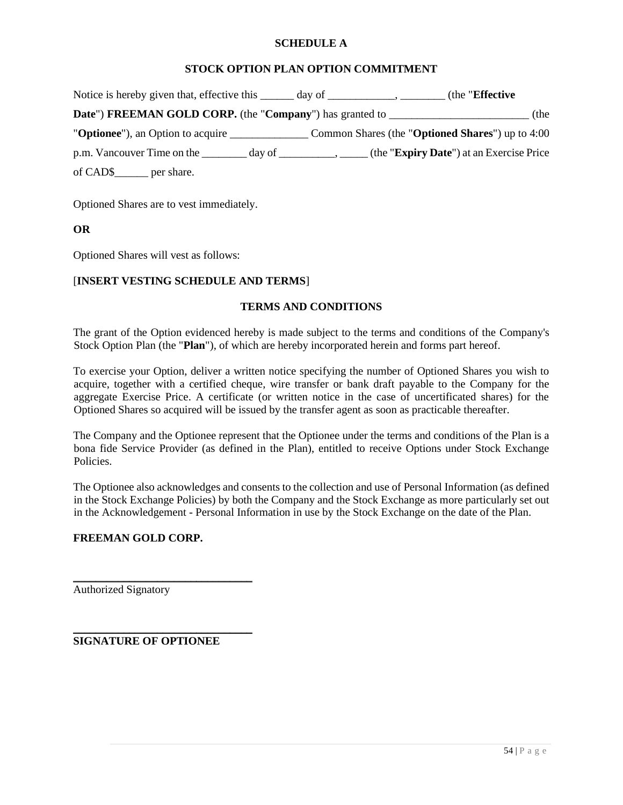### **SCHEDULE A**

# **STOCK OPTION PLAN OPTION COMMITMENT**

| Notice is hereby given that, effective this _______ day of ______________________ | the " <b>Effective</b>                                                                                           |
|-----------------------------------------------------------------------------------|------------------------------------------------------------------------------------------------------------------|
| Date") FREEMAN GOLD CORP. (the "Company") has granted to ________________________ | (the                                                                                                             |
|                                                                                   |                                                                                                                  |
|                                                                                   | p.m. Vancouver Time on the _________ day of ___________, _____ (the " <b>Expiry Date</b> ") at an Exercise Price |
| of CAD\$______ per share.                                                         |                                                                                                                  |

Optioned Shares are to vest immediately.

### **OR**

Optioned Shares will vest as follows:

### [**INSERT VESTING SCHEDULE AND TERMS**]

### **TERMS AND CONDITIONS**

The grant of the Option evidenced hereby is made subject to the terms and conditions of the Company's Stock Option Plan (the "**Plan**"), of which are hereby incorporated herein and forms part hereof.

To exercise your Option, deliver a written notice specifying the number of Optioned Shares you wish to acquire, together with a certified cheque, wire transfer or bank draft payable to the Company for the aggregate Exercise Price. A certificate (or written notice in the case of uncertificated shares) for the Optioned Shares so acquired will be issued by the transfer agent as soon as practicable thereafter.

The Company and the Optionee represent that the Optionee under the terms and conditions of the Plan is a bona fide Service Provider (as defined in the Plan), entitled to receive Options under Stock Exchange Policies.

The Optionee also acknowledges and consents to the collection and use of Personal Information (as defined in the Stock Exchange Policies) by both the Company and the Stock Exchange as more particularly set out in the Acknowledgement - Personal Information in use by the Stock Exchange on the date of the Plan.

# **FREEMAN GOLD CORP.**

Authorized Signatory

**SIGNATURE OF OPTIONEE** 

\_\_\_\_\_\_\_\_\_\_\_\_\_\_\_\_\_\_\_\_\_\_\_\_\_\_\_\_\_\_\_\_

\_\_\_\_\_\_\_\_\_\_\_\_\_\_\_\_\_\_\_\_\_\_\_\_\_\_\_\_\_\_\_\_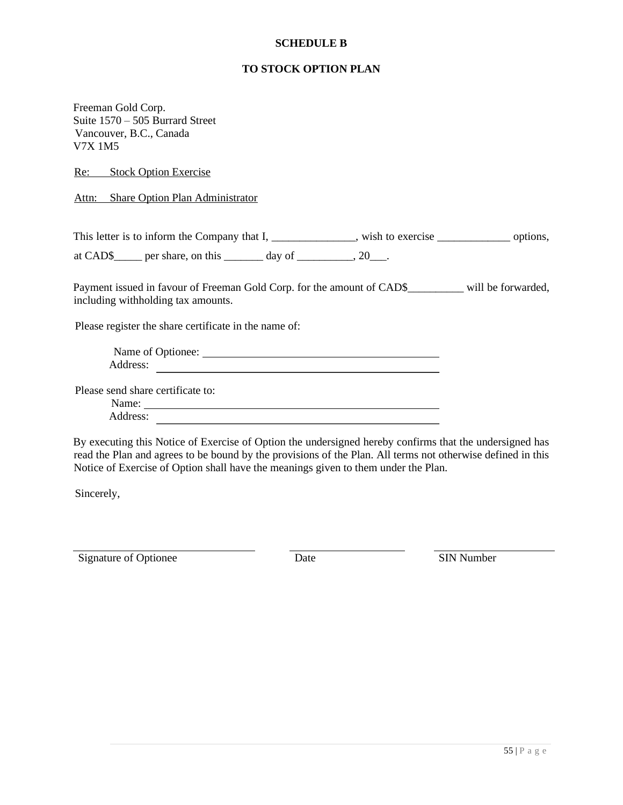### **SCHEDULE B**

# **TO STOCK OPTION PLAN**

Freeman Gold Corp. Suite 1570 – 505 Burrard Street Vancouver, B.C., Canada V7X 1M5

Re: Stock Option Exercise

Attn: Share Option Plan Administrator

This letter is to inform the Company that I, \_\_\_\_\_\_\_\_\_\_\_\_\_, wish to exercise \_\_\_\_\_\_\_\_\_\_\_\_\_\_\_\_\_ options,

at CAD\$\_\_\_\_\_ per share, on this  $\_\_\_\_\$  day of  $\_\_\_\_\_\$ , 20 $\_\_\_\$ .

Payment issued in favour of Freeman Gold Corp. for the amount of CAD\$\_\_\_\_\_\_\_\_\_ will be forwarded, including withholding tax amounts.

Please register the share certificate in the name of:

| Name of Optionee: |  |
|-------------------|--|
| Address:          |  |

Please send share certificate to:

Name: Address:

By executing this Notice of Exercise of Option the undersigned hereby confirms that the undersigned has read the Plan and agrees to be bound by the provisions of the Plan. All terms not otherwise defined in this Notice of Exercise of Option shall have the meanings given to them under the Plan.

Sincerely,

Signature of Optionee Date Date SIN Number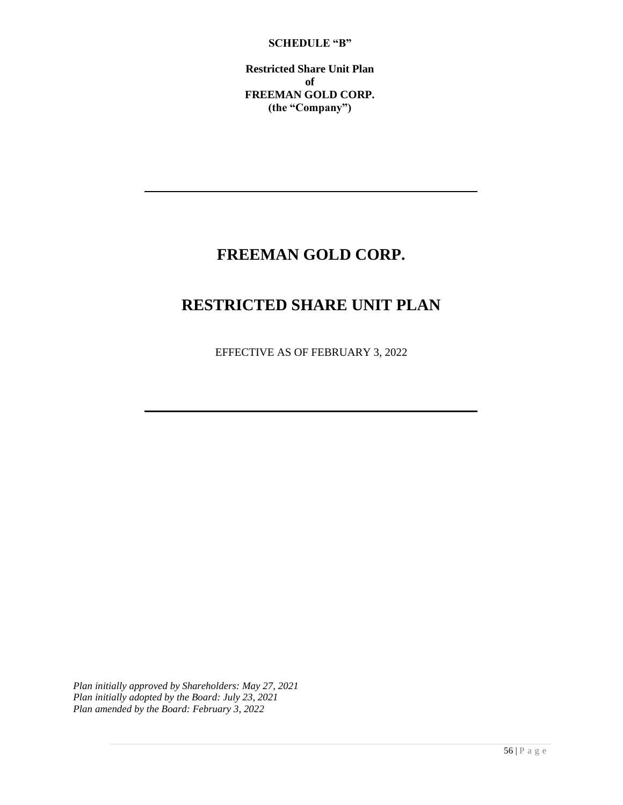### **SCHEDULE "B"**

**Restricted Share Unit Plan of FREEMAN GOLD CORP. (the "Company")**

# **FREEMAN GOLD CORP.**

# **RESTRICTED SHARE UNIT PLAN**

EFFECTIVE AS OF FEBRUARY 3, 2022

*Plan initially approved by Shareholders: May 27, 2021 Plan initially adopted by the Board: July 23, 2021 Plan amended by the Board: February 3, 2022*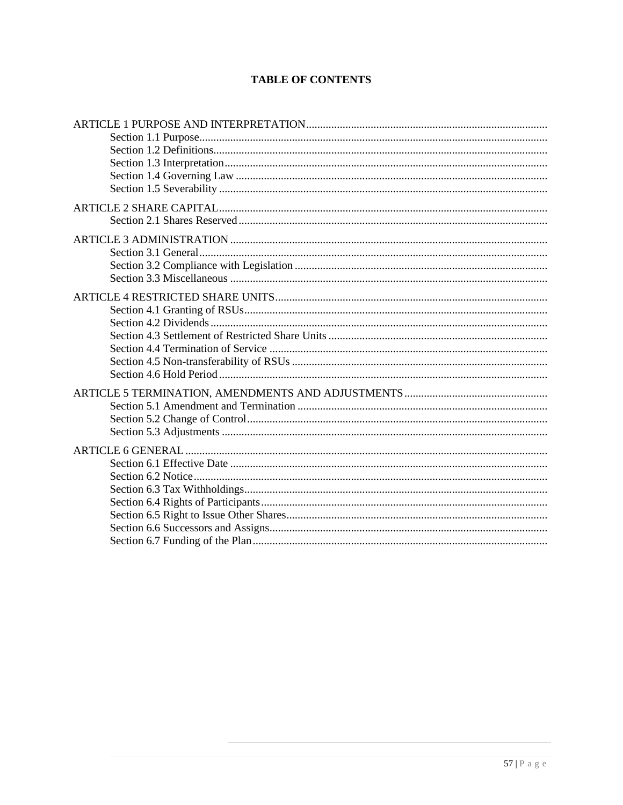# **TABLE OF CONTENTS**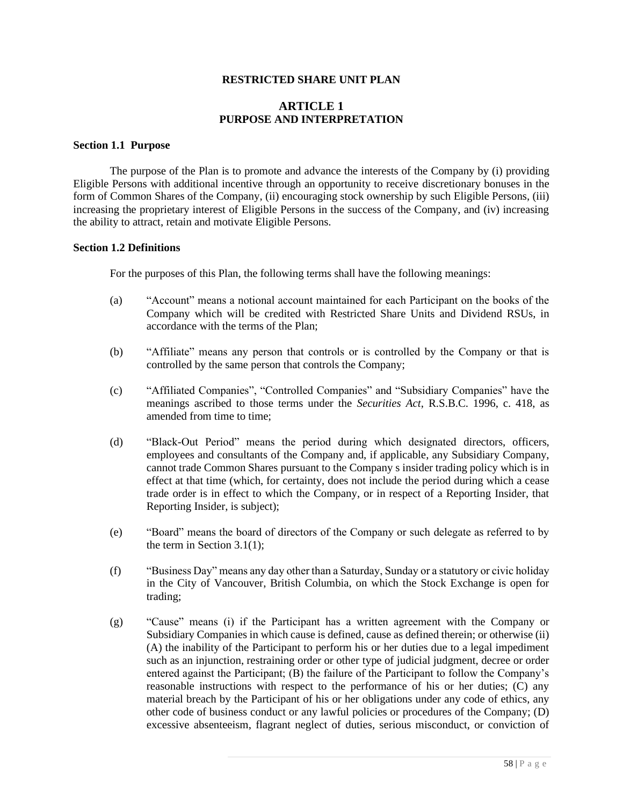### **RESTRICTED SHARE UNIT PLAN**

### **ARTICLE 1 PURPOSE AND INTERPRETATION**

#### **Section 1.1 Purpose**

The purpose of the Plan is to promote and advance the interests of the Company by (i) providing Eligible Persons with additional incentive through an opportunity to receive discretionary bonuses in the form of Common Shares of the Company, (ii) encouraging stock ownership by such Eligible Persons, (iii) increasing the proprietary interest of Eligible Persons in the success of the Company, and (iv) increasing the ability to attract, retain and motivate Eligible Persons.

### **Section 1.2 Definitions**

For the purposes of this Plan, the following terms shall have the following meanings:

- (a) "Account" means a notional account maintained for each Participant on the books of the Company which will be credited with Restricted Share Units and Dividend RSUs, in accordance with the terms of the Plan;
- (b) "Affiliate" means any person that controls or is controlled by the Company or that is controlled by the same person that controls the Company;
- (c) "Affiliated Companies", "Controlled Companies" and "Subsidiary Companies" have the meanings ascribed to those terms under the *Securities Act*, R.S.B.C. 1996, c. 418, as amended from time to time;
- (d) "Black-Out Period" means the period during which designated directors, officers, employees and consultants of the Company and, if applicable, any Subsidiary Company, cannot trade Common Shares pursuant to the Company s insider trading policy which is in effect at that time (which, for certainty, does not include the period during which a cease trade order is in effect to which the Company, or in respect of a Reporting Insider, that Reporting Insider, is subject);
- (e) "Board" means the board of directors of the Company or such delegate as referred to by the term in Section 3.1(1);
- (f) "Business Day" means any day other than a Saturday, Sunday or a statutory or civic holiday in the City of Vancouver, British Columbia, on which the Stock Exchange is open for trading;
- (g) "Cause" means (i) if the Participant has a written agreement with the Company or Subsidiary Companies in which cause is defined, cause as defined therein; or otherwise (ii) (A) the inability of the Participant to perform his or her duties due to a legal impediment such as an injunction, restraining order or other type of judicial judgment, decree or order entered against the Participant; (B) the failure of the Participant to follow the Company's reasonable instructions with respect to the performance of his or her duties; (C) any material breach by the Participant of his or her obligations under any code of ethics, any other code of business conduct or any lawful policies or procedures of the Company; (D) excessive absenteeism, flagrant neglect of duties, serious misconduct, or conviction of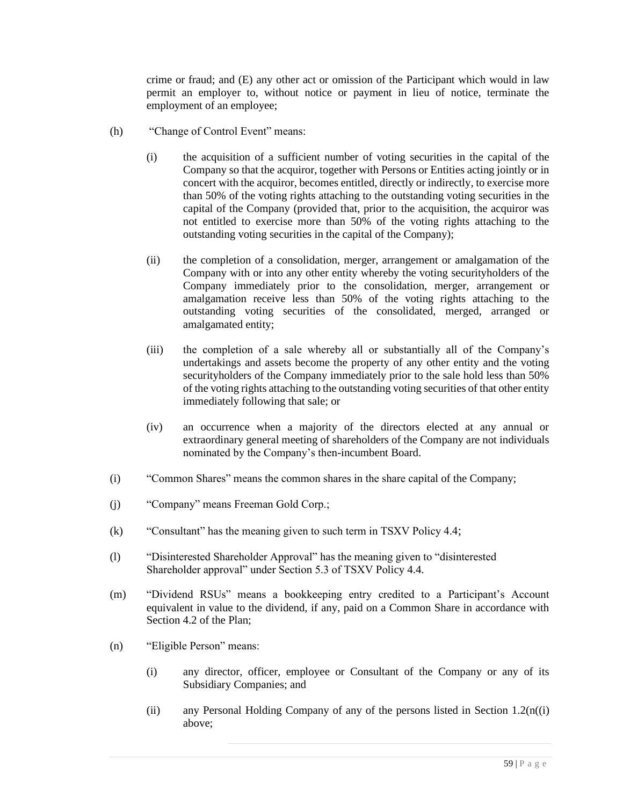crime or fraud; and (E) any other act or omission of the Participant which would in law permit an employer to, without notice or payment in lieu of notice, terminate the employment of an employee;

- (h) "Change of Control Event" means:
	- (i) the acquisition of a sufficient number of voting securities in the capital of the Company so that the acquiror, together with Persons or Entities acting jointly or in concert with the acquiror, becomes entitled, directly or indirectly, to exercise more than 50% of the voting rights attaching to the outstanding voting securities in the capital of the Company (provided that, prior to the acquisition, the acquiror was not entitled to exercise more than 50% of the voting rights attaching to the outstanding voting securities in the capital of the Company);
	- (ii) the completion of a consolidation, merger, arrangement or amalgamation of the Company with or into any other entity whereby the voting securityholders of the Company immediately prior to the consolidation, merger, arrangement or amalgamation receive less than 50% of the voting rights attaching to the outstanding voting securities of the consolidated, merged, arranged or amalgamated entity;
	- (iii) the completion of a sale whereby all or substantially all of the Company's undertakings and assets become the property of any other entity and the voting securityholders of the Company immediately prior to the sale hold less than 50% of the voting rights attaching to the outstanding voting securities of that other entity immediately following that sale; or
	- (iv) an occurrence when a majority of the directors elected at any annual or extraordinary general meeting of shareholders of the Company are not individuals nominated by the Company's then-incumbent Board.
- (i) "Common Shares" means the common shares in the share capital of the Company;
- (j) "Company" means Freeman Gold Corp.;
- (k) "Consultant" has the meaning given to such term in TSXV Policy 4.4;
- (l) "Disinterested Shareholder Approval" has the meaning given to "disinterested Shareholder approval" under Section 5.3 of TSXV Policy 4.4.
- (m) "Dividend RSUs" means a bookkeeping entry credited to a Participant's Account equivalent in value to the dividend, if any, paid on a Common Share in accordance with Section 4.2 of the Plan;
- (n) "Eligible Person" means:
	- (i) any director, officer, employee or Consultant of the Company or any of its Subsidiary Companies; and
	- (ii) any Personal Holding Company of any of the persons listed in Section  $1.2(n(i))$ above;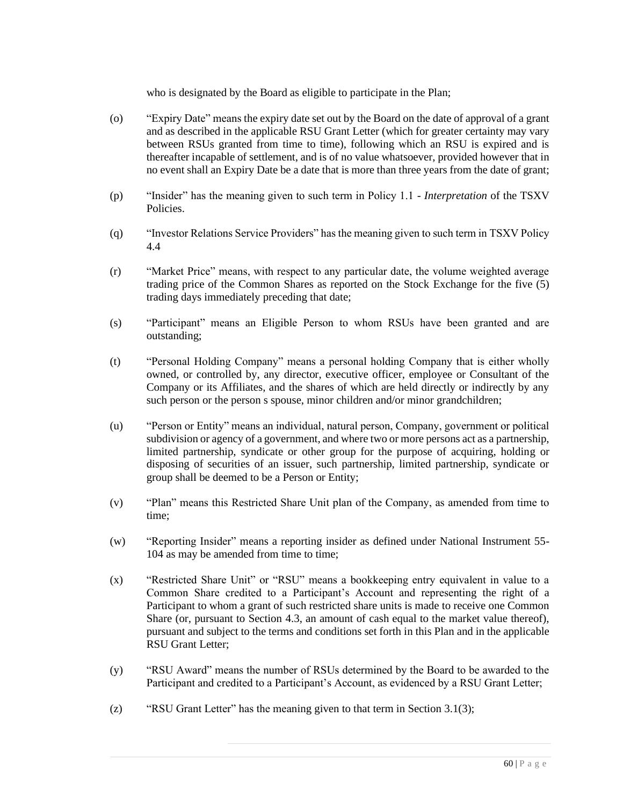who is designated by the Board as eligible to participate in the Plan;

- (o) "Expiry Date" means the expiry date set out by the Board on the date of approval of a grant and as described in the applicable RSU Grant Letter (which for greater certainty may vary between RSUs granted from time to time), following which an RSU is expired and is thereafter incapable of settlement, and is of no value whatsoever, provided however that in no event shall an Expiry Date be a date that is more than three years from the date of grant;
- (p) "Insider" has the meaning given to such term in Policy 1.1 *Interpretation* of the TSXV Policies.
- (q) "Investor Relations Service Providers" has the meaning given to such term in TSXV Policy 4.4
- (r) "Market Price" means, with respect to any particular date, the volume weighted average trading price of the Common Shares as reported on the Stock Exchange for the five (5) trading days immediately preceding that date;
- (s) "Participant" means an Eligible Person to whom RSUs have been granted and are outstanding;
- (t) "Personal Holding Company" means a personal holding Company that is either wholly owned, or controlled by, any director, executive officer, employee or Consultant of the Company or its Affiliates, and the shares of which are held directly or indirectly by any such person or the person s spouse, minor children and/or minor grandchildren;
- (u) "Person or Entity" means an individual, natural person, Company, government or political subdivision or agency of a government, and where two or more persons act as a partnership, limited partnership, syndicate or other group for the purpose of acquiring, holding or disposing of securities of an issuer, such partnership, limited partnership, syndicate or group shall be deemed to be a Person or Entity;
- (v) "Plan" means this Restricted Share Unit plan of the Company, as amended from time to time;
- (w) "Reporting Insider" means a reporting insider as defined under National Instrument 55- 104 as may be amended from time to time;
- (x) "Restricted Share Unit" or "RSU" means a bookkeeping entry equivalent in value to a Common Share credited to a Participant's Account and representing the right of a Participant to whom a grant of such restricted share units is made to receive one Common Share (or, pursuant to Section 4.3, an amount of cash equal to the market value thereof), pursuant and subject to the terms and conditions set forth in this Plan and in the applicable RSU Grant Letter;
- (y) "RSU Award" means the number of RSUs determined by the Board to be awarded to the Participant and credited to a Participant's Account, as evidenced by a RSU Grant Letter;
- (z) "RSU Grant Letter" has the meaning given to that term in Section 3.1(3);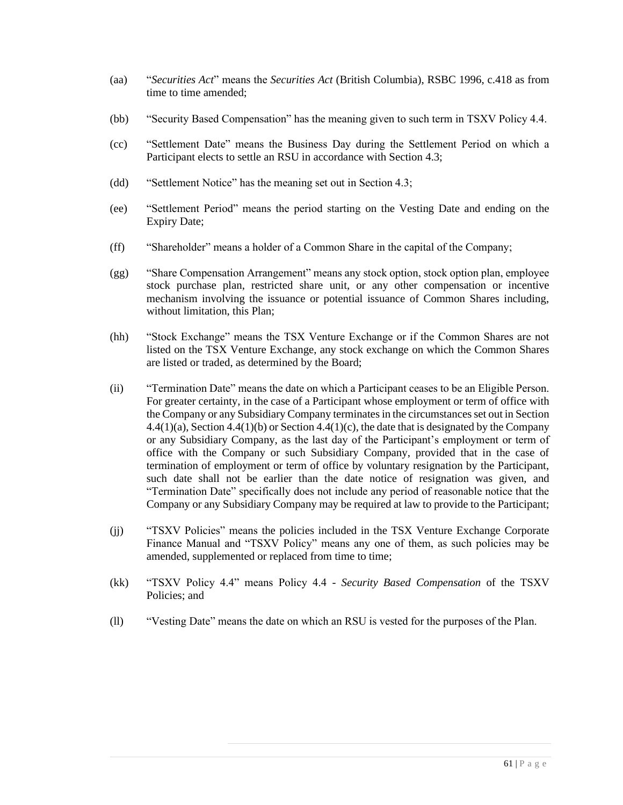- (aa) "*Securities Act*" means the *Securities Act* (British Columbia), RSBC 1996, c.418 as from time to time amended;
- (bb) "Security Based Compensation" has the meaning given to such term in TSXV Policy 4.4.
- (cc) "Settlement Date" means the Business Day during the Settlement Period on which a Participant elects to settle an RSU in accordance with Section 4.3;
- (dd) "Settlement Notice" has the meaning set out in Section 4.3;
- (ee) "Settlement Period" means the period starting on the Vesting Date and ending on the Expiry Date;
- (ff) "Shareholder" means a holder of a Common Share in the capital of the Company;
- (gg) "Share Compensation Arrangement" means any stock option, stock option plan, employee stock purchase plan, restricted share unit, or any other compensation or incentive mechanism involving the issuance or potential issuance of Common Shares including, without limitation, this Plan;
- (hh) "Stock Exchange" means the TSX Venture Exchange or if the Common Shares are not listed on the TSX Venture Exchange, any stock exchange on which the Common Shares are listed or traded, as determined by the Board;
- (ii) "Termination Date" means the date on which a Participant ceases to be an Eligible Person. For greater certainty, in the case of a Participant whose employment or term of office with the Company or any Subsidiary Company terminates in the circumstances set out in Section  $4.4(1)(a)$ , Section  $4.4(1)(b)$  or Section  $4.4(1)(c)$ , the date that is designated by the Company or any Subsidiary Company, as the last day of the Participant's employment or term of office with the Company or such Subsidiary Company, provided that in the case of termination of employment or term of office by voluntary resignation by the Participant, such date shall not be earlier than the date notice of resignation was given, and "Termination Date" specifically does not include any period of reasonable notice that the Company or any Subsidiary Company may be required at law to provide to the Participant;
- (jj) "TSXV Policies" means the policies included in the TSX Venture Exchange Corporate Finance Manual and "TSXV Policy" means any one of them, as such policies may be amended, supplemented or replaced from time to time;
- (kk) "TSXV Policy 4.4" means Policy 4.4 *Security Based Compensation* of the TSXV Policies; and
- (ll) "Vesting Date" means the date on which an RSU is vested for the purposes of the Plan.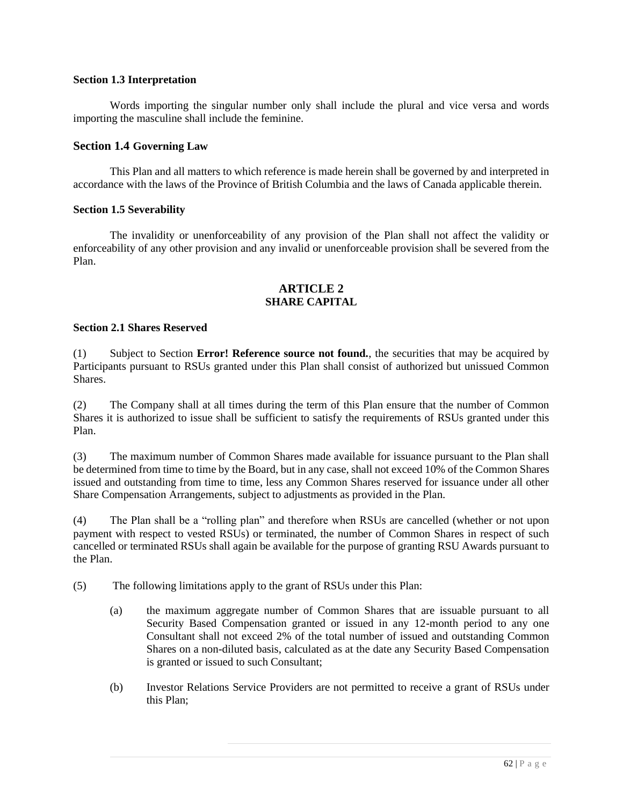### **Section 1.3 Interpretation**

Words importing the singular number only shall include the plural and vice versa and words importing the masculine shall include the feminine.

# **Section 1.4 Governing Law**

This Plan and all matters to which reference is made herein shall be governed by and interpreted in accordance with the laws of the Province of British Columbia and the laws of Canada applicable therein.

### **Section 1.5 Severability**

The invalidity or unenforceability of any provision of the Plan shall not affect the validity or enforceability of any other provision and any invalid or unenforceable provision shall be severed from the Plan.

# **ARTICLE 2 SHARE CAPITAL**

### **Section 2.1 Shares Reserved**

(1) Subject to Section **Error! Reference source not found.**, the securities that may be acquired by Participants pursuant to RSUs granted under this Plan shall consist of authorized but unissued Common **Shares** 

(2) The Company shall at all times during the term of this Plan ensure that the number of Common Shares it is authorized to issue shall be sufficient to satisfy the requirements of RSUs granted under this Plan.

(3) The maximum number of Common Shares made available for issuance pursuant to the Plan shall be determined from time to time by the Board, but in any case, shall not exceed 10% of the Common Shares issued and outstanding from time to time, less any Common Shares reserved for issuance under all other Share Compensation Arrangements, subject to adjustments as provided in the Plan.

(4) The Plan shall be a "rolling plan" and therefore when RSUs are cancelled (whether or not upon payment with respect to vested RSUs) or terminated, the number of Common Shares in respect of such cancelled or terminated RSUs shall again be available for the purpose of granting RSU Awards pursuant to the Plan.

(5) The following limitations apply to the grant of RSUs under this Plan:

- (a) the maximum aggregate number of Common Shares that are issuable pursuant to all Security Based Compensation granted or issued in any 12-month period to any one Consultant shall not exceed 2% of the total number of issued and outstanding Common Shares on a non-diluted basis, calculated as at the date any Security Based Compensation is granted or issued to such Consultant;
- (b) Investor Relations Service Providers are not permitted to receive a grant of RSUs under this Plan;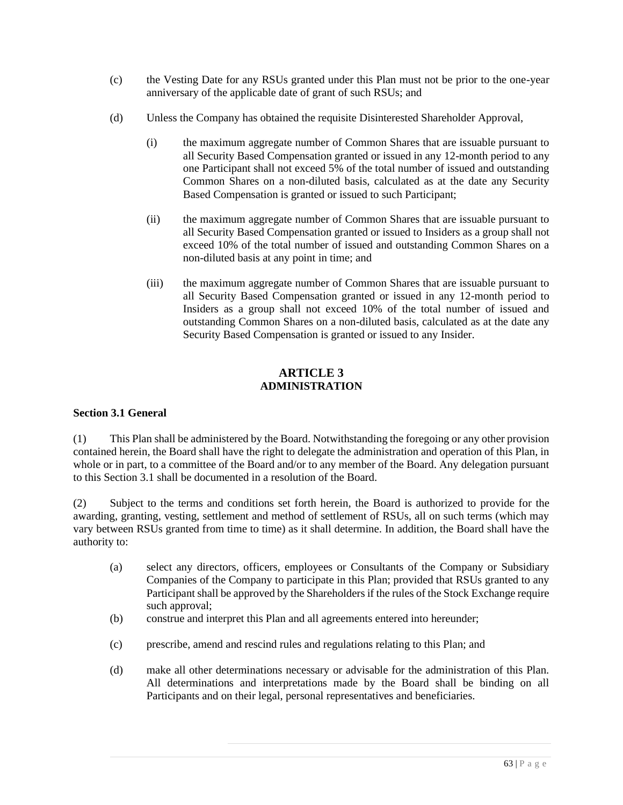- (c) the Vesting Date for any RSUs granted under this Plan must not be prior to the one-year anniversary of the applicable date of grant of such RSUs; and
- (d) Unless the Company has obtained the requisite Disinterested Shareholder Approval,
	- (i) the maximum aggregate number of Common Shares that are issuable pursuant to all Security Based Compensation granted or issued in any 12-month period to any one Participant shall not exceed 5% of the total number of issued and outstanding Common Shares on a non-diluted basis, calculated as at the date any Security Based Compensation is granted or issued to such Participant;
	- (ii) the maximum aggregate number of Common Shares that are issuable pursuant to all Security Based Compensation granted or issued to Insiders as a group shall not exceed 10% of the total number of issued and outstanding Common Shares on a non-diluted basis at any point in time; and
	- (iii) the maximum aggregate number of Common Shares that are issuable pursuant to all Security Based Compensation granted or issued in any 12-month period to Insiders as a group shall not exceed 10% of the total number of issued and outstanding Common Shares on a non-diluted basis, calculated as at the date any Security Based Compensation is granted or issued to any Insider.

# **ARTICLE 3 ADMINISTRATION**

# **Section 3.1 General**

(1) This Plan shall be administered by the Board. Notwithstanding the foregoing or any other provision contained herein, the Board shall have the right to delegate the administration and operation of this Plan, in whole or in part, to a committee of the Board and/or to any member of the Board. Any delegation pursuant to this Section 3.1 shall be documented in a resolution of the Board.

(2) Subject to the terms and conditions set forth herein, the Board is authorized to provide for the awarding, granting, vesting, settlement and method of settlement of RSUs, all on such terms (which may vary between RSUs granted from time to time) as it shall determine. In addition, the Board shall have the authority to:

- (a) select any directors, officers, employees or Consultants of the Company or Subsidiary Companies of the Company to participate in this Plan; provided that RSUs granted to any Participant shall be approved by the Shareholders if the rules of the Stock Exchange require such approval;
- (b) construe and interpret this Plan and all agreements entered into hereunder;
- (c) prescribe, amend and rescind rules and regulations relating to this Plan; and
- (d) make all other determinations necessary or advisable for the administration of this Plan. All determinations and interpretations made by the Board shall be binding on all Participants and on their legal, personal representatives and beneficiaries.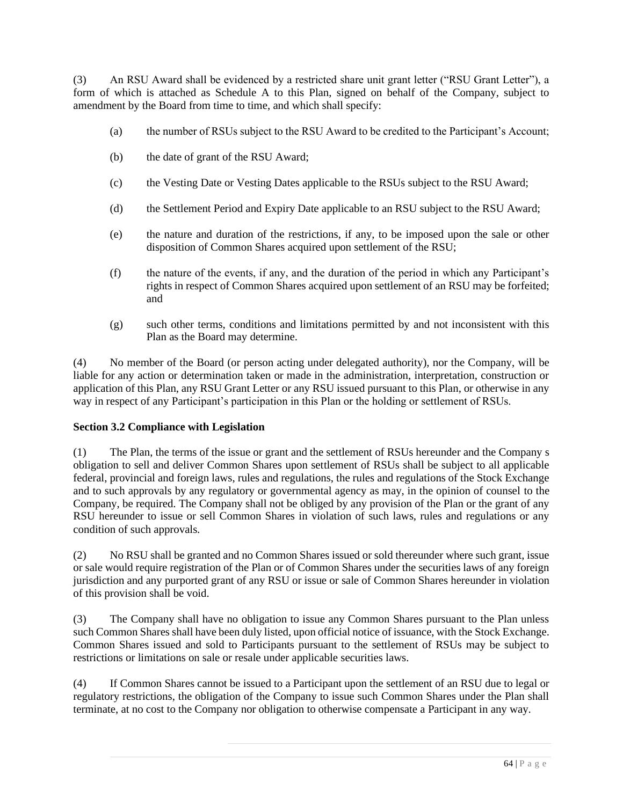(3) An RSU Award shall be evidenced by a restricted share unit grant letter ("RSU Grant Letter"), a form of which is attached as Schedule A to this Plan, signed on behalf of the Company, subject to amendment by the Board from time to time, and which shall specify:

- (a) the number of RSUs subject to the RSU Award to be credited to the Participant's Account;
- (b) the date of grant of the RSU Award;
- (c) the Vesting Date or Vesting Dates applicable to the RSUs subject to the RSU Award;
- (d) the Settlement Period and Expiry Date applicable to an RSU subject to the RSU Award;
- (e) the nature and duration of the restrictions, if any, to be imposed upon the sale or other disposition of Common Shares acquired upon settlement of the RSU;
- (f) the nature of the events, if any, and the duration of the period in which any Participant's rights in respect of Common Shares acquired upon settlement of an RSU may be forfeited; and
- (g) such other terms, conditions and limitations permitted by and not inconsistent with this Plan as the Board may determine.

(4) No member of the Board (or person acting under delegated authority), nor the Company, will be liable for any action or determination taken or made in the administration, interpretation, construction or application of this Plan, any RSU Grant Letter or any RSU issued pursuant to this Plan, or otherwise in any way in respect of any Participant's participation in this Plan or the holding or settlement of RSUs.

# **Section 3.2 Compliance with Legislation**

(1) The Plan, the terms of the issue or grant and the settlement of RSUs hereunder and the Company s obligation to sell and deliver Common Shares upon settlement of RSUs shall be subject to all applicable federal, provincial and foreign laws, rules and regulations, the rules and regulations of the Stock Exchange and to such approvals by any regulatory or governmental agency as may, in the opinion of counsel to the Company, be required. The Company shall not be obliged by any provision of the Plan or the grant of any RSU hereunder to issue or sell Common Shares in violation of such laws, rules and regulations or any condition of such approvals.

(2) No RSU shall be granted and no Common Shares issued or sold thereunder where such grant, issue or sale would require registration of the Plan or of Common Shares under the securities laws of any foreign jurisdiction and any purported grant of any RSU or issue or sale of Common Shares hereunder in violation of this provision shall be void.

(3) The Company shall have no obligation to issue any Common Shares pursuant to the Plan unless such Common Shares shall have been duly listed, upon official notice of issuance, with the Stock Exchange. Common Shares issued and sold to Participants pursuant to the settlement of RSUs may be subject to restrictions or limitations on sale or resale under applicable securities laws.

(4) If Common Shares cannot be issued to a Participant upon the settlement of an RSU due to legal or regulatory restrictions, the obligation of the Company to issue such Common Shares under the Plan shall terminate, at no cost to the Company nor obligation to otherwise compensate a Participant in any way.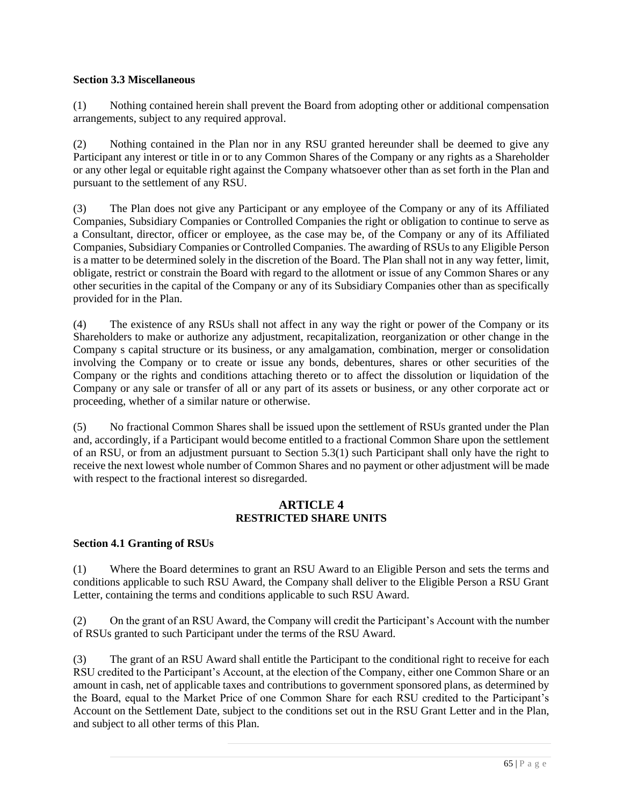# **Section 3.3 Miscellaneous**

(1) Nothing contained herein shall prevent the Board from adopting other or additional compensation arrangements, subject to any required approval.

(2) Nothing contained in the Plan nor in any RSU granted hereunder shall be deemed to give any Participant any interest or title in or to any Common Shares of the Company or any rights as a Shareholder or any other legal or equitable right against the Company whatsoever other than as set forth in the Plan and pursuant to the settlement of any RSU.

(3) The Plan does not give any Participant or any employee of the Company or any of its Affiliated Companies, Subsidiary Companies or Controlled Companies the right or obligation to continue to serve as a Consultant, director, officer or employee, as the case may be, of the Company or any of its Affiliated Companies, Subsidiary Companies or Controlled Companies. The awarding of RSUs to any Eligible Person is a matter to be determined solely in the discretion of the Board. The Plan shall not in any way fetter, limit, obligate, restrict or constrain the Board with regard to the allotment or issue of any Common Shares or any other securities in the capital of the Company or any of its Subsidiary Companies other than as specifically provided for in the Plan.

(4) The existence of any RSUs shall not affect in any way the right or power of the Company or its Shareholders to make or authorize any adjustment, recapitalization, reorganization or other change in the Company s capital structure or its business, or any amalgamation, combination, merger or consolidation involving the Company or to create or issue any bonds, debentures, shares or other securities of the Company or the rights and conditions attaching thereto or to affect the dissolution or liquidation of the Company or any sale or transfer of all or any part of its assets or business, or any other corporate act or proceeding, whether of a similar nature or otherwise.

(5) No fractional Common Shares shall be issued upon the settlement of RSUs granted under the Plan and, accordingly, if a Participant would become entitled to a fractional Common Share upon the settlement of an RSU, or from an adjustment pursuant to Section 5.3(1) such Participant shall only have the right to receive the next lowest whole number of Common Shares and no payment or other adjustment will be made with respect to the fractional interest so disregarded.

# **ARTICLE 4 RESTRICTED SHARE UNITS**

# **Section 4.1 Granting of RSUs**

(1) Where the Board determines to grant an RSU Award to an Eligible Person and sets the terms and conditions applicable to such RSU Award, the Company shall deliver to the Eligible Person a RSU Grant Letter, containing the terms and conditions applicable to such RSU Award.

(2) On the grant of an RSU Award, the Company will credit the Participant's Account with the number of RSUs granted to such Participant under the terms of the RSU Award.

(3) The grant of an RSU Award shall entitle the Participant to the conditional right to receive for each RSU credited to the Participant's Account, at the election of the Company, either one Common Share or an amount in cash, net of applicable taxes and contributions to government sponsored plans, as determined by the Board, equal to the Market Price of one Common Share for each RSU credited to the Participant's Account on the Settlement Date, subject to the conditions set out in the RSU Grant Letter and in the Plan, and subject to all other terms of this Plan.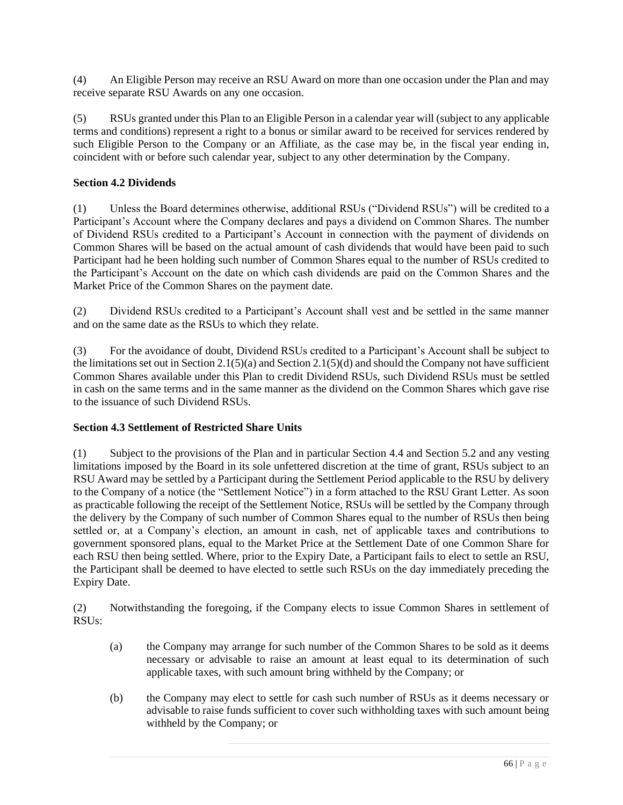(4) An Eligible Person may receive an RSU Award on more than one occasion under the Plan and may receive separate RSU Awards on any one occasion.

(5) RSUs granted under this Plan to an Eligible Person in a calendar year will (subject to any applicable terms and conditions) represent a right to a bonus or similar award to be received for services rendered by such Eligible Person to the Company or an Affiliate, as the case may be, in the fiscal year ending in, coincident with or before such calendar year, subject to any other determination by the Company.

# **Section 4.2 Dividends**

(1) Unless the Board determines otherwise, additional RSUs ("Dividend RSUs") will be credited to a Participant's Account where the Company declares and pays a dividend on Common Shares. The number of Dividend RSUs credited to a Participant's Account in connection with the payment of dividends on Common Shares will be based on the actual amount of cash dividends that would have been paid to such Participant had he been holding such number of Common Shares equal to the number of RSUs credited to the Participant's Account on the date on which cash dividends are paid on the Common Shares and the Market Price of the Common Shares on the payment date.

(2) Dividend RSUs credited to a Participant's Account shall vest and be settled in the same manner and on the same date as the RSUs to which they relate.

(3) For the avoidance of doubt, Dividend RSUs credited to a Participant's Account shall be subject to the limitations set out in Section 2.1(5)(a) and Section 2.1(5)(d) and should the Company not have sufficient Common Shares available under this Plan to credit Dividend RSUs, such Dividend RSUs must be settled in cash on the same terms and in the same manner as the dividend on the Common Shares which gave rise to the issuance of such Dividend RSUs.

# **Section 4.3 Settlement of Restricted Share Units**

(1) Subject to the provisions of the Plan and in particular Section 4.4 and Section 5.2 and any vesting limitations imposed by the Board in its sole unfettered discretion at the time of grant, RSUs subject to an RSU Award may be settled by a Participant during the Settlement Period applicable to the RSU by delivery to the Company of a notice (the "Settlement Notice") in a form attached to the RSU Grant Letter. As soon as practicable following the receipt of the Settlement Notice, RSUs will be settled by the Company through the delivery by the Company of such number of Common Shares equal to the number of RSUs then being settled or, at a Company's election, an amount in cash, net of applicable taxes and contributions to government sponsored plans, equal to the Market Price at the Settlement Date of one Common Share for each RSU then being settled. Where, prior to the Expiry Date, a Participant fails to elect to settle an RSU, the Participant shall be deemed to have elected to settle such RSUs on the day immediately preceding the Expiry Date.

(2) Notwithstanding the foregoing, if the Company elects to issue Common Shares in settlement of RSUs:

- (a) the Company may arrange for such number of the Common Shares to be sold as it deems necessary or advisable to raise an amount at least equal to its determination of such applicable taxes, with such amount bring withheld by the Company; or
- (b) the Company may elect to settle for cash such number of RSUs as it deems necessary or advisable to raise funds sufficient to cover such withholding taxes with such amount being withheld by the Company; or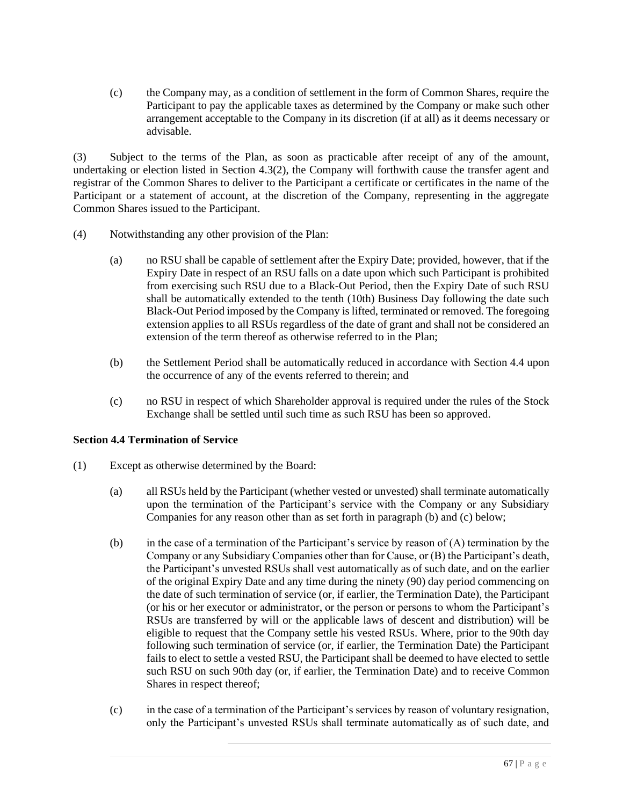(c) the Company may, as a condition of settlement in the form of Common Shares, require the Participant to pay the applicable taxes as determined by the Company or make such other arrangement acceptable to the Company in its discretion (if at all) as it deems necessary or advisable.

(3) Subject to the terms of the Plan, as soon as practicable after receipt of any of the amount, undertaking or election listed in Section 4.3(2), the Company will forthwith cause the transfer agent and registrar of the Common Shares to deliver to the Participant a certificate or certificates in the name of the Participant or a statement of account, at the discretion of the Company, representing in the aggregate Common Shares issued to the Participant.

- (4) Notwithstanding any other provision of the Plan:
	- (a) no RSU shall be capable of settlement after the Expiry Date; provided, however, that if the Expiry Date in respect of an RSU falls on a date upon which such Participant is prohibited from exercising such RSU due to a Black-Out Period, then the Expiry Date of such RSU shall be automatically extended to the tenth (10th) Business Day following the date such Black-Out Period imposed by the Company is lifted, terminated or removed. The foregoing extension applies to all RSUs regardless of the date of grant and shall not be considered an extension of the term thereof as otherwise referred to in the Plan;
	- (b) the Settlement Period shall be automatically reduced in accordance with Section 4.4 upon the occurrence of any of the events referred to therein; and
	- (c) no RSU in respect of which Shareholder approval is required under the rules of the Stock Exchange shall be settled until such time as such RSU has been so approved.

# **Section 4.4 Termination of Service**

- (1) Except as otherwise determined by the Board:
	- (a) all RSUs held by the Participant (whether vested or unvested) shall terminate automatically upon the termination of the Participant's service with the Company or any Subsidiary Companies for any reason other than as set forth in paragraph (b) and (c) below;
	- (b) in the case of a termination of the Participant's service by reason of  $(A)$  termination by the Company or any Subsidiary Companies other than for Cause, or (B) the Participant's death, the Participant's unvested RSUs shall vest automatically as of such date, and on the earlier of the original Expiry Date and any time during the ninety (90) day period commencing on the date of such termination of service (or, if earlier, the Termination Date), the Participant (or his or her executor or administrator, or the person or persons to whom the Participant's RSUs are transferred by will or the applicable laws of descent and distribution) will be eligible to request that the Company settle his vested RSUs. Where, prior to the 90th day following such termination of service (or, if earlier, the Termination Date) the Participant fails to elect to settle a vested RSU, the Participant shall be deemed to have elected to settle such RSU on such 90th day (or, if earlier, the Termination Date) and to receive Common Shares in respect thereof;
	- (c) in the case of a termination of the Participant's services by reason of voluntary resignation, only the Participant's unvested RSUs shall terminate automatically as of such date, and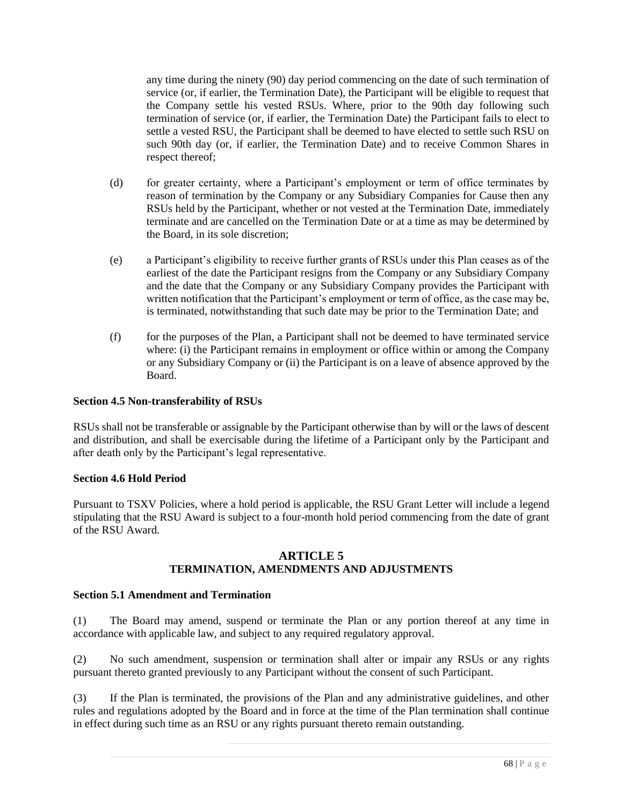any time during the ninety (90) day period commencing on the date of such termination of service (or, if earlier, the Termination Date), the Participant will be eligible to request that the Company settle his vested RSUs. Where, prior to the 90th day following such termination of service (or, if earlier, the Termination Date) the Participant fails to elect to settle a vested RSU, the Participant shall be deemed to have elected to settle such RSU on such 90th day (or, if earlier, the Termination Date) and to receive Common Shares in respect thereof;

- (d) for greater certainty, where a Participant's employment or term of office terminates by reason of termination by the Company or any Subsidiary Companies for Cause then any RSUs held by the Participant, whether or not vested at the Termination Date, immediately terminate and are cancelled on the Termination Date or at a time as may be determined by the Board, in its sole discretion;
- (e) a Participant's eligibility to receive further grants of RSUs under this Plan ceases as of the earliest of the date the Participant resigns from the Company or any Subsidiary Company and the date that the Company or any Subsidiary Company provides the Participant with written notification that the Participant's employment or term of office, as the case may be, is terminated, notwithstanding that such date may be prior to the Termination Date; and
- (f) for the purposes of the Plan, a Participant shall not be deemed to have terminated service where: (i) the Participant remains in employment or office within or among the Company or any Subsidiary Company or (ii) the Participant is on a leave of absence approved by the Board.

# **Section 4.5 Non-transferability of RSUs**

RSUs shall not be transferable or assignable by the Participant otherwise than by will or the laws of descent and distribution, and shall be exercisable during the lifetime of a Participant only by the Participant and after death only by the Participant's legal representative.

# **Section 4.6 Hold Period**

Pursuant to TSXV Policies, where a hold period is applicable, the RSU Grant Letter will include a legend stipulating that the RSU Award is subject to a four-month hold period commencing from the date of grant of the RSU Award.

# **ARTICLE 5 TERMINATION, AMENDMENTS AND ADJUSTMENTS**

# **Section 5.1 Amendment and Termination**

(1) The Board may amend, suspend or terminate the Plan or any portion thereof at any time in accordance with applicable law, and subject to any required regulatory approval.

(2) No such amendment, suspension or termination shall alter or impair any RSUs or any rights pursuant thereto granted previously to any Participant without the consent of such Participant.

(3) If the Plan is terminated, the provisions of the Plan and any administrative guidelines, and other rules and regulations adopted by the Board and in force at the time of the Plan termination shall continue in effect during such time as an RSU or any rights pursuant thereto remain outstanding.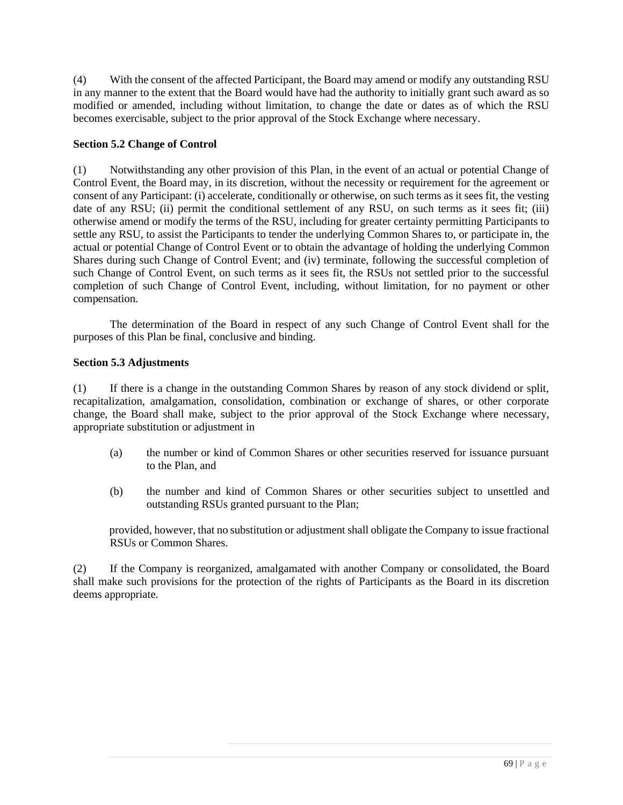(4) With the consent of the affected Participant, the Board may amend or modify any outstanding RSU in any manner to the extent that the Board would have had the authority to initially grant such award as so modified or amended, including without limitation, to change the date or dates as of which the RSU becomes exercisable, subject to the prior approval of the Stock Exchange where necessary.

# **Section 5.2 Change of Control**

(1) Notwithstanding any other provision of this Plan, in the event of an actual or potential Change of Control Event, the Board may, in its discretion, without the necessity or requirement for the agreement or consent of any Participant: (i) accelerate, conditionally or otherwise, on such terms as it sees fit, the vesting date of any RSU; (ii) permit the conditional settlement of any RSU, on such terms as it sees fit; (iii) otherwise amend or modify the terms of the RSU, including for greater certainty permitting Participants to settle any RSU, to assist the Participants to tender the underlying Common Shares to, or participate in, the actual or potential Change of Control Event or to obtain the advantage of holding the underlying Common Shares during such Change of Control Event; and (iv) terminate, following the successful completion of such Change of Control Event, on such terms as it sees fit, the RSUs not settled prior to the successful completion of such Change of Control Event, including, without limitation, for no payment or other compensation.

The determination of the Board in respect of any such Change of Control Event shall for the purposes of this Plan be final, conclusive and binding.

# **Section 5.3 Adjustments**

(1) If there is a change in the outstanding Common Shares by reason of any stock dividend or split, recapitalization, amalgamation, consolidation, combination or exchange of shares, or other corporate change, the Board shall make, subject to the prior approval of the Stock Exchange where necessary, appropriate substitution or adjustment in

- (a) the number or kind of Common Shares or other securities reserved for issuance pursuant to the Plan, and
- (b) the number and kind of Common Shares or other securities subject to unsettled and outstanding RSUs granted pursuant to the Plan;

provided, however, that no substitution or adjustment shall obligate the Company to issue fractional RSUs or Common Shares.

(2) If the Company is reorganized, amalgamated with another Company or consolidated, the Board shall make such provisions for the protection of the rights of Participants as the Board in its discretion deems appropriate.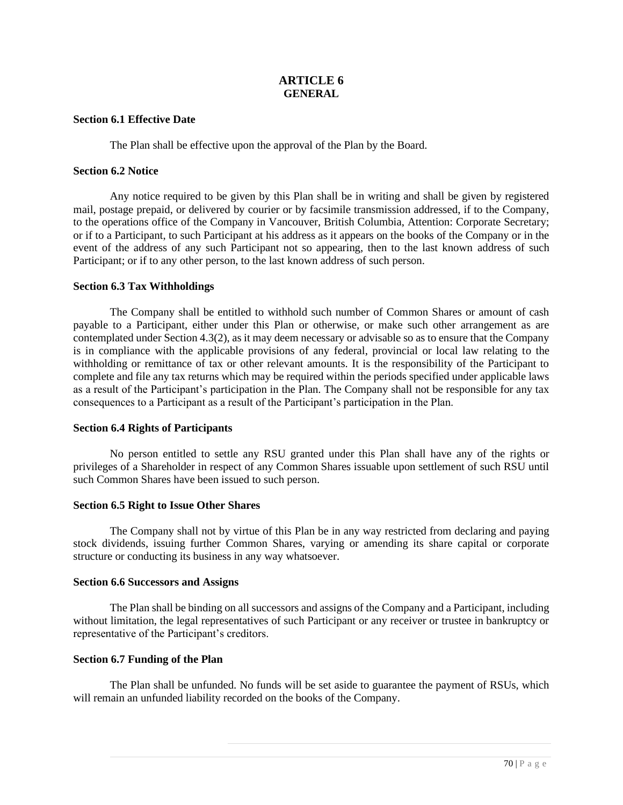# **ARTICLE 6 GENERAL**

### **Section 6.1 Effective Date**

The Plan shall be effective upon the approval of the Plan by the Board.

### **Section 6.2 Notice**

Any notice required to be given by this Plan shall be in writing and shall be given by registered mail, postage prepaid, or delivered by courier or by facsimile transmission addressed, if to the Company, to the operations office of the Company in Vancouver, British Columbia, Attention: Corporate Secretary; or if to a Participant, to such Participant at his address as it appears on the books of the Company or in the event of the address of any such Participant not so appearing, then to the last known address of such Participant; or if to any other person, to the last known address of such person.

### **Section 6.3 Tax Withholdings**

The Company shall be entitled to withhold such number of Common Shares or amount of cash payable to a Participant, either under this Plan or otherwise, or make such other arrangement as are contemplated under Section 4.3(2), as it may deem necessary or advisable so as to ensure that the Company is in compliance with the applicable provisions of any federal, provincial or local law relating to the withholding or remittance of tax or other relevant amounts. It is the responsibility of the Participant to complete and file any tax returns which may be required within the periods specified under applicable laws as a result of the Participant's participation in the Plan. The Company shall not be responsible for any tax consequences to a Participant as a result of the Participant's participation in the Plan.

# **Section 6.4 Rights of Participants**

No person entitled to settle any RSU granted under this Plan shall have any of the rights or privileges of a Shareholder in respect of any Common Shares issuable upon settlement of such RSU until such Common Shares have been issued to such person.

### **Section 6.5 Right to Issue Other Shares**

The Company shall not by virtue of this Plan be in any way restricted from declaring and paying stock dividends, issuing further Common Shares, varying or amending its share capital or corporate structure or conducting its business in any way whatsoever.

### **Section 6.6 Successors and Assigns**

The Plan shall be binding on all successors and assigns of the Company and a Participant, including without limitation, the legal representatives of such Participant or any receiver or trustee in bankruptcy or representative of the Participant's creditors.

# **Section 6.7 Funding of the Plan**

The Plan shall be unfunded. No funds will be set aside to guarantee the payment of RSUs, which will remain an unfunded liability recorded on the books of the Company.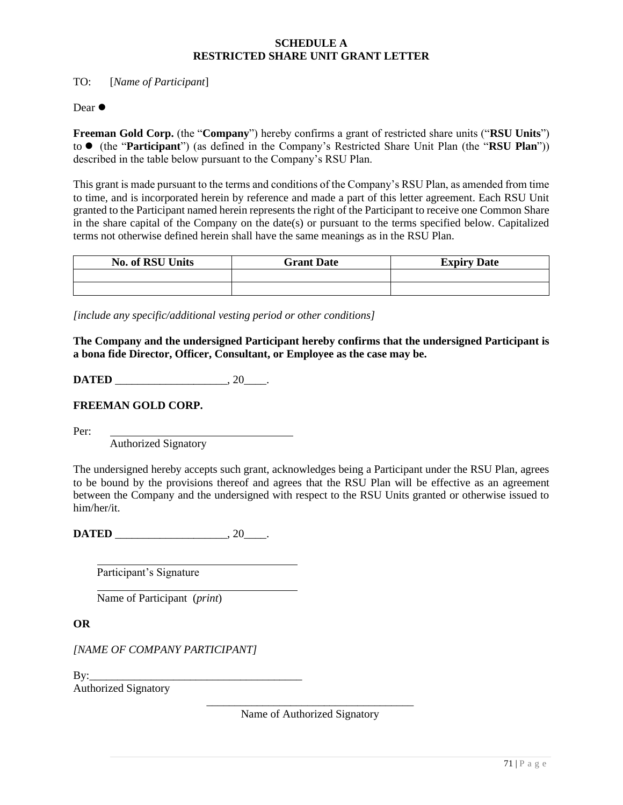# **SCHEDULE A RESTRICTED SHARE UNIT GRANT LETTER**

TO: [*Name of Participant*]

Dear  $\bullet$ 

**Freeman Gold Corp.** (the "**Company**") hereby confirms a grant of restricted share units ("**RSU Units**") to ⚫ (the "**Participant**") (as defined in the Company's Restricted Share Unit Plan (the "**RSU Plan**")) described in the table below pursuant to the Company's RSU Plan.

This grant is made pursuant to the terms and conditions of the Company's RSU Plan, as amended from time to time, and is incorporated herein by reference and made a part of this letter agreement. Each RSU Unit granted to the Participant named herein represents the right of the Participant to receive one Common Share in the share capital of the Company on the date(s) or pursuant to the terms specified below. Capitalized terms not otherwise defined herein shall have the same meanings as in the RSU Plan.

| <b>No. of RSU Units</b> | <b>Grant Date</b> | <b>Expiry Date</b> |
|-------------------------|-------------------|--------------------|
|                         |                   |                    |
|                         |                   |                    |

*[include any specific/additional vesting period or other conditions]*

**The Company and the undersigned Participant hereby confirms that the undersigned Participant is a bona fide Director, Officer, Consultant, or Employee as the case may be.**

**DATED** \_\_\_\_\_\_\_\_\_\_\_\_\_\_\_\_\_\_\_\_\_\_, 20\_\_\_\_\_.

**FREEMAN GOLD CORP.**

Per:

Authorized Signatory

The undersigned hereby accepts such grant, acknowledges being a Participant under the RSU Plan, agrees to be bound by the provisions thereof and agrees that the RSU Plan will be effective as an agreement between the Company and the undersigned with respect to the RSU Units granted or otherwise issued to him/her/it.

**DATED** \_\_\_\_\_\_\_\_\_\_\_\_\_\_\_\_\_\_\_\_\_\_, 20\_\_\_\_\_.

Participant's Signature

Name of Participant (*print*)

**OR**

*[NAME OF COMPANY PARTICIPANT]*

 $\mathbf{B} \mathbf{v}$ :

Authorized Signatory

\_\_\_\_\_\_\_\_\_\_\_\_\_\_\_\_\_\_\_\_\_\_\_\_\_\_\_\_\_\_\_\_\_\_\_\_\_ Name of Authorized Signatory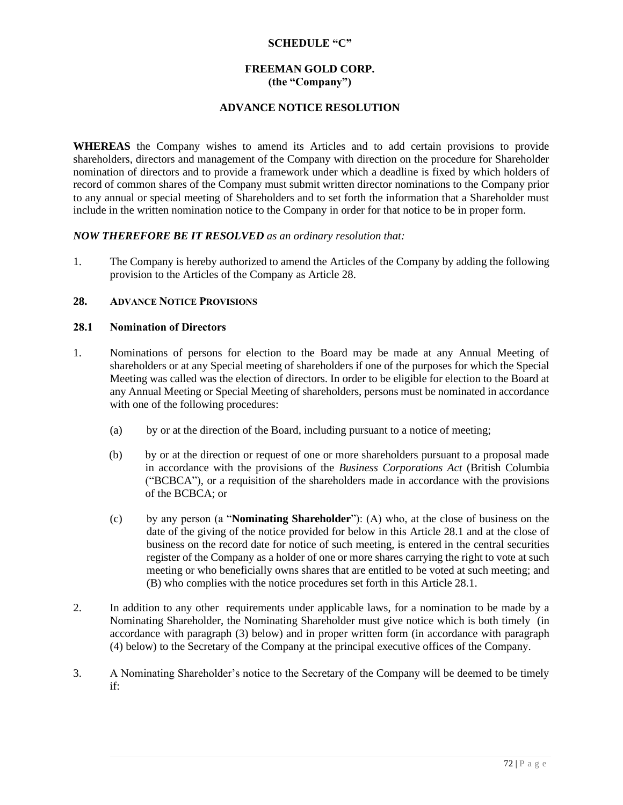### **SCHEDULE "C"**

# **FREEMAN GOLD CORP. (the "Company")**

## **ADVANCE NOTICE RESOLUTION**

**WHEREAS** the Company wishes to amend its Articles and to add certain provisions to provide shareholders, directors and management of the Company with direction on the procedure for Shareholder nomination of directors and to provide a framework under which a deadline is fixed by which holders of record of common shares of the Company must submit written director nominations to the Company prior to any annual or special meeting of Shareholders and to set forth the information that a Shareholder must include in the written nomination notice to the Company in order for that notice to be in proper form.

### *NOW THEREFORE BE IT RESOLVED as an ordinary resolution that:*

1. The Company is hereby authorized to amend the Articles of the Company by adding the following provision to the Articles of the Company as Article 28.

## **28. ADVANCE NOTICE PROVISIONS**

### **28.1 Nomination of Directors**

- 1. Nominations of persons for election to the Board may be made at any Annual Meeting of shareholders or at any Special meeting of shareholders if one of the purposes for which the Special Meeting was called was the election of directors. In order to be eligible for election to the Board at any Annual Meeting or Special Meeting of shareholders, persons must be nominated in accordance with one of the following procedures:
	- (a) by or at the direction of the Board, including pursuant to a notice of meeting;
	- (b) by or at the direction or request of one or more shareholders pursuant to a proposal made in accordance with the provisions of the *Business Corporations Act* (British Columbia ("BCBCA"), or a requisition of the shareholders made in accordance with the provisions of the BCBCA; or
	- (c) by any person (a "**Nominating Shareholder**"): (A) who, at the close of business on the date of the giving of the notice provided for below in this Article 28.1 and at the close of business on the record date for notice of such meeting, is entered in the central securities register of the Company as a holder of one or more shares carrying the right to vote at such meeting or who beneficially owns shares that are entitled to be voted at such meeting; and (B) who complies with the notice procedures set forth in this Article 28.1.
- 2. In addition to any other requirements under applicable laws, for a nomination to be made by a Nominating Shareholder, the Nominating Shareholder must give notice which is both timely (in accordance with paragraph (3) below) and in proper written form (in accordance with paragraph (4) below) to the Secretary of the Company at the principal executive offices of the Company.
- 3. A Nominating Shareholder's notice to the Secretary of the Company will be deemed to be timely if: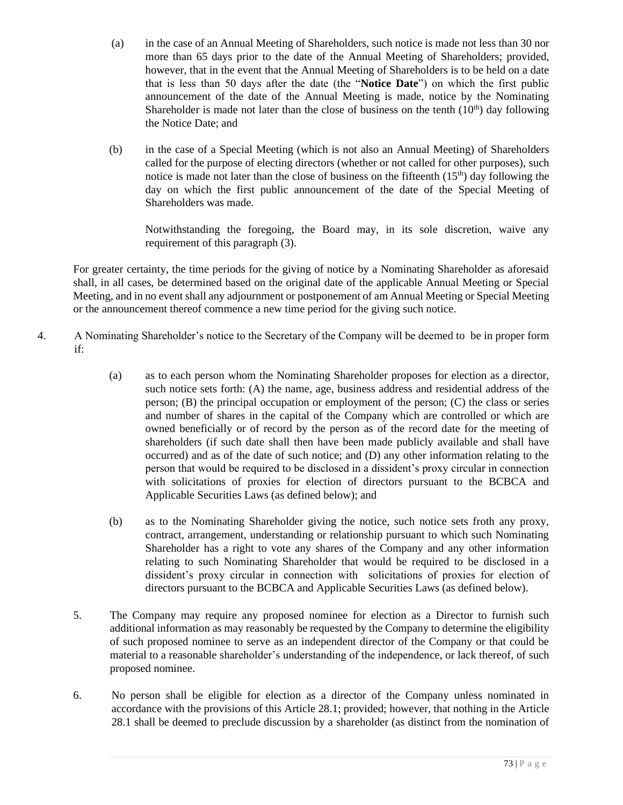- (a) in the case of an Annual Meeting of Shareholders, such notice is made not less than 30 nor more than 65 days prior to the date of the Annual Meeting of Shareholders; provided, however, that in the event that the Annual Meeting of Shareholders is to be held on a date that is less than 50 days after the date (the "**Notice Date**") on which the first public announcement of the date of the Annual Meeting is made, notice by the Nominating Shareholder is made not later than the close of business on the tenth  $(10<sup>th</sup>)$  day following the Notice Date; and
- (b) in the case of a Special Meeting (which is not also an Annual Meeting) of Shareholders called for the purpose of electing directors (whether or not called for other purposes), such notice is made not later than the close of business on the fifteenth  $(15<sup>th</sup>)$  day following the day on which the first public announcement of the date of the Special Meeting of Shareholders was made.

Notwithstanding the foregoing, the Board may, in its sole discretion, waive any requirement of this paragraph (3).

For greater certainty, the time periods for the giving of notice by a Nominating Shareholder as aforesaid shall, in all cases, be determined based on the original date of the applicable Annual Meeting or Special Meeting, and in no event shall any adjournment or postponement of am Annual Meeting or Special Meeting or the announcement thereof commence a new time period for the giving such notice.

- 4. A Nominating Shareholder's notice to the Secretary of the Company will be deemed to be in proper form if:
	- (a) as to each person whom the Nominating Shareholder proposes for election as a director, such notice sets forth: (A) the name, age, business address and residential address of the person; (B) the principal occupation or employment of the person; (C) the class or series and number of shares in the capital of the Company which are controlled or which are owned beneficially or of record by the person as of the record date for the meeting of shareholders (if such date shall then have been made publicly available and shall have occurred) and as of the date of such notice; and (D) any other information relating to the person that would be required to be disclosed in a dissident's proxy circular in connection with solicitations of proxies for election of directors pursuant to the BCBCA and Applicable Securities Laws (as defined below); and
	- (b) as to the Nominating Shareholder giving the notice, such notice sets froth any proxy, contract, arrangement, understanding or relationship pursuant to which such Nominating Shareholder has a right to vote any shares of the Company and any other information relating to such Nominating Shareholder that would be required to be disclosed in a dissident's proxy circular in connection with solicitations of proxies for election of directors pursuant to the BCBCA and Applicable Securities Laws (as defined below).
	- 5. The Company may require any proposed nominee for election as a Director to furnish such additional information as may reasonably be requested by the Company to determine the eligibility of such proposed nominee to serve as an independent director of the Company or that could be material to a reasonable shareholder's understanding of the independence, or lack thereof, of such proposed nominee.
	- 6. No person shall be eligible for election as a director of the Company unless nominated in accordance with the provisions of this Article 28.1; provided; however, that nothing in the Article 28.1 shall be deemed to preclude discussion by a shareholder (as distinct from the nomination of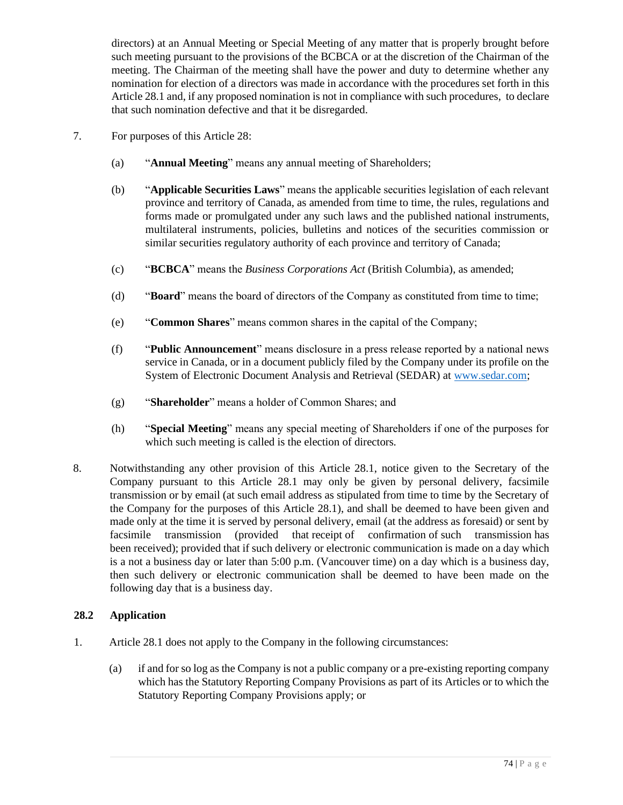directors) at an Annual Meeting or Special Meeting of any matter that is properly brought before such meeting pursuant to the provisions of the BCBCA or at the discretion of the Chairman of the meeting. The Chairman of the meeting shall have the power and duty to determine whether any nomination for election of a directors was made in accordance with the procedures set forth in this Article 28.1 and, if any proposed nomination is not in compliance with such procedures, to declare that such nomination defective and that it be disregarded.

- 7. For purposes of this Article 28:
	- (a) "**Annual Meeting**" means any annual meeting of Shareholders;
	- (b) "**Applicable Securities Laws**" means the applicable securities legislation of each relevant province and territory of Canada, as amended from time to time, the rules, regulations and forms made or promulgated under any such laws and the published national instruments, multilateral instruments, policies, bulletins and notices of the securities commission or similar securities regulatory authority of each province and territory of Canada;
	- (c) "**BCBCA**" means the *Business Corporations Act* (British Columbia), as amended;
	- (d) "**Board**" means the board of directors of the Company as constituted from time to time;
	- (e) "**Common Shares**" means common shares in the capital of the Company;
	- (f) "**Public Announcement**" means disclosure in a press release reported by a national news service in Canada, or in a document publicly filed by the Company under its profile on the System of Electronic Document Analysis and Retrieval (SEDAR) at [www.sedar.com;](http://www.sedar.com/)
	- (g) "**Shareholder**" means a holder of Common Shares; and
	- (h) "**Special Meeting**" means any special meeting of Shareholders if one of the purposes for which such meeting is called is the election of directors.
- 8. Notwithstanding any other provision of this Article 28.1, notice given to the Secretary of the Company pursuant to this Article 28.1 may only be given by personal delivery, facsimile transmission or by email (at such email address as stipulated from time to time by the Secretary of the Company for the purposes of this Article 28.1), and shall be deemed to have been given and made only at the time it is served by personal delivery, email (at the address as foresaid) or sent by facsimile transmission (provided that receipt of confirmation of such transmission has been received); provided that if such delivery or electronic communication is made on a day which is a not a business day or later than 5:00 p.m. (Vancouver time) on a day which is a business day, then such delivery or electronic communication shall be deemed to have been made on the following day that is a business day.

# **28.2 Application**

- 1. Article 28.1 does not apply to the Company in the following circumstances:
	- (a) if and for so log as the Company is not a public company or a pre-existing reporting company which has the Statutory Reporting Company Provisions as part of its Articles or to which the Statutory Reporting Company Provisions apply; or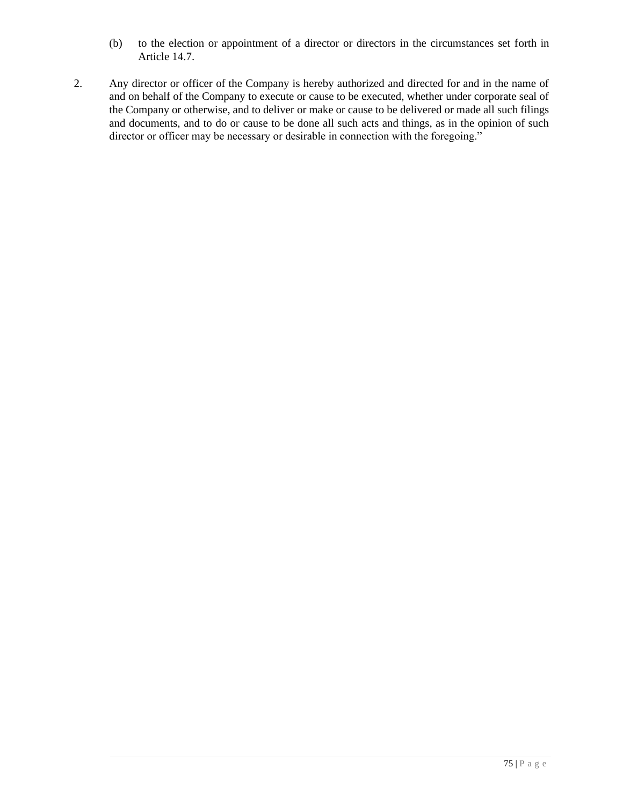- (b) to the election or appointment of a director or directors in the circumstances set forth in Article 14.7.
- 2. Any director or officer of the Company is hereby authorized and directed for and in the name of and on behalf of the Company to execute or cause to be executed, whether under corporate seal of the Company or otherwise, and to deliver or make or cause to be delivered or made all such filings and documents, and to do or cause to be done all such acts and things, as in the opinion of such director or officer may be necessary or desirable in connection with the foregoing."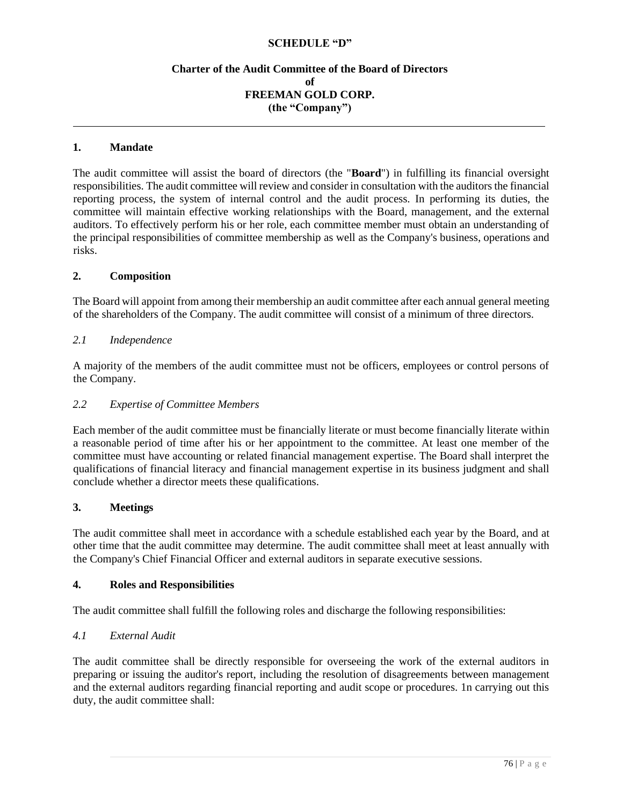### **SCHEDULE "D"**

# **Charter of the Audit Committee of the Board of Directors of FREEMAN GOLD CORP. (the "Company")**

#### **1. Mandate**

The audit committee will assist the board of directors (the "**Board**") in fulfilling its financial oversight responsibilities. The audit committee will review and consider in consultation with the auditors the financial reporting process, the system of internal control and the audit process. In performing its duties, the committee will maintain effective working relationships with the Board, management, and the external auditors. To effectively perform his or her role, each committee member must obtain an understanding of the principal responsibilities of committee membership as well as the Company's business, operations and risks.

#### **2. Composition**

The Board will appoint from among their membership an audit committee after each annual general meeting of the shareholders of the Company. The audit committee will consist of a minimum of three directors.

#### *2.1 Independence*

A majority of the members of the audit committee must not be officers, employees or control persons of the Company.

#### *2.2 Expertise of Committee Members*

Each member of the audit committee must be financially literate or must become financially literate within a reasonable period of time after his or her appointment to the committee. At least one member of the committee must have accounting or related financial management expertise. The Board shall interpret the qualifications of financial literacy and financial management expertise in its business judgment and shall conclude whether a director meets these qualifications.

#### **3. Meetings**

The audit committee shall meet in accordance with a schedule established each year by the Board, and at other time that the audit committee may determine. The audit committee shall meet at least annually with the Company's Chief Financial Officer and external auditors in separate executive sessions.

#### **4. Roles and Responsibilities**

The audit committee shall fulfill the following roles and discharge the following responsibilities:

#### *4.1 External Audit*

The audit committee shall be directly responsible for overseeing the work of the external auditors in preparing or issuing the auditor's report, including the resolution of disagreements between management and the external auditors regarding financial reporting and audit scope or procedures. 1n carrying out this duty, the audit committee shall: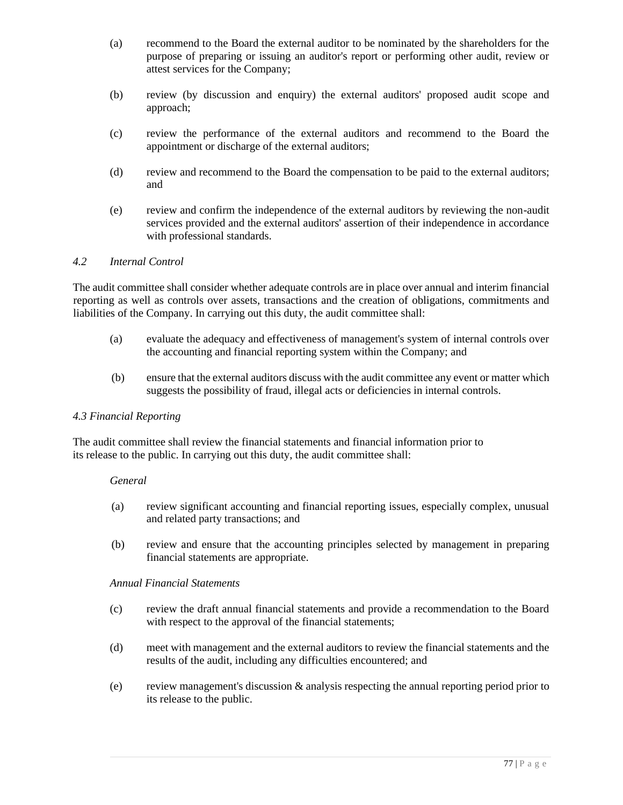- (a) recommend to the Board the external auditor to be nominated by the shareholders for the purpose of preparing or issuing an auditor's report or performing other audit, review or attest services for the Company;
- (b) review (by discussion and enquiry) the external auditors' proposed audit scope and approach;
- (c) review the performance of the external auditors and recommend to the Board the appointment or discharge of the external auditors;
- (d) review and recommend to the Board the compensation to be paid to the external auditors; and
- (e) review and confirm the independence of the external auditors by reviewing the non-audit services provided and the external auditors' assertion of their independence in accordance with professional standards.

## *4.2 Internal Control*

The audit committee shall consider whether adequate controls are in place over annual and interim financial reporting as well as controls over assets, transactions and the creation of obligations, commitments and liabilities of the Company. In carrying out this duty, the audit committee shall:

- (a) evaluate the adequacy and effectiveness of management's system of internal controls over the accounting and financial reporting system within the Company; and
- (b) ensure that the external auditors discuss with the audit committee any event or matter which suggests the possibility of fraud, illegal acts or deficiencies in internal controls.

#### *4.3 Financial Reporting*

The audit committee shall review the financial statements and financial information prior to its release to the public. In carrying out this duty, the audit committee shall:

#### *General*

- (a) review significant accounting and financial reporting issues, especially complex, unusual and related party transactions; and
- (b) review and ensure that the accounting principles selected by management in preparing financial statements are appropriate.

### *Annual Financial Statements*

- (c) review the draft annual financial statements and provide a recommendation to the Board with respect to the approval of the financial statements;
- (d) meet with management and the external auditors to review the financial statements and the results of the audit, including any difficulties encountered; and
- (e) review management's discussion & analysis respecting the annual reporting period prior to its release to the public.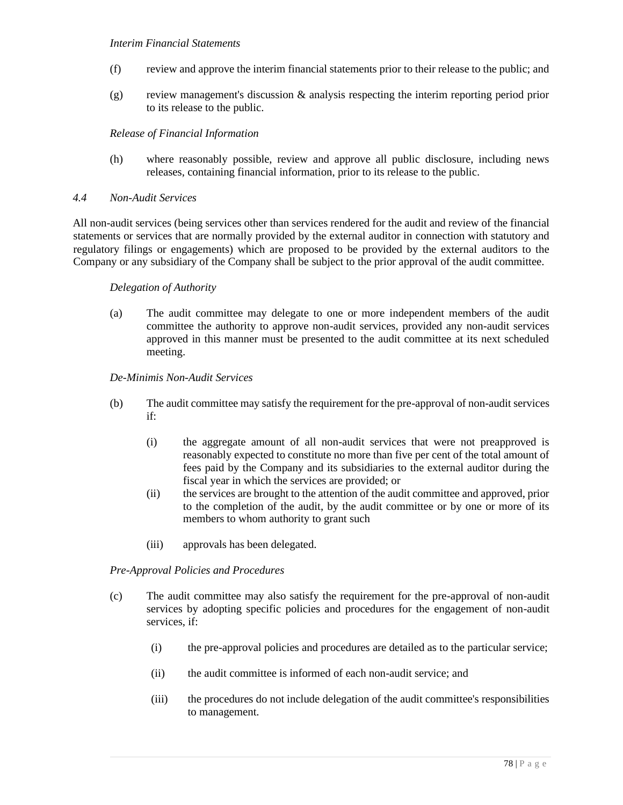### *Interim Financial Statements*

- (f) review and approve the interim financial statements prior to their release to the public; and
- (g) review management's discussion & analysis respecting the interim reporting period prior to its release to the public.

# *Release of Financial Information*

(h) where reasonably possible, review and approve all public disclosure, including news releases, containing financial information, prior to its release to the public.

### *4.4 Non-Audit Services*

All non-audit services (being services other than services rendered for the audit and review of the financial statements or services that are normally provided by the external auditor in connection with statutory and regulatory filings or engagements) which are proposed to be provided by the external auditors to the Company or any subsidiary of the Company shall be subject to the prior approval of the audit committee.

### *Delegation of Authority*

(a) The audit committee may delegate to one or more independent members of the audit committee the authority to approve non-audit services, provided any non-audit services approved in this manner must be presented to the audit committee at its next scheduled meeting.

### *De-Minimis Non-Audit Services*

- (b) The audit committee may satisfy the requirement for the pre-approval of non-audit services if:
	- (i) the aggregate amount of all non-audit services that were not preapproved is reasonably expected to constitute no more than five per cent of the total amount of fees paid by the Company and its subsidiaries to the external auditor during the fiscal year in which the services are provided; or
	- (ii) the services are brought to the attention of the audit committee and approved, prior to the completion of the audit, by the audit committee or by one or more of its members to whom authority to grant such
	- (iii) approvals has been delegated.

### *Pre-Approval Policies and Procedures*

- (c) The audit committee may also satisfy the requirement for the pre-approval of non-audit services by adopting specific policies and procedures for the engagement of non-audit services, if:
	- (i) the pre-approval policies and procedures are detailed as to the particular service;
	- (ii) the audit committee is informed of each non-audit service; and
	- (iii) the procedures do not include delegation of the audit committee's responsibilities to management.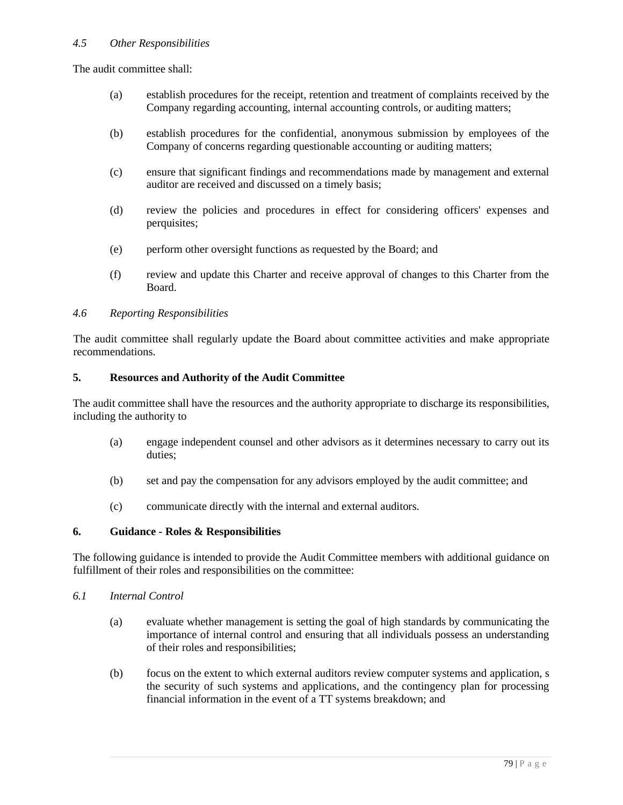# *4.5 Other Responsibilities*

The audit committee shall:

- (a) establish procedures for the receipt, retention and treatment of complaints received by the Company regarding accounting, internal accounting controls, or auditing matters;
- (b) establish procedures for the confidential, anonymous submission by employees of the Company of concerns regarding questionable accounting or auditing matters;
- (c) ensure that significant findings and recommendations made by management and external auditor are received and discussed on a timely basis;
- (d) review the policies and procedures in effect for considering officers' expenses and perquisites;
- (e) perform other oversight functions as requested by the Board; and
- (f) review and update this Charter and receive approval of changes to this Charter from the Board.

### *4.6 Reporting Responsibilities*

The audit committee shall regularly update the Board about committee activities and make appropriate recommendations.

### **5. Resources and Authority of the Audit Committee**

The audit committee shall have the resources and the authority appropriate to discharge its responsibilities, including the authority to

- (a) engage independent counsel and other advisors as it determines necessary to carry out its duties;
- (b) set and pay the compensation for any advisors employed by the audit committee; and
- (c) communicate directly with the internal and external auditors.

### **6. Guidance - Roles & Responsibilities**

The following guidance is intended to provide the Audit Committee members with additional guidance on fulfillment of their roles and responsibilities on the committee:

- *6.1 Internal Control*
	- (a) evaluate whether management is setting the goal of high standards by communicating the importance of internal control and ensuring that all individuals possess an understanding of their roles and responsibilities;
	- (b) focus on the extent to which external auditors review computer systems and application, s the security of such systems and applications, and the contingency plan for processing financial information in the event of a TT systems breakdown; and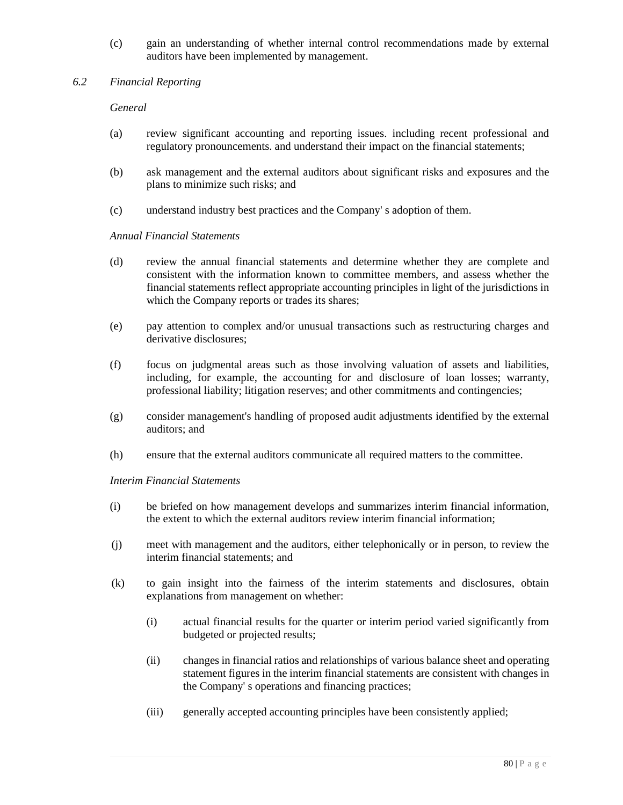- (c) gain an understanding of whether internal control recommendations made by external auditors have been implemented by management.
- *6.2 Financial Reporting*

# *General*

- (a) review significant accounting and reporting issues. including recent professional and regulatory pronouncements. and understand their impact on the financial statements;
- (b) ask management and the external auditors about significant risks and exposures and the plans to minimize such risks; and
- (c) understand industry best practices and the Company' s adoption of them.

### *Annual Financial Statements*

- (d) review the annual financial statements and determine whether they are complete and consistent with the information known to committee members, and assess whether the financial statements reflect appropriate accounting principles in light of the jurisdictions in which the Company reports or trades its shares;
- (e) pay attention to complex and/or unusual transactions such as restructuring charges and derivative disclosures;
- (f) focus on judgmental areas such as those involving valuation of assets and liabilities, including, for example, the accounting for and disclosure of loan losses; warranty, professional liability; litigation reserves; and other commitments and contingencies;
- (g) consider management's handling of proposed audit adjustments identified by the external auditors; and
- (h) ensure that the external auditors communicate all required matters to the committee.

### *Interim Financial Statements*

- (i) be briefed on how management develops and summarizes interim financial information, the extent to which the external auditors review interim financial information;
- (j) meet with management and the auditors, either telephonically or in person, to review the interim financial statements; and
- (k) to gain insight into the fairness of the interim statements and disclosures, obtain explanations from management on whether:
	- (i) actual financial results for the quarter or interim period varied significantly from budgeted or projected results;
	- (ii) changes in financial ratios and relationships of various balance sheet and operating statement figures in the interim financial statements are consistent with changes in the Company' s operations and financing practices;
	- (iii) generally accepted accounting principles have been consistently applied;